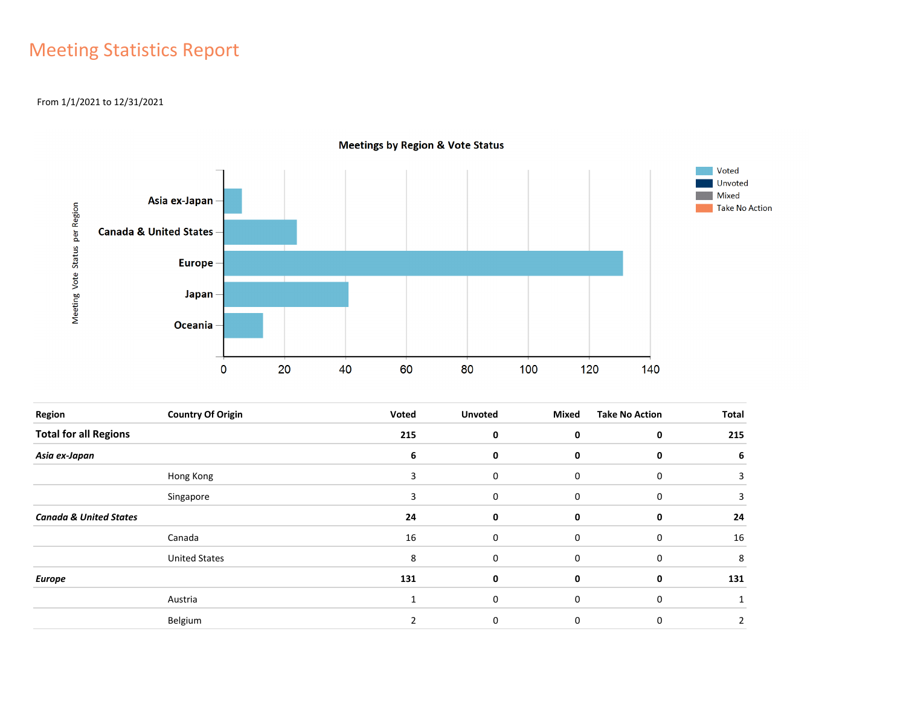# Meeting Statistics Report

#### From 1/1/2021 to 12/31/2021



**Meetings by Region & Vote Status** 

| <b>Region</b>                     | <b>Country Of Origin</b> | Voted | <b>Unvoted</b> | Mixed       | <b>Take No Action</b> | Total |
|-----------------------------------|--------------------------|-------|----------------|-------------|-----------------------|-------|
| <b>Total for all Regions</b>      |                          | 215   | 0              | 0           | 0                     | 215   |
| Asia ex-Japan                     |                          | 6     | 0              | 0           | 0                     | 6     |
|                                   | Hong Kong                | 3     | 0              | 0           | $\mathbf 0$           | 3     |
|                                   | Singapore                | 3     | 0              | 0           | $\mathbf 0$           | 3     |
| <b>Canada &amp; United States</b> |                          | 24    | 0              | 0           | 0                     | 24    |
|                                   | Canada                   | 16    | 0              | 0           | $\mathbf 0$           | 16    |
|                                   | <b>United States</b>     | 8     | $\mathbf 0$    | $\mathbf 0$ | 0                     | 8     |
| <b>Europe</b>                     |                          | 131   | 0              | 0           | 0                     | 131   |
|                                   | Austria                  |       | 0              | 0           | $\mathbf 0$           |       |
|                                   | Belgium                  |       | 0              | 0           | 0                     | 2     |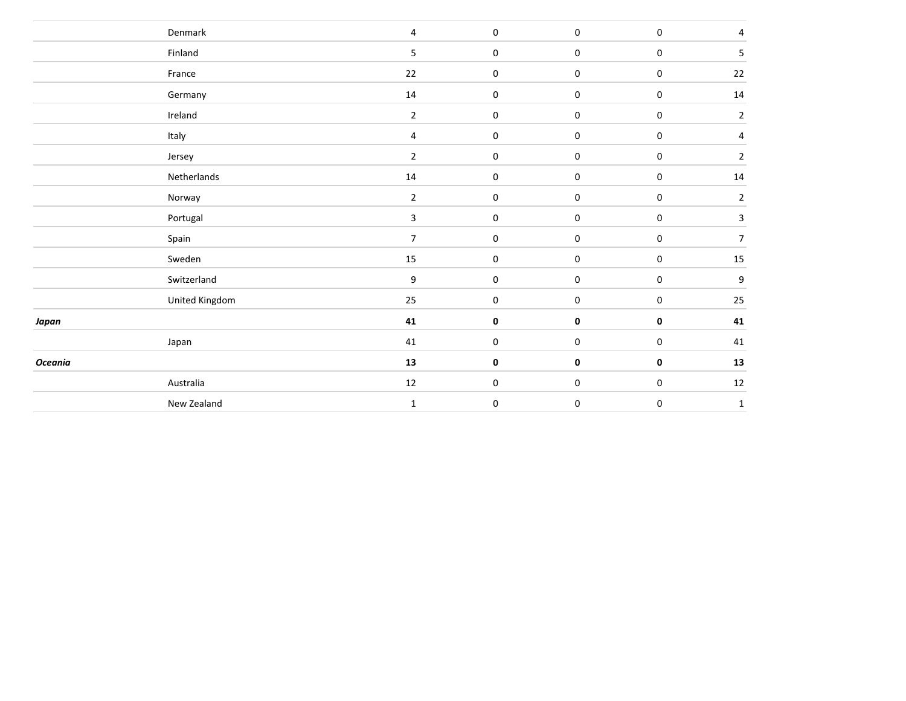|                | Denmark        | $\overline{4}$ | $\mathbf 0$ | $\bf{0}$    | $\pmb{0}$ | $\pmb{4}$        |
|----------------|----------------|----------------|-------------|-------------|-----------|------------------|
|                | Finland        | $5\phantom{.}$ | $\mathbf 0$ | $\bf{0}$    | $\pmb{0}$ | $\mathsf S$      |
|                | France         | 22             | $\,0\,$     | $\bf{0}$    | $\pmb{0}$ | 22               |
|                | Germany        | 14             | $\,0\,$     | $\mathbf 0$ | $\pmb{0}$ | 14               |
|                | Ireland        | $\overline{2}$ | $\mathbf 0$ | $\mathbf 0$ | $\pmb{0}$ | $\mathbf 2$      |
|                | Italy          | $\overline{4}$ | $\mathbf 0$ | $\mathbf 0$ | $\pmb{0}$ | $\overline{4}$   |
|                | Jersey         | $\overline{2}$ | $\mathbf 0$ | $\pmb{0}$   | $\pmb{0}$ | $\overline{2}$   |
|                | Netherlands    | 14             | $\,0\,$     | $\pmb{0}$   | $\pmb{0}$ | 14               |
|                | Norway         | $\mathbf{2}$   | $\,0\,$     | $\pmb{0}$   | $\pmb{0}$ | $\overline{2}$   |
|                | Portugal       | $\mathbf{3}$   | $\mathbf 0$ | $\pmb{0}$   | $\pmb{0}$ | $\mathbf{3}$     |
|                | Spain          | $\overline{7}$ | $\mathbf 0$ | $\pmb{0}$   | $\pmb{0}$ | $\overline{7}$   |
|                | Sweden         | 15             | $\mathbf 0$ | $\pmb{0}$   | $\pmb{0}$ | 15               |
|                | Switzerland    | 9              | $\,0\,$     | 0           | $\pmb{0}$ | $\boldsymbol{9}$ |
|                | United Kingdom | 25             | $\mathbf 0$ | 0           | $\pmb{0}$ | 25               |
| Japan          |                | 41             | $\pmb{0}$   | 0           | $\pmb{0}$ | 41               |
|                | Japan          | 41             | $\mathbf 0$ | $\pmb{0}$   | $\pmb{0}$ | 41               |
| <b>Oceania</b> |                | 13             | $\pmb{0}$   | 0           | $\pmb{0}$ | 13               |
|                | Australia      | 12             | $\mathbf 0$ | 0           | $\pmb{0}$ | 12               |
|                | New Zealand    | $\mathbf 1$    | $\pmb{0}$   | $\pmb{0}$   | $\pmb{0}$ | $\mathbf 1$      |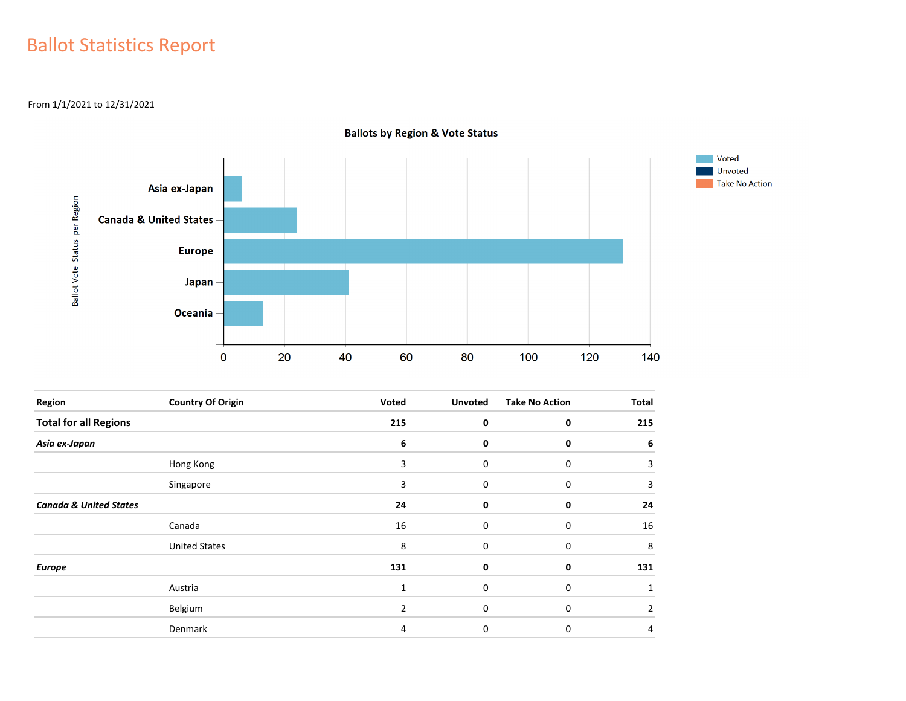## Ballot Statistics Report

From 1/1/2021 to 12/31/2021



**Ballots by Region & Vote Status** 

| Region                            | <b>Country Of Origin</b> | Voted          | <b>Unvoted</b> | <b>Take No Action</b> | Total |
|-----------------------------------|--------------------------|----------------|----------------|-----------------------|-------|
| <b>Total for all Regions</b>      |                          | 215            | 0              | 0                     | 215   |
| Asia ex-Japan                     |                          | 6              | 0              | 0                     | 6     |
|                                   | Hong Kong                | 3              | 0              | 0                     | 3     |
|                                   | Singapore                | 3              | 0              | 0                     | 3     |
| <b>Canada &amp; United States</b> |                          | 24             | 0              | 0                     | 24    |
|                                   | Canada                   | 16             | 0              | 0                     | 16    |
|                                   | <b>United States</b>     | 8              | 0              | 0                     | 8     |
| <b>Europe</b>                     |                          | 131            | 0              | 0                     | 131   |
|                                   | Austria                  | 1              | $\mathbf 0$    | 0                     |       |
|                                   | Belgium                  | $\overline{2}$ | 0              | 0                     | 2     |
|                                   | Denmark                  | 4              | 0              | 0                     | 4     |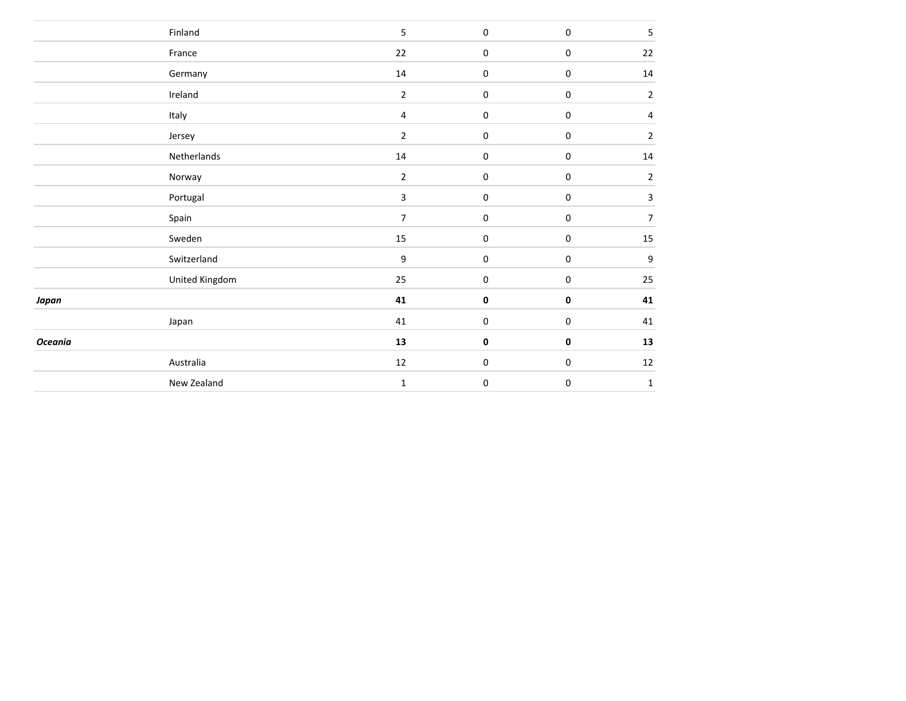|                | Finland        | $\overline{5}$   | $\pmb{0}$   | $\pmb{0}$        | 5              |
|----------------|----------------|------------------|-------------|------------------|----------------|
|                | France         | 22               | $\pmb{0}$   | $\boldsymbol{0}$ | 22             |
|                | Germany        | 14               | $\pmb{0}$   | $\pmb{0}$        | 14             |
|                | Ireland        | $\mathbf 2$      | $\pmb{0}$   | $\boldsymbol{0}$ | $\overline{2}$ |
|                | Italy          | $\overline{4}$   | $\mathbf 0$ | $\boldsymbol{0}$ | 4              |
|                | Jersey         | $\mathbf 2$      | $\mathbf 0$ | 0                | $\overline{2}$ |
|                | Netherlands    | 14               | $\pmb{0}$   | 0                | 14             |
|                | Norway         | $\overline{2}$   | $\pmb{0}$   | $\boldsymbol{0}$ | $\overline{2}$ |
|                | Portugal       | $\mathbf{3}$     | $\pmb{0}$   | $\pmb{0}$        | $\mathbf{3}$   |
|                | Spain          | $\overline{7}$   | $\pmb{0}$   | $\pmb{0}$        | $\overline{7}$ |
|                | Sweden         | 15               | $\pmb{0}$   | $\pmb{0}$        | $15\,$         |
|                | Switzerland    | $\boldsymbol{9}$ | $\pmb{0}$   | $\pmb{0}$        | 9              |
|                | United Kingdom | 25               | $\pmb{0}$   | $\pmb{0}$        | 25             |
| Japan          |                | 41               | $\pmb{0}$   | 0                | 41             |
|                | Japan          | 41               | $\pmb{0}$   | 0                | 41             |
| <b>Oceania</b> |                | 13               | $\mathbf 0$ | 0                | 13             |
|                | Australia      | $12\,$           | $\bf{0}$    | 0                | 12             |
|                | New Zealand    | $\mathbf 1$      | 0           | 0                | $\mathbf{1}$   |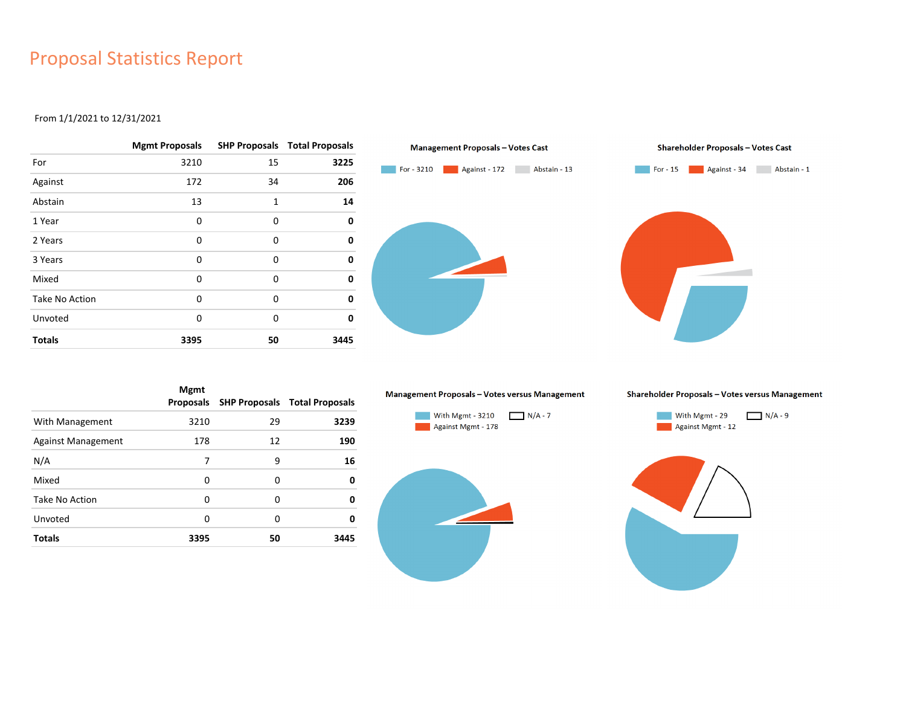### Proposal Statistics Report

#### From 1/1/2021 to 12/31/2021

|                | <b>Mgmt Proposals</b> |              | <b>SHP Proposals Total Proposals</b> |
|----------------|-----------------------|--------------|--------------------------------------|
| For            | 3210                  | 15           | 3225                                 |
| Against        | 172                   | 34           | 206                                  |
| Abstain        | 13                    | $\mathbf{1}$ | 14                                   |
| 1 Year         | $\Omega$              | 0            | 0                                    |
| 2 Years        | 0                     | 0            | 0                                    |
| 3 Years        | $\Omega$              | 0            | 0                                    |
| Mixed          | $\Omega$              | 0            | 0                                    |
| Take No Action | $\Omega$              | 0            | 0                                    |
| Unvoted        | 0                     | 0            | 0                                    |
| <b>Totals</b>  | 3395                  | 50           | 3445                                 |

![](_page_4_Figure_3.jpeg)

|                           | <b>Mgmt</b><br>Proposals |    | <b>SHP Proposals Total Proposals</b> |
|---------------------------|--------------------------|----|--------------------------------------|
| With Management           | 3210                     | 29 | 3239                                 |
| <b>Against Management</b> | 178                      | 12 | 190                                  |
| N/A                       | 7                        | 9  | 16                                   |
| Mixed                     | 0                        | 0  | 0                                    |
| Take No Action            | 0                        | 0  | 0                                    |
| Unvoted                   | 0                        | 0  | 0                                    |
| <b>Totals</b>             | 3395                     | 50 | 3445                                 |

#### Management Proposals - Votes versus Management

![](_page_4_Figure_6.jpeg)

![](_page_4_Figure_7.jpeg)

![](_page_4_Figure_8.jpeg)

![](_page_4_Figure_9.jpeg)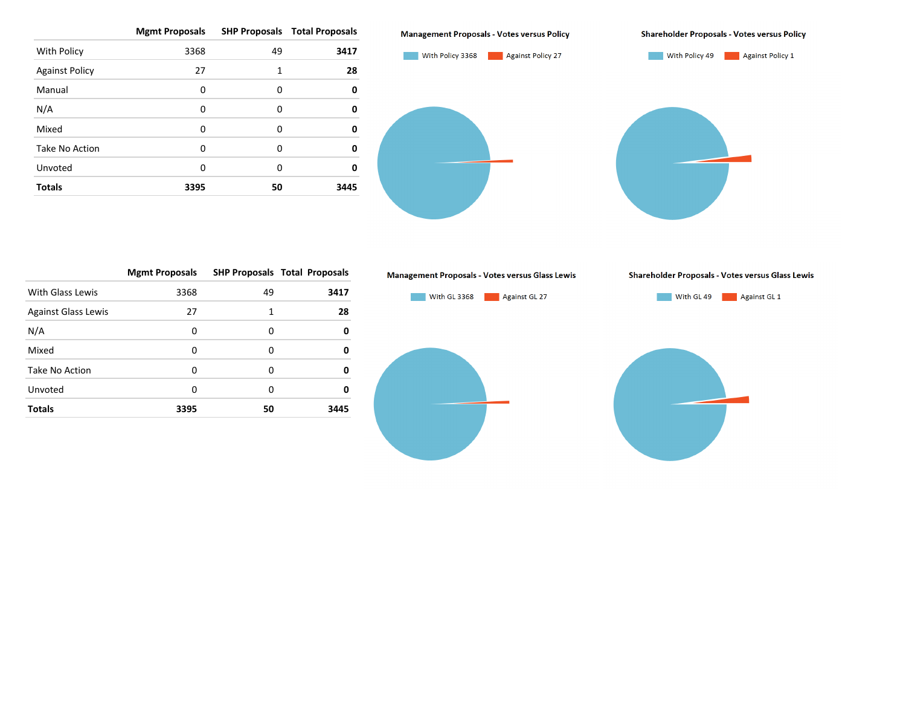|                       | <b>Mgmt Proposals</b> |    | <b>SHP Proposals Total Proposals</b> |
|-----------------------|-----------------------|----|--------------------------------------|
| With Policy           | 3368                  | 49 | 3417                                 |
| <b>Against Policy</b> | 27                    | 1  | 28                                   |
| Manual                | 0                     | 0  | 0                                    |
| N/A                   | 0                     | 0  | 0                                    |
| Mixed                 | 0                     | 0  | ŋ                                    |
| Take No Action        | 0                     | 0  | ŋ                                    |
| Unvoted               | 0                     | 0  | ŋ                                    |
| <b>Totals</b>         | 3395                  | 50 | 3445                                 |

![](_page_5_Figure_1.jpeg)

**Shareholder Proposals - Votes versus Policy** 

![](_page_5_Figure_3.jpeg)

|                            | <b>Mgmt Proposals</b> |    | <b>SHP Proposals Total Proposals</b> |
|----------------------------|-----------------------|----|--------------------------------------|
| With Glass Lewis           | 3368                  | 49 | 3417                                 |
| <b>Against Glass Lewis</b> | 27                    | 1  | 28                                   |
| N/A                        | 0                     | 0  | 0                                    |
| Mixed                      | 0                     | 0  | 0                                    |
| Take No Action             | O                     | 0  | 0                                    |
| Unvoted                    | 0                     | O  | 0                                    |
| <b>Totals</b>              | 3395                  | 50 | 3445                                 |

![](_page_5_Figure_5.jpeg)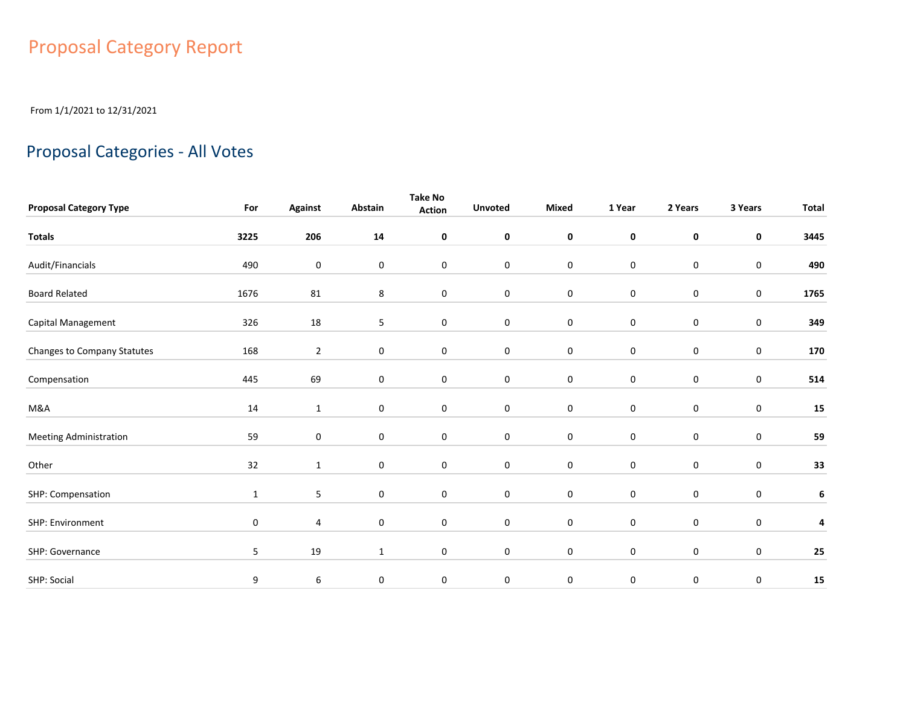# Proposal Category Report

From 1/1/2021 to 12/31/2021

### Proposal Categories - All Votes

|                               |              |                |              | Take No       |                |                  |             |                     |                  |              |
|-------------------------------|--------------|----------------|--------------|---------------|----------------|------------------|-------------|---------------------|------------------|--------------|
| <b>Proposal Category Type</b> | For          | <b>Against</b> | Abstain      | <b>Action</b> | <b>Unvoted</b> | Mixed            | 1 Year      | 2 Years             | 3 Years          | <b>Total</b> |
| <b>Totals</b>                 | 3225         | 206            | 14           | 0             | $\mathbf 0$    | $\pmb{0}$        | $\mathbf 0$ | $\mathbf 0$         | 0                | 3445         |
| Audit/Financials              | 490          | $\pmb{0}$      | 0            | 0             | $\mathbf 0$    | 0                | $\pmb{0}$   | $\mathbf 0$         | $\pmb{0}$        | 490          |
| <b>Board Related</b>          | 1676         | 81             | 8            | 0             | $\bf{0}$       | $\pmb{0}$        | $\pmb{0}$   | $\mathsf{O}\xspace$ | 0                | 1765         |
| Capital Management            | 326          | 18             | 5            | 0             | $\bf{0}$       | $\pmb{0}$        | $\pmb{0}$   | $\boldsymbol{0}$    | $\pmb{0}$        | 349          |
| Changes to Company Statutes   | 168          | $\overline{2}$ | 0            | 0             | $\pmb{0}$      | $\pmb{0}$        | $\pmb{0}$   | $\boldsymbol{0}$    | $\pmb{0}$        | 170          |
| Compensation                  | 445          | 69             | $\mathbf 0$  | 0             | $\mathbf 0$    | $\pmb{0}$        | $\pmb{0}$   | $\mathbf 0$         | $\boldsymbol{0}$ | 514          |
| M&A                           | 14           | $\mathbf{1}$   | 0            | 0             | $\bf{0}$       | 0                | $\bf{0}$    | 0                   | 0                | ${\bf 15}$   |
| <b>Meeting Administration</b> | 59           | $\pmb{0}$      | $\mathbf 0$  | 0             | $\mathbf 0$    | $\boldsymbol{0}$ | $\pmb{0}$   | $\mathbf 0$         | 0                | 59           |
| Other                         | 32           | $\mathbf{1}$   | 0            | 0             | $\bf{0}$       | $\pmb{0}$        | $\pmb{0}$   | $\mathbf 0$         | 0                | 33           |
| SHP: Compensation             | $\mathbf{1}$ | 5              | 0            | 0             | $\pmb{0}$      | $\pmb{0}$        | $\pmb{0}$   | $\mathbf 0$         | $\pmb{0}$        | 6            |
| SHP: Environment              | $\mathbf 0$  | 4              | $\mathbf 0$  | $\mathbf 0$   | $\bf{0}$       | $\boldsymbol{0}$ | $\pmb{0}$   | $\mathbf 0$         | 0                | 4            |
| SHP: Governance               | 5            | 19             | $\mathbf{1}$ | $\mathbf 0$   | $\mathbf 0$    | $\boldsymbol{0}$ | $\pmb{0}$   | $\mathbf 0$         | 0                | 25           |
| SHP: Social                   | 9            | 6              | 0            | 0             | $\mathbf 0$    | $\pmb{0}$        | $\pmb{0}$   | $\pmb{0}$           | 0                | 15           |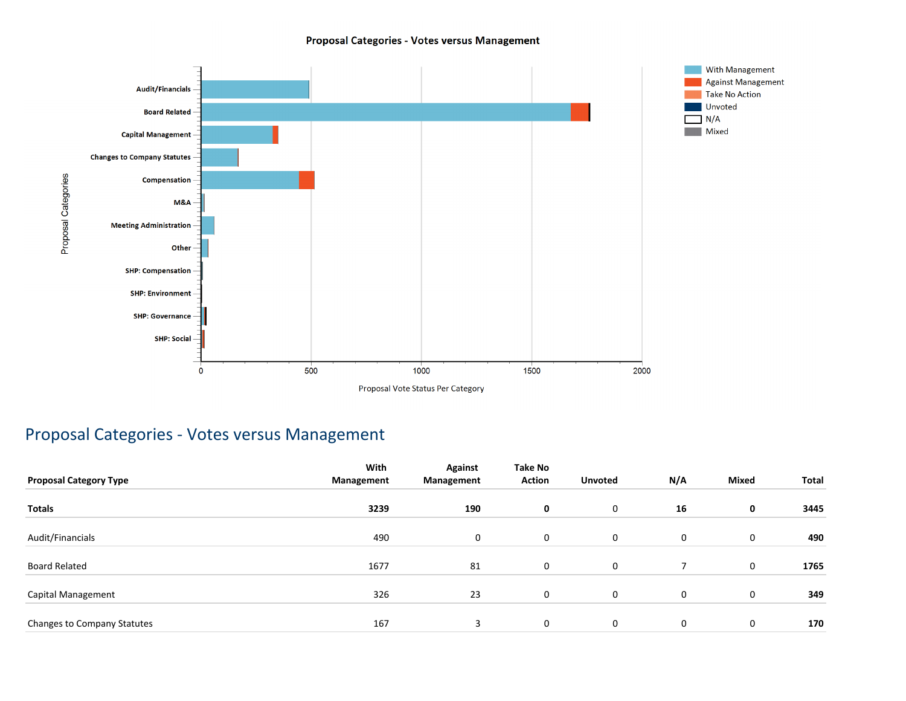#### Proposal Categories - Votes versus Management

![](_page_7_Figure_1.jpeg)

### Proposal Categories - Votes versus Management

|                               | With       | <b>Against</b> | <b>Take No</b> |                |             |              |       |
|-------------------------------|------------|----------------|----------------|----------------|-------------|--------------|-------|
| <b>Proposal Category Type</b> | Management | Management     | <b>Action</b>  | <b>Unvoted</b> | N/A         | <b>Mixed</b> | Total |
| <b>Totals</b>                 | 3239       | 190            | 0              | 0              | 16          | 0            | 3445  |
| Audit/Financials              | 490        | 0              | 0              | $\mathbf 0$    | 0           | 0            | 490   |
| <b>Board Related</b>          | 1677       | 81             | 0              | $\mathbf 0$    |             | 0            | 1765  |
| Capital Management            | 326        | 23             | 0              | 0              | $\mathbf 0$ | 0            | 349   |
| Changes to Company Statutes   | 167        | 3              | 0              | 0              | 0           | 0            | 170   |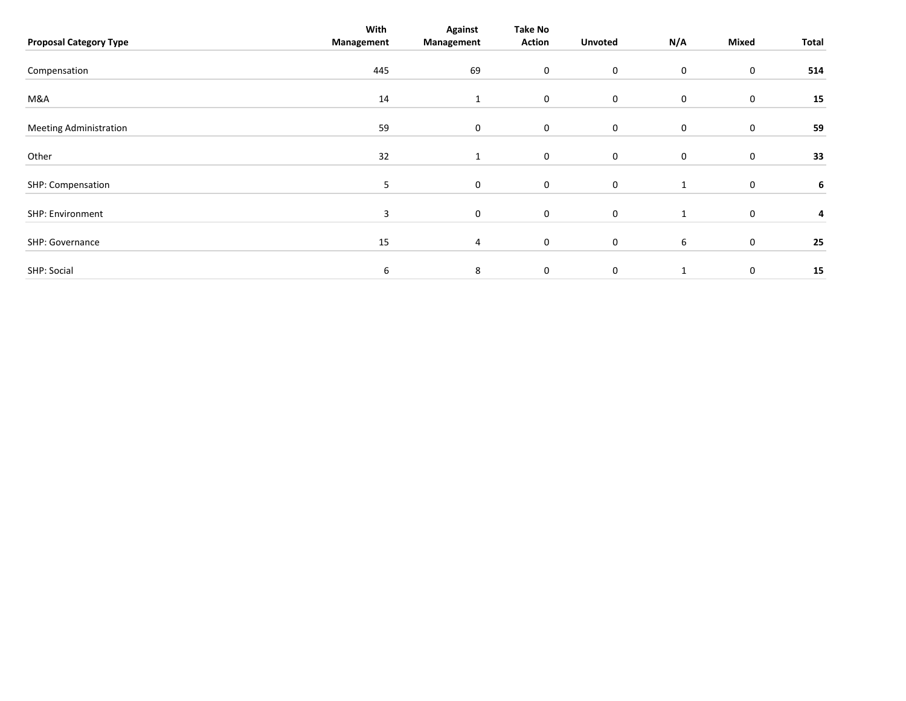| <b>Proposal Category Type</b> | With<br>Management | <b>Against</b><br>Management | <b>Take No</b><br><b>Action</b> | <b>Unvoted</b> | N/A | Mixed       | Total |
|-------------------------------|--------------------|------------------------------|---------------------------------|----------------|-----|-------------|-------|
| Compensation                  | 445                | 69                           | 0                               | 0              | 0   | 0           | 514   |
| M&A                           | 14                 | $\mathbf{1}$                 | $\boldsymbol{0}$                | $\mathbf 0$    | 0   | 0           | 15    |
| <b>Meeting Administration</b> | 59                 | $\mathbf 0$                  | $\mathbf 0$                     | 0              | 0   | 0           | 59    |
| Other                         | 32                 |                              | 0                               | $\mathbf 0$    | 0   | 0           | 33    |
| SHP: Compensation             | $5\overline{)}$    | 0                            | $\boldsymbol{0}$                | $\mathbf 0$    | 1   | 0           | 6     |
| SHP: Environment              | 3                  | 0                            | $\mathbf 0$                     | $\mathbf 0$    | 1   | 0           | 4     |
| SHP: Governance               | 15                 | 4                            | $\boldsymbol{0}$                | $\mathbf 0$    | 6   | $\mathbf 0$ | 25    |
| SHP: Social                   | 6                  | 8                            | 0                               | $\mathbf 0$    | 1   | 0           | 15    |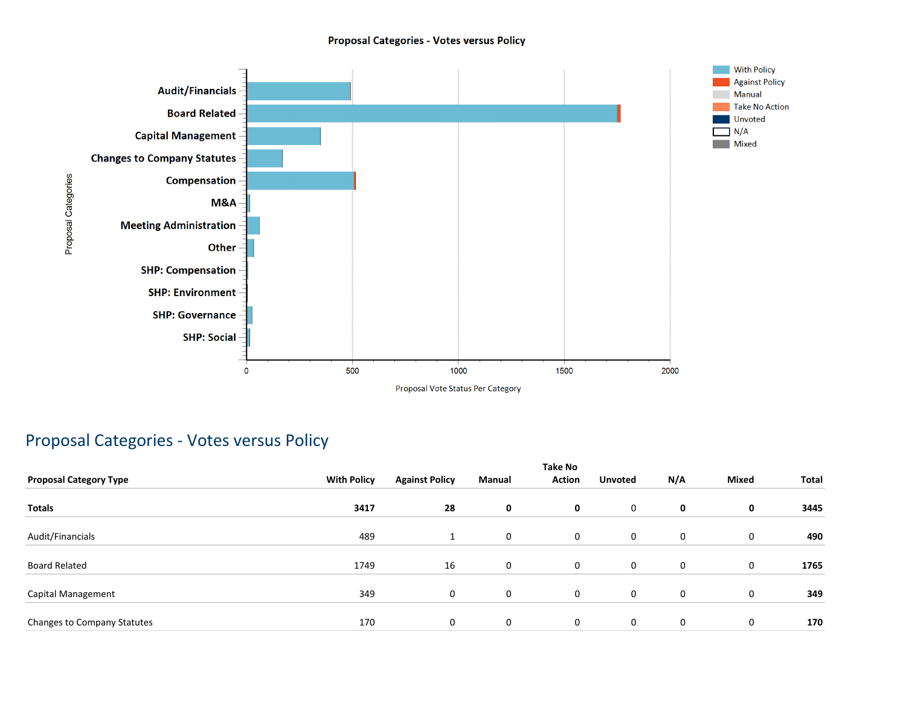#### **Proposal Categories - Votes versus Policy**

![](_page_9_Figure_1.jpeg)

### Proposal Categories - Votes versus Policy

| <b>Proposal Category Type</b> | <b>With Policy</b> | <b>Against Policy</b> | Manual      | <b>Take No</b><br><b>Action</b> | <b>Unvoted</b> | N/A | <b>Mixed</b> | Total |
|-------------------------------|--------------------|-----------------------|-------------|---------------------------------|----------------|-----|--------------|-------|
| <b>Totals</b>                 | 3417               | 28                    | $\mathbf 0$ | 0                               | 0              | 0   | 0            | 3445  |
| Audit/Financials              | 489                |                       | $\mathbf 0$ | 0                               | 0              | 0   | $\mathbf 0$  | 490   |
| <b>Board Related</b>          | 1749               | 16                    | 0           | 0                               | 0              | 0   | 0            | 1765  |
| Capital Management            | 349                | $\mathbf{0}$          | $\mathbf 0$ | 0                               | 0              | 0   | $\mathbf 0$  | 349   |
| Changes to Company Statutes   | 170                | 0                     | 0           | 0                               | 0              | 0   | 0            | 170   |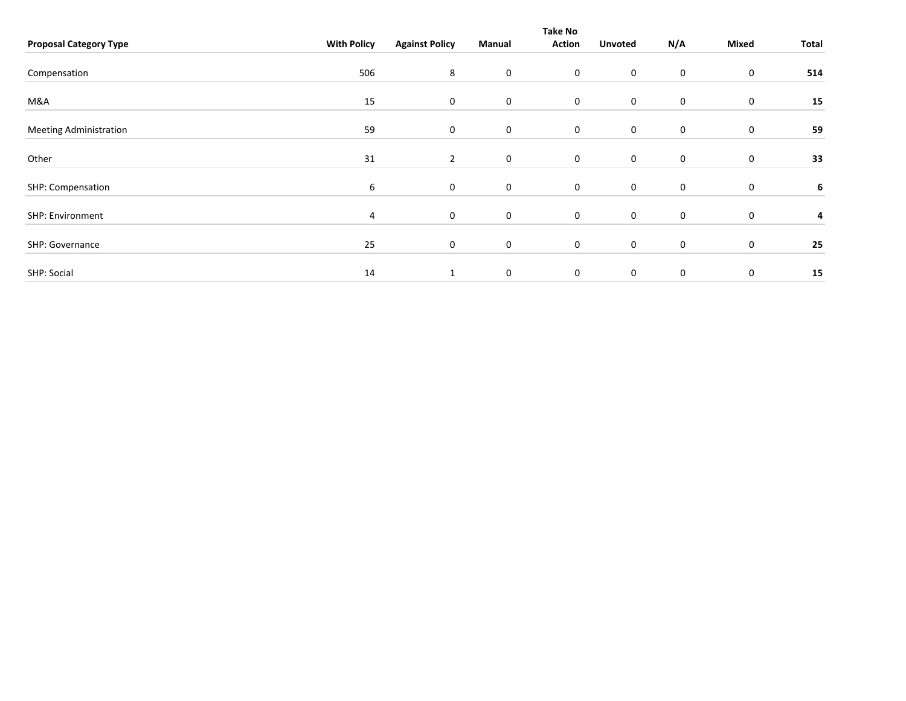|                               |                    |                       |                | <b>Take No</b> |                |     |                  |       |
|-------------------------------|--------------------|-----------------------|----------------|----------------|----------------|-----|------------------|-------|
| <b>Proposal Category Type</b> | <b>With Policy</b> | <b>Against Policy</b> | Manual         | <b>Action</b>  | <b>Unvoted</b> | N/A | Mixed            | Total |
|                               |                    |                       |                |                |                |     |                  |       |
| Compensation                  | 506                | 8                     | $\mathbf 0$    | $\mathbf 0$    | 0              | 0   | 0                | 514   |
| M&A                           | 15                 | $\boldsymbol{0}$      | $\mathbf 0$    | $\mathbf 0$    | $\mathbf 0$    | 0   | $\boldsymbol{0}$ | 15    |
|                               |                    |                       |                |                |                |     |                  |       |
| <b>Meeting Administration</b> | 59                 | $\boldsymbol{0}$      | $\mathbf 0$    | $\mathsf 0$    | $\mathbf 0$    | 0   | 0                | 59    |
| Other                         | 31                 | $\overline{2}$        | $\mathbf 0$    | $\mathbf 0$    | $\mathbf 0$    | 0   | 0                | 33    |
|                               |                    |                       |                |                |                |     |                  |       |
| SHP: Compensation             | 6                  | $\mathbf 0$           | $\mathbf 0$    | $\mathbf 0$    | 0              | 0   | 0                | 6     |
| SHP: Environment              | 4                  | $\mathbf 0$           | $\overline{0}$ | 0              | 0              | 0   | 0                | 4     |
|                               |                    |                       |                |                |                |     |                  |       |
| SHP: Governance               | 25                 | $\boldsymbol{0}$      | $\mathbf 0$    | $\mathbf 0$    | $\mathbf 0$    | 0   | 0                | 25    |
|                               |                    |                       |                |                |                |     |                  |       |
| SHP: Social                   | 14                 | $\mathbf{1}$          | $\mathbf 0$    | $\mathbf 0$    | $\mathbf 0$    | 0   | 0                | 15    |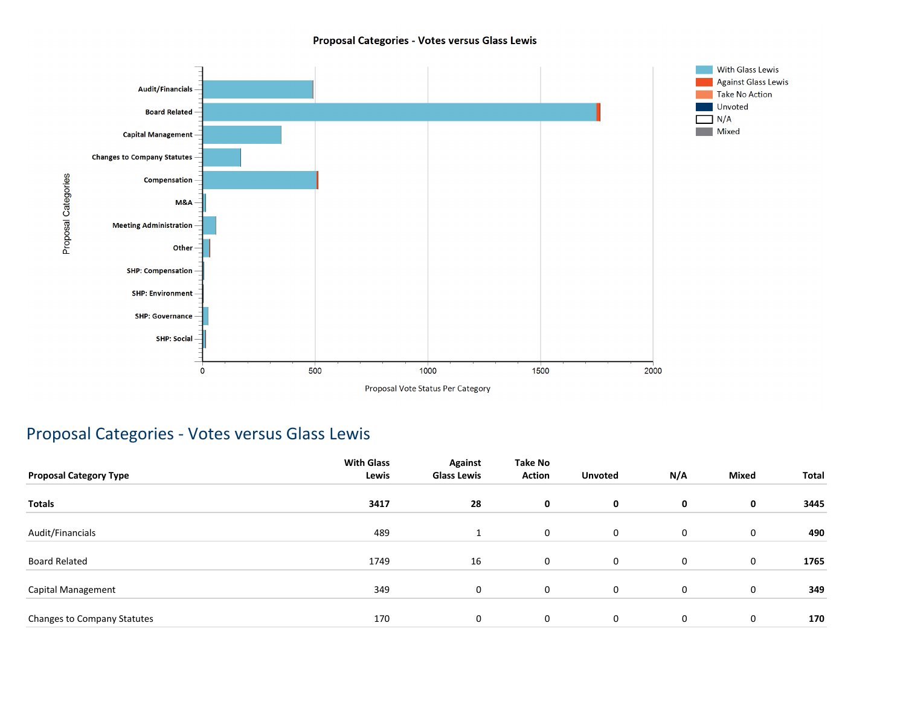#### Proposal Categories - Votes versus Glass Lewis

![](_page_11_Figure_1.jpeg)

### Proposal Categories - Votes versus Glass Lewis

| <b>Proposal Category Type</b> | <b>With Glass</b><br>Lewis | <b>Against</b><br><b>Glass Lewis</b> | Take No<br><b>Action</b> | <b>Unvoted</b> | N/A | <b>Mixed</b> | Total |
|-------------------------------|----------------------------|--------------------------------------|--------------------------|----------------|-----|--------------|-------|
| <b>Totals</b>                 | 3417                       | 28                                   | $\mathbf 0$              | $\mathbf 0$    | 0   | 0            | 3445  |
| Audit/Financials              | 489                        | $\mathbf{A}$                         | 0                        | $\mathbf 0$    | 0   | $\mathbf 0$  | 490   |
| <b>Board Related</b>          | 1749                       | 16                                   | $\mathbf 0$              | $\mathbf 0$    | 0   | $\mathbf 0$  | 1765  |
| Capital Management            | 349                        | 0                                    | $\mathbf 0$              | $\mathbf 0$    | 0   | $\mathbf 0$  | 349   |
| Changes to Company Statutes   | 170                        | 0                                    | $\mathbf 0$              | 0              | 0   | 0            | 170   |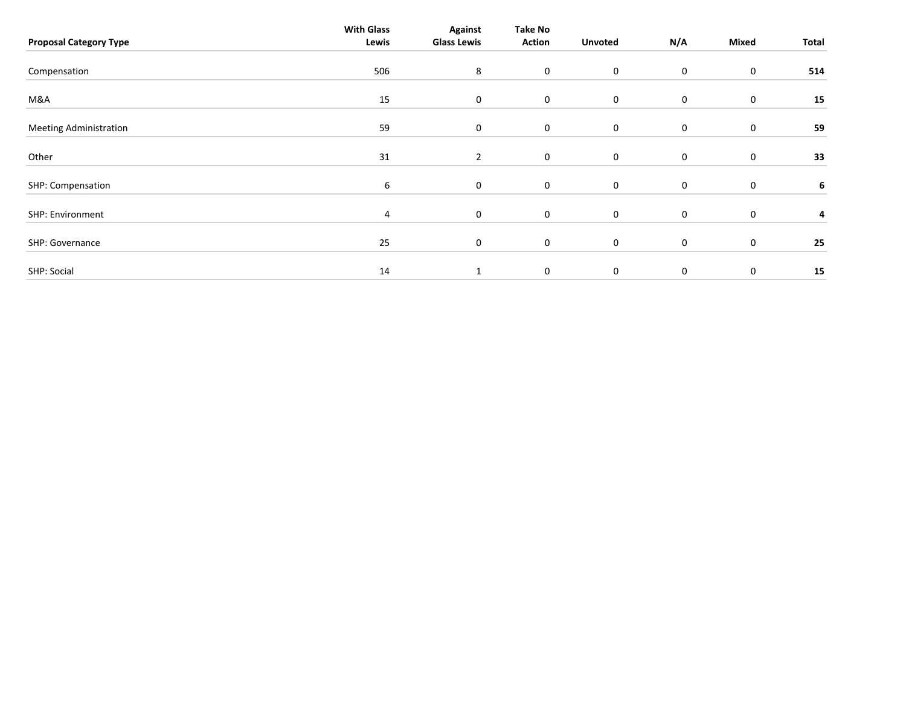| <b>Proposal Category Type</b> | <b>With Glass</b><br>Lewis | <b>Against</b><br><b>Glass Lewis</b> | Take No<br><b>Action</b> | <b>Unvoted</b> | N/A         | Mixed     | Total |
|-------------------------------|----------------------------|--------------------------------------|--------------------------|----------------|-------------|-----------|-------|
| Compensation                  | 506                        | 8                                    | $\mathbf 0$              | $\mathbf 0$    | 0           | 0         | 514   |
| M&A                           | 15                         | $\boldsymbol{0}$                     | $\mathbf 0$              | $\mathbf 0$    | 0           | $\pmb{0}$ | 15    |
| <b>Meeting Administration</b> | 59                         | $\mathbf 0$                          | $\mathbf 0$              | $\mathbf 0$    | 0           | $\pmb{0}$ | 59    |
| Other                         | 31                         | $\overline{2}$                       | $\mathbf 0$              | $\mathbf 0$    | 0           | 0         | 33    |
| SHP: Compensation             | 6                          | $\mathbf 0$                          | $\mathbf 0$              | $\mathbf 0$    | 0           | 0         | 6     |
| SHP: Environment              | 4                          | 0                                    | $\mathbf 0$              | $\mathbf 0$    | 0           | 0         | 4     |
| SHP: Governance               | 25                         | $\mathbf 0$                          | $\mathbf 0$              | $\mathbf 0$    | 0           | $\pmb{0}$ | 25    |
| SHP: Social                   | 14                         | $\mathbf{1}$                         | 0                        | $\mathbf 0$    | $\mathbf 0$ | 0         | 15    |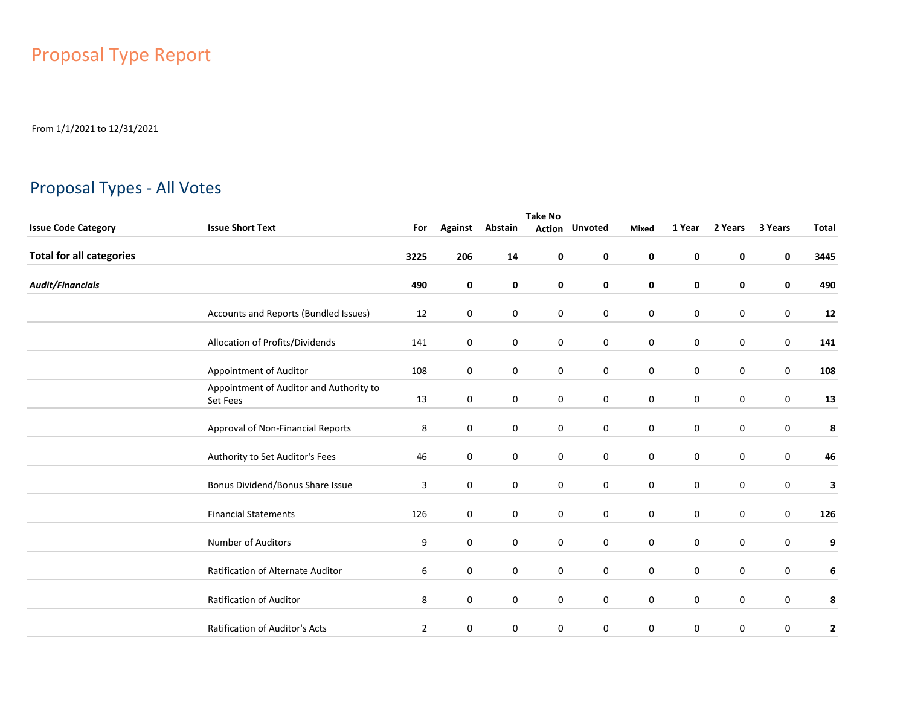# Proposal Type Report

From 1/1/2021 to 12/31/2021

### Proposal Types - All Votes

|                                 | <b>Take No</b>                                      |             |                  |             |             |                       |                  |             |             |             |              |  |
|---------------------------------|-----------------------------------------------------|-------------|------------------|-------------|-------------|-----------------------|------------------|-------------|-------------|-------------|--------------|--|
| <b>Issue Code Category</b>      | <b>Issue Short Text</b>                             | For         | <b>Against</b>   | Abstain     |             | <b>Action Unvoted</b> | <b>Mixed</b>     | 1 Year      | 2 Years     | 3 Years     | <b>Total</b> |  |
| <b>Total for all categories</b> |                                                     | 3225        | 206              | 14          | 0           | $\mathbf 0$           | 0                | 0           | 0           | 0           | 3445         |  |
| <b>Audit/Financials</b>         |                                                     | 490         | $\pmb{0}$        | 0           | 0           | $\mathbf 0$           | 0                | 0           | $\mathbf 0$ | 0           | 490          |  |
|                                 | Accounts and Reports (Bundled Issues)               | 12          | 0                | 0           | 0           | $\mathbf 0$           | 0                | $\pmb{0}$   | $\mathbf 0$ | $\mathbf 0$ | 12           |  |
|                                 | Allocation of Profits/Dividends                     | 141         | $\boldsymbol{0}$ | 0           | 0           | $\pmb{0}$             | $\boldsymbol{0}$ | $\pmb{0}$   | $\mathbf 0$ | 0           | 141          |  |
|                                 | Appointment of Auditor                              | 108         | 0                | 0           | 0           | $\mathbf 0$           | $\mathbf 0$      | 0           | 0           | 0           | 108          |  |
|                                 | Appointment of Auditor and Authority to<br>Set Fees | 13          | 0                | 0           | 0           | $\mathbf 0$           | 0                | 0           | 0           | 0           | 13           |  |
|                                 | Approval of Non-Financial Reports                   | 8           | $\mathbf 0$      | $\mathbf 0$ | $\mathbf 0$ | $\mathbf 0$           | $\mathbf 0$      | $\mathbf 0$ | $\mathbf 0$ | $\mathbf 0$ | 8            |  |
|                                 | Authority to Set Auditor's Fees                     | 46          | $\mathbf 0$      | 0           | 0           | $\mathbf 0$           | $\mathbf 0$      | $\pmb{0}$   | $\mathbf 0$ | 0           | 46           |  |
|                                 | Bonus Dividend/Bonus Share Issue                    | 3           | $\mathbf 0$      | $\mathbf 0$ | $\mathbf 0$ | $\mathbf 0$           | $\mathbf 0$      | $\mathbf 0$ | $\mathbf 0$ | 0           | 3            |  |
|                                 | <b>Financial Statements</b>                         | 126         | $\mathbf 0$      | 0           | 0           | $\mathbf 0$           | $\mathbf 0$      | $\mathbf 0$ | $\mathbf 0$ | 0           | 126          |  |
|                                 | <b>Number of Auditors</b>                           | 9           | $\mathbf 0$      | 0           | 0           | $\mathbf 0$           | $\mathbf 0$      | $\mathbf 0$ | $\mathbf 0$ | $\mathbf 0$ | 9            |  |
|                                 | Ratification of Alternate Auditor                   | 6           | $\mathbf 0$      | 0           | 0           | $\mathbf 0$           | $\mathbf 0$      | 0           | $\mathbf 0$ | 0           | 6            |  |
|                                 | Ratification of Auditor                             | 8           | $\mathbf 0$      | 0           | 0           | $\mathbf 0$           | $\mathbf 0$      | $\mathbf 0$ | $\mathbf 0$ | 0           | 8            |  |
|                                 | Ratification of Auditor's Acts                      | $\mathbf 2$ | $\mathbf 0$      | $\mathbf 0$ | 0           | $\mathbf 0$           | 0                | $\mathbf 0$ | 0           | 0           | $\mathbf 2$  |  |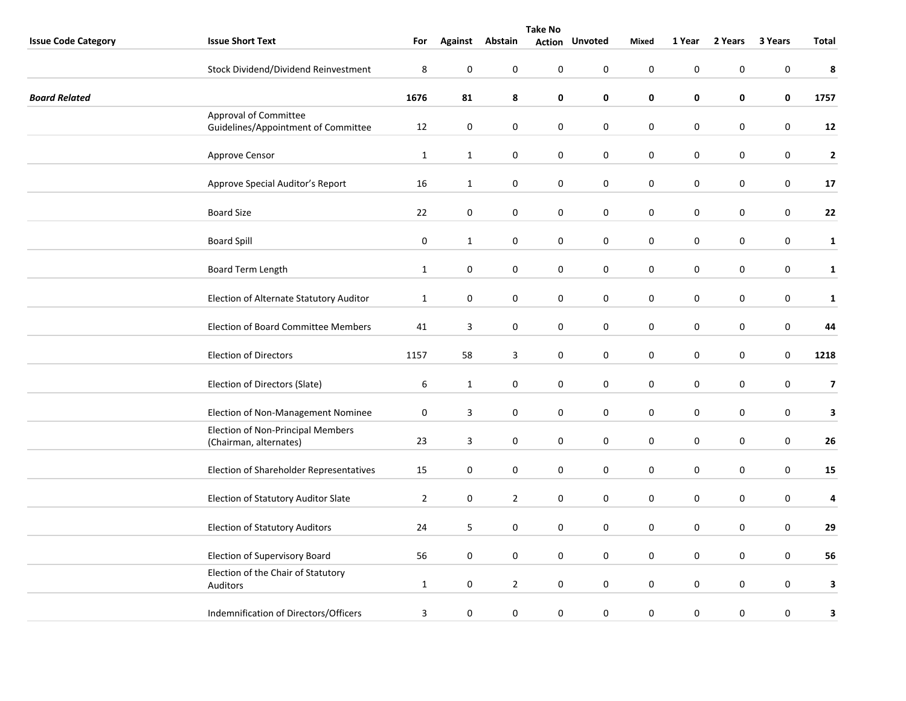|                            | <b>Take No</b>                                                     |                  |                  |                  |                  |                |                  |                  |             |                  |                         |
|----------------------------|--------------------------------------------------------------------|------------------|------------------|------------------|------------------|----------------|------------------|------------------|-------------|------------------|-------------------------|
| <b>Issue Code Category</b> | <b>Issue Short Text</b>                                            | For              |                  | Against Abstain  | <b>Action</b>    | <b>Unvoted</b> | <b>Mixed</b>     | 1 Year           | 2 Years     | 3 Years          | <b>Total</b>            |
|                            | Stock Dividend/Dividend Reinvestment                               | $\,8\,$          | $\pmb{0}$        | $\mathbf 0$      | $\boldsymbol{0}$ | $\pmb{0}$      | $\mathbf 0$      | $\boldsymbol{0}$ | $\pmb{0}$   | $\mathbf 0$      | $\pmb{8}$               |
| <b>Board Related</b>       |                                                                    | 1676             | 81               | 8                | 0                | $\pmb{0}$      | $\pmb{0}$        | $\pmb{0}$        | 0           | $\pmb{0}$        | 1757                    |
|                            | Approval of Committee<br>Guidelines/Appointment of Committee       | 12               | $\boldsymbol{0}$ | 0                | 0                | $\bf{0}$       | 0                | $\pmb{0}$        | 0           | $\mathbf 0$      | 12                      |
|                            | Approve Censor                                                     | $\mathbf{1}$     | $\mathbf{1}$     | $\pmb{0}$        | $\boldsymbol{0}$ | $\pmb{0}$      | $\boldsymbol{0}$ | $\boldsymbol{0}$ | $\pmb{0}$   | $\mathbf 0$      | $\mathbf{2}$            |
|                            | Approve Special Auditor's Report                                   | 16               | $\mathbf{1}$     | $\mathbf 0$      | 0                | $\pmb{0}$      | $\pmb{0}$        | $\pmb{0}$        | $\pmb{0}$   | $\mathbf 0$      | $17\,$                  |
|                            | <b>Board Size</b>                                                  | 22               | 0                | 0                | 0                | $\bf{0}$       | $\pmb{0}$        | $\pmb{0}$        | 0           | $\mathbf 0$      | 22                      |
|                            | <b>Board Spill</b>                                                 | $\boldsymbol{0}$ | $\mathbf{1}$     | $\pmb{0}$        | $\pmb{0}$        | $\pmb{0}$      | $\pmb{0}$        | $\boldsymbol{0}$ | 0           | $\mathbf 0$      | $\mathbf{1}$            |
|                            | Board Term Length                                                  | $\mathbf{1}$     | $\mathbf 0$      | 0                | 0                | $\mathbf 0$    | $\bf{0}$         | $\mathbf 0$      | 0           | $\mathbf 0$      | $\mathbf{1}$            |
|                            | Election of Alternate Statutory Auditor                            | $\mathbf{1}$     | $\boldsymbol{0}$ | 0                | 0                | $\pmb{0}$      | $\pmb{0}$        | $\pmb{0}$        | 0           | $\mathbf 0$      | ${\bf 1}$               |
|                            | <b>Election of Board Committee Members</b>                         | 41               | $\mathbf{3}$     | $\pmb{0}$        | $\boldsymbol{0}$ | $\pmb{0}$      | $\boldsymbol{0}$ | $\boldsymbol{0}$ | 0           | $\mathbf 0$      | 44                      |
|                            | <b>Election of Directors</b>                                       | 1157             | 58               | 3                | 0                | $\mathbf 0$    | $\mathbf 0$      | $\mathbf 0$      | 0           | $\mathbf 0$      | 1218                    |
|                            | Election of Directors (Slate)                                      | 6                | $\mathbf{1}$     | 0                | 0                | $\bf{0}$       | $\boldsymbol{0}$ | $\pmb{0}$        | 0           | $\mathbf 0$      | $\overline{\mathbf{z}}$ |
|                            | Election of Non-Management Nominee                                 | $\boldsymbol{0}$ | $\overline{3}$   | $\boldsymbol{0}$ | $\pmb{0}$        | $\pmb{0}$      | $\mathbf 0$      | $\boldsymbol{0}$ | 0           | $\mathbf 0$      | $\mathbf{3}$            |
|                            | <b>Election of Non-Principal Members</b><br>(Chairman, alternates) | 23               | $\mathsf 3$      | 0                | 0                | $\pmb{0}$      | $\pmb{0}$        | $\pmb{0}$        | 0           | $\pmb{0}$        | 26                      |
|                            | Election of Shareholder Representatives                            | 15               | 0                | 0                | 0                | $\mathbf 0$    | 0                | $\pmb{0}$        | 0           | $\mathbf 0$      | 15                      |
|                            | Election of Statutory Auditor Slate                                | $\overline{2}$   | $\pmb{0}$        | $\overline{2}$   | $\boldsymbol{0}$ | 0              | $\boldsymbol{0}$ | $\pmb{0}$        | 0           | $\mathbf 0$      | $\pmb{4}$               |
|                            | <b>Election of Statutory Auditors</b>                              | 24               | 5                | $\mathbf 0$      | $\boldsymbol{0}$ | $\bf{0}$       | $\boldsymbol{0}$ | $\pmb{0}$        | 0           | $\boldsymbol{0}$ | 29                      |
|                            | Election of Supervisory Board                                      | 56               | $\mathbf 0$      | 0                | 0                | $\bf{0}$       | $\boldsymbol{0}$ | $\pmb{0}$        | 0           | $\boldsymbol{0}$ | 56                      |
|                            | Election of the Chair of Statutory<br>Auditors                     | $\mathbf{1}$     | $\pmb{0}$        | $\overline{2}$   | 0                | $\pmb{0}$      | $\mathbf 0$      | $\pmb{0}$        | $\mathbf 0$ | $\pmb{0}$        | $\mathbf{3}$            |
|                            | Indemnification of Directors/Officers                              | 3                | $\pmb{0}$        | 0                | $\boldsymbol{0}$ | $\pmb{0}$      | $\boldsymbol{0}$ | $\pmb{0}$        | 0           | 0                | $\mathbf 3$             |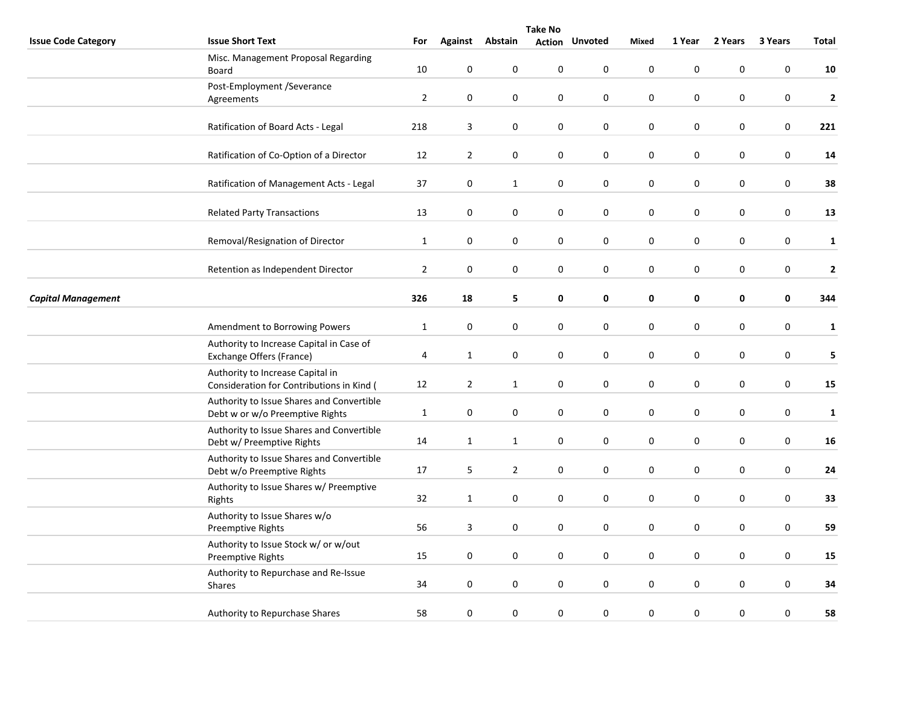|                            | <b>Take No</b>                                                                |                |                |                  |                  |                       |             |             |           |         |              |
|----------------------------|-------------------------------------------------------------------------------|----------------|----------------|------------------|------------------|-----------------------|-------------|-------------|-----------|---------|--------------|
| <b>Issue Code Category</b> | <b>Issue Short Text</b>                                                       | For            | <b>Against</b> | Abstain          |                  | <b>Action Unvoted</b> | Mixed       | 1 Year      | 2 Years   | 3 Years | Total        |
|                            | Misc. Management Proposal Regarding<br>Board                                  | 10             | 0              | 0                | 0                | 0                     | $\pmb{0}$   | $\pmb{0}$   | 0         | 0       | 10           |
|                            | Post-Employment /Severance<br>Agreements                                      | $\overline{2}$ | 0              | $\mathbf 0$      | $\mathbf 0$      | 0                     | $\mathbf 0$ | $\mathbf 0$ | 0         | 0       | $\mathbf{2}$ |
|                            | Ratification of Board Acts - Legal                                            | 218            | 3              | 0                | $\boldsymbol{0}$ | 0                     | $\pmb{0}$   | $\pmb{0}$   | $\pmb{0}$ | 0       | 221          |
|                            | Ratification of Co-Option of a Director                                       | 12             | $\overline{2}$ | 0                | $\mathbf 0$      | 0                     | $\pmb{0}$   | $\pmb{0}$   | 0         | 0       | 14           |
|                            | Ratification of Management Acts - Legal                                       | 37             | 0              | $\mathbf{1}$     | $\boldsymbol{0}$ | $\boldsymbol{0}$      | $\pmb{0}$   | $\pmb{0}$   | $\pmb{0}$ | 0       | 38           |
|                            | <b>Related Party Transactions</b>                                             | 13             | 0              | 0                | 0                | $\pmb{0}$             | $\pmb{0}$   | $\pmb{0}$   | 0         | 0       | 13           |
|                            | Removal/Resignation of Director                                               | $\mathbf{1}$   | 0              | 0                | 0                | $\pmb{0}$             | $\pmb{0}$   | $\pmb{0}$   | 0         | 0       | $\mathbf{1}$ |
|                            | Retention as Independent Director                                             | $\overline{2}$ | $\pmb{0}$      | 0                | 0                | 0                     | $\pmb{0}$   | $\pmb{0}$   | 0         | 0       | $\mathbf{2}$ |
| <b>Capital Management</b>  |                                                                               | 326            | 18             | 5                | 0                | 0                     | $\mathbf 0$ | $\pmb{0}$   | 0         | 0       | 344          |
|                            | Amendment to Borrowing Powers                                                 | $\mathbf{1}$   | $\pmb{0}$      | $\boldsymbol{0}$ | $\boldsymbol{0}$ | $\boldsymbol{0}$      | $\pmb{0}$   | $\pmb{0}$   | $\pmb{0}$ | 0       | $\mathbf{1}$ |
|                            | Authority to Increase Capital in Case of<br>Exchange Offers (France)          | 4              | $\mathbf{1}$   | $\boldsymbol{0}$ | $\boldsymbol{0}$ | $\pmb{0}$             | $\pmb{0}$   | $\pmb{0}$   | 0         | 0       | 5            |
|                            | Authority to Increase Capital in<br>Consideration for Contributions in Kind ( | 12             | $\overline{2}$ | $\mathbf{1}$     | 0                | 0                     | 0           | $\mathbf 0$ | 0         | 0       | 15           |
|                            | Authority to Issue Shares and Convertible<br>Debt w or w/o Preemptive Rights  | $\mathbf{1}$   | 0              | 0                | 0                | 0                     | $\pmb{0}$   | $\pmb{0}$   | 0         | 0       | $\mathbf{1}$ |
|                            | Authority to Issue Shares and Convertible<br>Debt w/ Preemptive Rights        | 14             | $\mathbf{1}$   | $\mathbf{1}$     | $\mathbf 0$      | 0                     | $\pmb{0}$   | $\pmb{0}$   | 0         | 0       | 16           |
|                            | Authority to Issue Shares and Convertible<br>Debt w/o Preemptive Rights       | 17             | 5              | $\overline{2}$   | 0                | 0                     | $\pmb{0}$   | $\pmb{0}$   | 0         | 0       | 24           |
|                            | Authority to Issue Shares w/ Preemptive<br>Rights                             | 32             | $\mathbf{1}$   | 0                | $\boldsymbol{0}$ | $\pmb{0}$             | $\pmb{0}$   | $\pmb{0}$   | $\pmb{0}$ | 0       | 33           |
|                            | Authority to Issue Shares w/o<br>Preemptive Rights                            | 56             | 3              | 0                | 0                | 0                     | 0           | $\mathbf 0$ | 0         | 0       | 59           |
|                            | Authority to Issue Stock w/ or w/out<br>Preemptive Rights                     | 15             | 0              | 0                | 0                | 0                     | 0           | $\pmb{0}$   | 0         | 0       | 15           |
|                            | Authority to Repurchase and Re-Issue<br><b>Shares</b>                         | 34             | $\pmb{0}$      | 0                | $\pmb{0}$        | $\pmb{0}$             | $\pmb{0}$   | $\pmb{0}$   | 0         | 0       | 34           |
|                            | Authority to Repurchase Shares                                                | 58             | 0              | 0                | $\boldsymbol{0}$ | 0                     | $\pmb{0}$   | $\pmb{0}$   | 0         | 0       | 58           |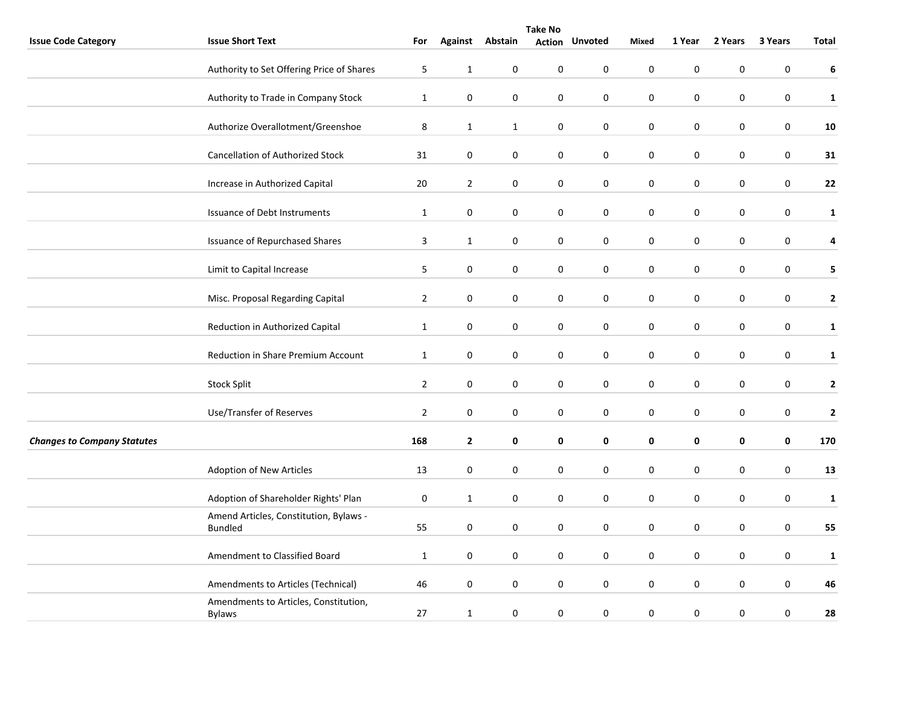|                                    |                                                          |                |                |                 | <b>Take No</b>   |                       |             |                  |             |         |              |
|------------------------------------|----------------------------------------------------------|----------------|----------------|-----------------|------------------|-----------------------|-------------|------------------|-------------|---------|--------------|
| <b>Issue Code Category</b>         | <b>Issue Short Text</b>                                  | For            |                | Against Abstain |                  | <b>Action Unvoted</b> | Mixed       | 1 Year           | 2 Years     | 3 Years | Total        |
|                                    | Authority to Set Offering Price of Shares                | 5              | $\mathbf{1}$   | 0               | $\pmb{0}$        | 0                     | $\mathbf 0$ | $\pmb{0}$        | $\pmb{0}$   | 0       | 6            |
|                                    | Authority to Trade in Company Stock                      | $\mathbf{1}$   | $\pmb{0}$      | $\pmb{0}$       | $\mathbf 0$      | $\boldsymbol{0}$      | $\pmb{0}$   | $\pmb{0}$        | 0           | 0       | $\mathbf 1$  |
|                                    | Authorize Overallotment/Greenshoe                        | 8              | $\mathbf{1}$   | $\mathbf{1}$    | $\pmb{0}$        | 0                     | $\pmb{0}$   | $\pmb{0}$        | $\pmb{0}$   | 0       | 10           |
|                                    | <b>Cancellation of Authorized Stock</b>                  | 31             | $\pmb{0}$      | $\mathbf 0$     | $\pmb{0}$        | $\pmb{0}$             | $\pmb{0}$   | $\pmb{0}$        | $\pmb{0}$   | 0       | 31           |
|                                    | Increase in Authorized Capital                           | 20             | $\overline{2}$ | 0               | $\mathbf 0$      | 0                     | 0           | $\pmb{0}$        | $\mathbf 0$ | 0       | 22           |
|                                    | Issuance of Debt Instruments                             | $\mathbf{1}$   | 0              | 0               | 0                | 0                     | 0           | $\pmb{0}$        | 0           | 0       | $\mathbf{1}$ |
|                                    | <b>Issuance of Repurchased Shares</b>                    | 3              | $\mathbf{1}$   | 0               | $\mathbf 0$      | 0                     | $\pmb{0}$   | $\pmb{0}$        | 0           | 0       | 4            |
|                                    | Limit to Capital Increase                                | 5              | $\pmb{0}$      | $\mathbf 0$     | $\pmb{0}$        | $\pmb{0}$             | $\pmb{0}$   | $\pmb{0}$        | $\pmb{0}$   | 0       | 5            |
|                                    | Misc. Proposal Regarding Capital                         | $\overline{2}$ | 0              | 0               | $\mathbf 0$      | 0                     | $\mathbf 0$ | $\boldsymbol{0}$ | 0           | 0       | $\mathbf{2}$ |
|                                    | Reduction in Authorized Capital                          | $\mathbf{1}$   | $\pmb{0}$      | $\pmb{0}$       | $\mathbf 0$      | 0                     | $\pmb{0}$   | $\pmb{0}$        | 0           | 0       | $\mathbf{1}$ |
|                                    | Reduction in Share Premium Account                       | $\mathbf 1$    | 0              | 0               | $\boldsymbol{0}$ | 0                     | $\pmb{0}$   | $\pmb{0}$        | $\pmb{0}$   | 0       | $\mathbf{1}$ |
|                                    | <b>Stock Split</b>                                       | $\overline{2}$ | 0              | 0               | $\pmb{0}$        | $\boldsymbol{0}$      | $\pmb{0}$   | $\pmb{0}$        | 0           | 0       | $\mathbf 2$  |
|                                    | Use/Transfer of Reserves                                 | $\overline{2}$ | $\mathbf 0$    | $\mathbf 0$     | $\mathbf 0$      | $\mathbf 0$           | $\pmb{0}$   | $\pmb{0}$        | 0           | 0       | $\mathbf{2}$ |
| <b>Changes to Company Statutes</b> |                                                          | 168            | $\mathbf{2}$   | 0               | $\pmb{0}$        | 0                     | $\mathbf 0$ | $\mathbf 0$      | 0           | 0       | 170          |
|                                    | Adoption of New Articles                                 | 13             | 0              | 0               | $\mathbf 0$      | 0                     | $\pmb{0}$   | $\pmb{0}$        | 0           | 0       | 13           |
|                                    | Adoption of Shareholder Rights' Plan                     | $\pmb{0}$      | $\mathbf{1}$   | 0               | $\mathbf 0$      | 0                     | $\pmb{0}$   | $\pmb{0}$        | 0           | 0       | $\mathbf 1$  |
|                                    | Amend Articles, Constitution, Bylaws -<br><b>Bundled</b> | 55             | 0              | 0               | $\boldsymbol{0}$ | $\pmb{0}$             | $\pmb{0}$   | $\pmb{0}$        | $\mathbf 0$ | 0       | 55           |
|                                    | Amendment to Classified Board                            | $\mathbf{1}$   | 0              | 0               | $\mathbf 0$      | 0                     | $\mathbf 0$ | $\pmb{0}$        | $\pmb{0}$   | 0       | $\mathbf{1}$ |
|                                    | Amendments to Articles (Technical)                       | 46             | 0              | $\mathbf 0$     | $\mathbf 0$      | $\mathbf 0$           | $\mathbf 0$ | $\pmb{0}$        | 0           | 0       | 46           |
|                                    | Amendments to Articles, Constitution,<br><b>Bylaws</b>   | 27             | $\mathbf{1}$   | 0               | $\mathbf 0$      | 0                     | $\pmb{0}$   | $\pmb{0}$        | 0           | 0       | 28           |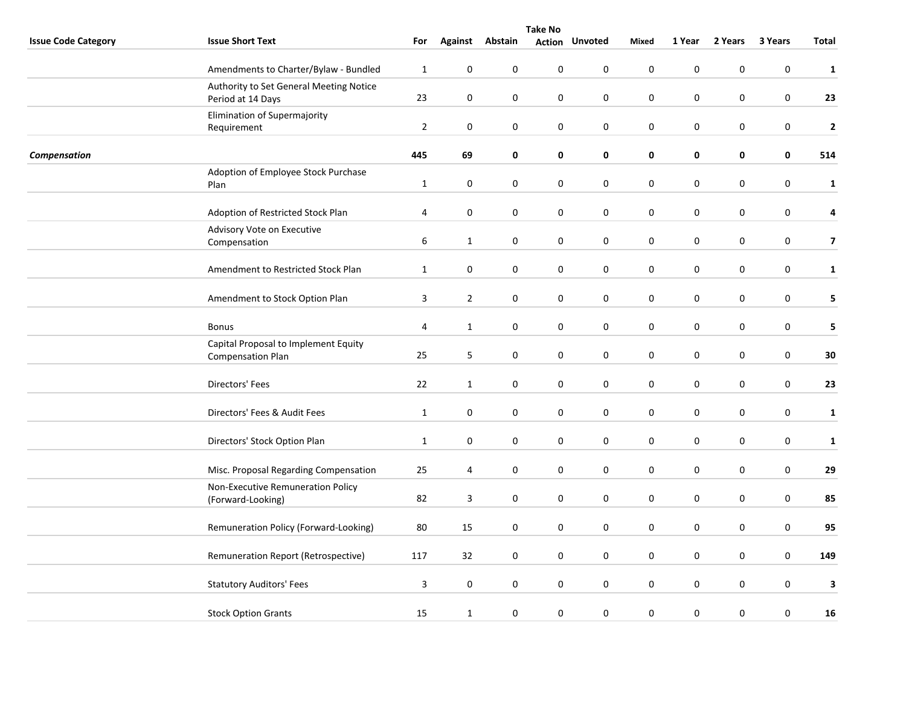|                            | <b>Take No</b>                                                   |                         |                  |           |           |                       |                  |             |             |                  |                         |
|----------------------------|------------------------------------------------------------------|-------------------------|------------------|-----------|-----------|-----------------------|------------------|-------------|-------------|------------------|-------------------------|
| <b>Issue Code Category</b> | <b>Issue Short Text</b>                                          | For                     | <b>Against</b>   | Abstain   |           | <b>Action Unvoted</b> | Mixed            | 1 Year      | 2 Years     | 3 Years          | <b>Total</b>            |
|                            | Amendments to Charter/Bylaw - Bundled                            | $\mathbf{1}$            | $\pmb{0}$        | $\pmb{0}$ | $\pmb{0}$ | $\mathbf 0$           | $\mathbf 0$      | $\pmb{0}$   | $\pmb{0}$   | $\boldsymbol{0}$ | $\mathbf{1}$            |
|                            | Authority to Set General Meeting Notice<br>Period at 14 Days     | 23                      | $\mathbf 0$      | $\pmb{0}$ | 0         | $\pmb{0}$             | $\pmb{0}$        | $\pmb{0}$   | $\pmb{0}$   | $\boldsymbol{0}$ | 23                      |
|                            | Elimination of Supermajority<br>Requirement                      | $\overline{2}$          | $\mathbf 0$      | 0         | 0         | $\mathbf 0$           | $\mathbf 0$      | $\mathbf 0$ | 0           | 0                | $\mathbf{2}$            |
| <b>Compensation</b>        |                                                                  | 445                     | 69               | $\pmb{0}$ | 0         | 0                     | 0                | $\pmb{0}$   | 0           | $\mathbf 0$      | 514                     |
|                            | Adoption of Employee Stock Purchase<br>Plan                      | $\mathbf{1}$            | $\boldsymbol{0}$ | 0         | 0         | 0                     | $\mathbf 0$      | $\pmb{0}$   | $\pmb{0}$   | $\boldsymbol{0}$ | $\mathbf{1}$            |
|                            | Adoption of Restricted Stock Plan                                | $\sqrt{4}$              | $\mathbf 0$      | 0         | 0         | 0                     | $\mathbf 0$      | $\pmb{0}$   | 0           | $\boldsymbol{0}$ | $\pmb{4}$               |
|                            | Advisory Vote on Executive<br>Compensation                       | 6                       | $\mathbf{1}$     | 0         | 0         | $\mathbf 0$           | $\mathbf 0$      | $\pmb{0}$   | 0           | 0                | $\overline{\mathbf{z}}$ |
|                            | Amendment to Restricted Stock Plan                               | $\mathbf{1}$            | $\boldsymbol{0}$ | 0         | 0         | 0                     | $\mathbf 0$      | $\pmb{0}$   | 0           | 0                | $\mathbf{1}$            |
|                            | Amendment to Stock Option Plan                                   | 3                       | $\overline{2}$   | 0         | $\pmb{0}$ | 0                     | $\mathbf 0$      | $\pmb{0}$   | 0           | 0                | 5                       |
|                            | <b>Bonus</b>                                                     | 4                       | $\mathbf{1}$     | 0         | 0         | $\mathbf 0$           | $\mathbf 0$      | $\pmb{0}$   | 0           | $\mathbf 0$      | 5                       |
|                            | Capital Proposal to Implement Equity<br><b>Compensation Plan</b> | 25                      | 5                | 0         | 0         | $\mathbf 0$           | $\mathbf 0$      | $\pmb{0}$   | 0           | 0                | 30                      |
|                            | Directors' Fees                                                  | 22                      | $\mathbf{1}$     | 0         | 0         | $\mathbf 0$           | $\mathbf 0$      | $\pmb{0}$   | 0           | $\pmb{0}$        | 23                      |
|                            | Directors' Fees & Audit Fees                                     | $\mathbf{1}$            | $\mathbf 0$      | $\pmb{0}$ | 0         | $\mathbf 0$           | $\mathbf 0$      | $\pmb{0}$   | 0           | $\boldsymbol{0}$ | $\mathbf{1}$            |
|                            | Directors' Stock Option Plan                                     | $\mathbf{1}$            | $\boldsymbol{0}$ | 0         | 0         | $\mathbf 0$           | $\mathbf 0$      | $\pmb{0}$   | $\mathbf 0$ | 0                | $\mathbf{1}$            |
|                            | Misc. Proposal Regarding Compensation                            | 25                      | 4                | 0         | 0         | 0                     | $\mathbf 0$      | $\pmb{0}$   | 0           | $\mathbf 0$      | 29                      |
|                            | Non-Executive Remuneration Policy<br>(Forward-Looking)           | 82                      | 3                | $\pmb{0}$ | $\pmb{0}$ | $\pmb{0}$             | $\pmb{0}$        | $\pmb{0}$   | 0           | $\boldsymbol{0}$ | 85                      |
|                            | Remuneration Policy (Forward-Looking)                            | 80                      | 15               | 0         | 0         | $\mathbf 0$           | $\boldsymbol{0}$ | $\pmb{0}$   | 0           | 0                | 95                      |
|                            | Remuneration Report (Retrospective)                              | 117                     | 32               | 0         | 0         | $\mathbf 0$           | $\mathbf 0$      | $\pmb{0}$   | 0           | $\pmb{0}$        | 149                     |
|                            | <b>Statutory Auditors' Fees</b>                                  | $\overline{\mathbf{3}}$ | $\boldsymbol{0}$ | 0         | 0         | 0                     | $\mathbf 0$      | $\pmb{0}$   | $\pmb{0}$   | $\mathbf 0$      | 3                       |
|                            | <b>Stock Option Grants</b>                                       | 15                      | $\mathbf{1}$     | 0         | $\pmb{0}$ | $\mathbf 0$           | $\pmb{0}$        | $\pmb{0}$   | 0           | $\mathbf 0$      | 16                      |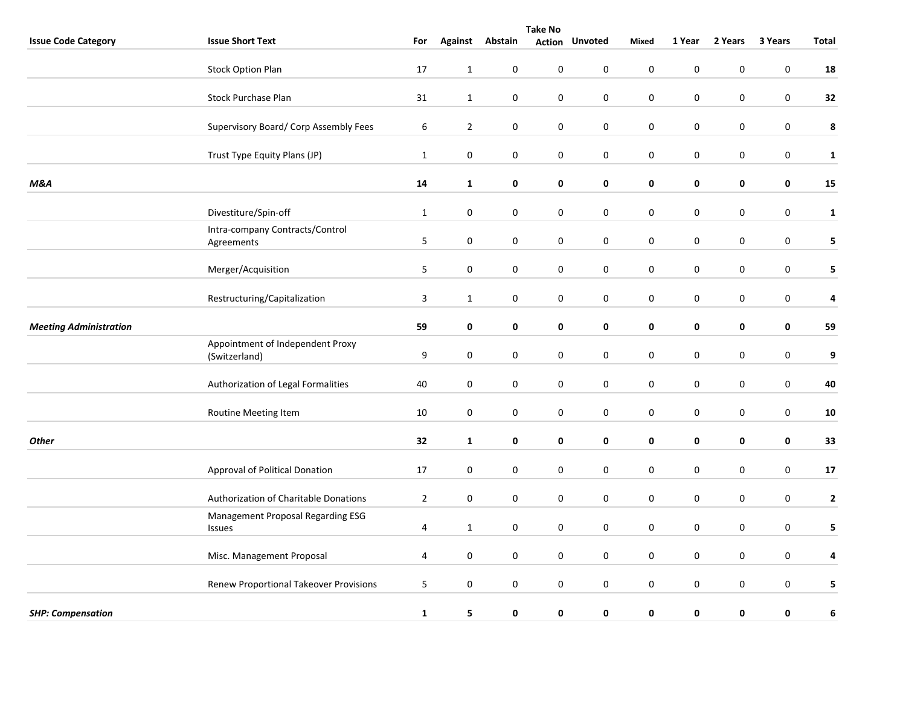|                               | <b>Take No</b>                                    |              |                  |                 |                  |                       |                  |             |           |                  |                  |  |
|-------------------------------|---------------------------------------------------|--------------|------------------|-----------------|------------------|-----------------------|------------------|-------------|-----------|------------------|------------------|--|
| <b>Issue Code Category</b>    | <b>Issue Short Text</b>                           | For          |                  | Against Abstain |                  | <b>Action Unvoted</b> | Mixed            | 1 Year      | 2 Years   | 3 Years          | Total            |  |
|                               | <b>Stock Option Plan</b>                          | 17           | $\mathbf{1}$     | 0               | 0                | $\mathbf 0$           | $\mathbf 0$      | $\pmb{0}$   | 0         | $\mathbf 0$      | 18               |  |
|                               | <b>Stock Purchase Plan</b>                        | 31           | $\mathbf{1}$     | $\pmb{0}$       | $\pmb{0}$        | $\boldsymbol{0}$      | $\boldsymbol{0}$ | $\pmb{0}$   | 0         | $\pmb{0}$        | 32               |  |
|                               | Supervisory Board/ Corp Assembly Fees             | 6            | $\overline{2}$   | $\pmb{0}$       | 0                | 0                     | $\mathbf 0$      | $\pmb{0}$   | 0         | $\boldsymbol{0}$ | 8                |  |
|                               | Trust Type Equity Plans (JP)                      | $\mathbf{1}$ | $\pmb{0}$        | 0               | $\pmb{0}$        | $\pmb{0}$             | $\pmb{0}$        | $\pmb{0}$   | $\pmb{0}$ | $\mathbf 0$      | ${\bf 1}$        |  |
| <b>M&amp;A</b>                |                                                   | 14           | $\mathbf{1}$     | $\pmb{0}$       | $\pmb{0}$        | $\pmb{0}$             | $\pmb{0}$        | $\pmb{0}$   | 0         | $\mathbf 0$      | 15               |  |
|                               | Divestiture/Spin-off                              | $\mathbf{1}$ | 0                | 0               | 0                | $\mathbf 0$           | $\mathbf 0$      | $\pmb{0}$   | 0         | 0                | $\mathbf{1}$     |  |
|                               | Intra-company Contracts/Control<br>Agreements     | 5            | $\mathbf 0$      | 0               | $\pmb{0}$        | $\mathbf 0$           | $\mathbf 0$      | $\mathbf 0$ | 0         | $\pmb{0}$        | 5                |  |
|                               | Merger/Acquisition                                | 5            | $\pmb{0}$        | $\pmb{0}$       | 0                | $\mathbf 0$           | $\mathbf 0$      | $\pmb{0}$   | $\pmb{0}$ | $\boldsymbol{0}$ | 5                |  |
|                               | Restructuring/Capitalization                      | 3            | $\mathbf{1}$     | 0               | $\pmb{0}$        | 0                     | $\mathbf 0$      | $\pmb{0}$   | $\pmb{0}$ | $\mathbf 0$      | 4                |  |
| <b>Meeting Administration</b> |                                                   | 59           | $\pmb{0}$        | $\mathbf 0$     | $\pmb{0}$        | $\pmb{0}$             | $\pmb{0}$        | $\pmb{0}$   | 0         | $\mathbf 0$      | 59               |  |
|                               | Appointment of Independent Proxy<br>(Switzerland) | 9            | $\pmb{0}$        | $\pmb{0}$       | $\mathsf 0$      | $\mathbf 0$           | $\mathbf 0$      | $\pmb{0}$   | 0         | $\boldsymbol{0}$ | $\boldsymbol{9}$ |  |
|                               | Authorization of Legal Formalities                | 40           | $\mathbf 0$      | 0               | $\pmb{0}$        | $\mathbf 0$           | $\mathbf 0$      | $\mathbf 0$ | 0         | 0                | 40               |  |
|                               | Routine Meeting Item                              | 10           | $\pmb{0}$        | $\pmb{0}$       | 0                | $\mathbf 0$           | $\mathbf 0$      | $\pmb{0}$   | $\pmb{0}$ | $\boldsymbol{0}$ | ${\bf 10}$       |  |
| <b>Other</b>                  |                                                   | 32           | $\mathbf{1}$     | $\pmb{0}$       | 0                | 0                     | 0                | $\pmb{0}$   | 0         | $\mathbf 0$      | 33               |  |
|                               | Approval of Political Donation                    | 17           | $\pmb{0}$        | $\pmb{0}$       | $\boldsymbol{0}$ | $\pmb{0}$             | $\mathbf 0$      | $\pmb{0}$   | 0         | $\mathbf 0$      | 17               |  |
|                               | Authorization of Charitable Donations             | $\mathbf 2$  | $\pmb{0}$        | $\pmb{0}$       | $\pmb{0}$        | $\pmb{0}$             | $\mathbf 0$      | $\pmb{0}$   | $\pmb{0}$ | $\boldsymbol{0}$ | $\mathbf{2}$     |  |
|                               | Management Proposal Regarding ESG<br>Issues       | 4            | $\mathbf{1}$     | 0               | 0                | $\mathbf 0$           | $\mathbf 0$      | $\mathbf 0$ | 0         | 0                | 5                |  |
|                               | Misc. Management Proposal                         | 4            | $\pmb{0}$        | 0               | 0                | 0                     | $\mathbf 0$      | $\pmb{0}$   | $\pmb{0}$ | $\boldsymbol{0}$ | $\pmb{4}$        |  |
|                               | Renew Proportional Takeover Provisions            | 5            | $\boldsymbol{0}$ | $\pmb{0}$       | $\pmb{0}$        | $\pmb{0}$             | $\mathbf 0$      | $\pmb{0}$   | $\pmb{0}$ | $\mathbf 0$      | 5                |  |
| <b>SHP: Compensation</b>      |                                                   | $\mathbf 1$  | 5                | $\pmb{0}$       | 0                | 0                     | $\mathbf 0$      | $\mathbf 0$ | 0         | 0                | 6                |  |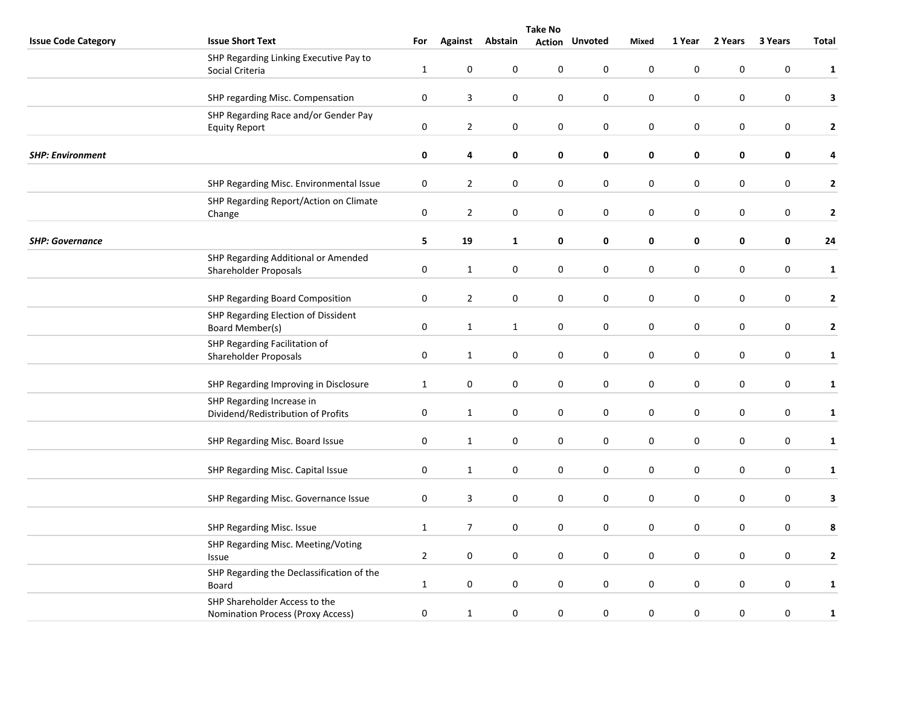|                            | <b>Take No</b>                                                            |                  |                  |              |                  |                       |                  |             |           |                  |                |  |
|----------------------------|---------------------------------------------------------------------------|------------------|------------------|--------------|------------------|-----------------------|------------------|-------------|-----------|------------------|----------------|--|
| <b>Issue Code Category</b> | <b>Issue Short Text</b>                                                   | For              | <b>Against</b>   | Abstain      |                  | <b>Action Unvoted</b> | Mixed            | 1 Year      | 2 Years   | 3 Years          | <b>Total</b>   |  |
|                            | SHP Regarding Linking Executive Pay to<br>Social Criteria                 | $\mathbf{1}$     | $\pmb{0}$        | $\pmb{0}$    | $\pmb{0}$        | $\mathbf 0$           | $\boldsymbol{0}$ | 0           | 0         | 0                | $\mathbf{1}$   |  |
|                            | SHP regarding Misc. Compensation                                          | $\pmb{0}$        | 3                | 0            | 0                | 0                     | $\pmb{0}$        | $\pmb{0}$   | 0         | 0                | 3              |  |
|                            | SHP Regarding Race and/or Gender Pay<br><b>Equity Report</b>              | $\pmb{0}$        | $\overline{2}$   | 0            | 0                | $\mathbf 0$           | $\pmb{0}$        | $\pmb{0}$   | $\pmb{0}$ | $\pmb{0}$        | $\mathbf{2}$   |  |
| <b>SHP: Environment</b>    |                                                                           | 0                | 4                | $\pmb{0}$    | 0                | 0                     | 0                | $\pmb{0}$   | 0         | 0                | 4              |  |
|                            | SHP Regarding Misc. Environmental Issue                                   | $\pmb{0}$        | $\overline{2}$   | $\pmb{0}$    | $\boldsymbol{0}$ | $\pmb{0}$             | $\mathbf 0$      | $\pmb{0}$   | 0         | $\boldsymbol{0}$ | $\mathbf{2}$   |  |
|                            | SHP Regarding Report/Action on Climate<br>Change                          | $\pmb{0}$        | $\overline{2}$   | $\pmb{0}$    | $\boldsymbol{0}$ | $\pmb{0}$             | $\pmb{0}$        | $\pmb{0}$   | $\pmb{0}$ | $\boldsymbol{0}$ | $\mathbf{2}$   |  |
| <b>SHP: Governance</b>     |                                                                           | 5                | 19               | $\mathbf{1}$ | 0                | 0                     | 0                | 0           | 0         | $\pmb{0}$        | 24             |  |
|                            | SHP Regarding Additional or Amended<br>Shareholder Proposals              | $\pmb{0}$        | $\mathbf{1}$     | 0            | $\pmb{0}$        | 0                     | $\pmb{0}$        | $\pmb{0}$   | 0         | $\pmb{0}$        | $\mathbf{1}$   |  |
|                            | SHP Regarding Board Composition                                           | $\pmb{0}$        | $\overline{2}$   | $\pmb{0}$    | 0                | 0                     | $\mathbf 0$      | $\pmb{0}$   | $\pmb{0}$ | 0                | $\mathbf{2}$   |  |
|                            | SHP Regarding Election of Dissident<br>Board Member(s)                    | $\pmb{0}$        | $\mathbf{1}$     | $\mathbf{1}$ | $\boldsymbol{0}$ | $\pmb{0}$             | $\mathbf 0$      | $\pmb{0}$   | 0         | $\boldsymbol{0}$ | $\mathbf{2}$   |  |
|                            | SHP Regarding Facilitation of<br>Shareholder Proposals                    | $\boldsymbol{0}$ | $\mathbf{1}$     | $\pmb{0}$    | $\pmb{0}$        | $\pmb{0}$             | $\pmb{0}$        | $\pmb{0}$   | $\pmb{0}$ | $\boldsymbol{0}$ | $\mathbf{1}$   |  |
|                            | SHP Regarding Improving in Disclosure                                     | 1                | $\mathbf 0$      | 0            | 0                | $\mathbf 0$           | $\mathbf 0$      | $\mathbf 0$ | 0         | 0                | $\mathbf{1}$   |  |
|                            | SHP Regarding Increase in<br>Dividend/Redistribution of Profits           | $\pmb{0}$        | $\mathbf{1}$     | 0            | $\pmb{0}$        | 0                     | $\mathbf 0$      | $\pmb{0}$   | 0         | $\pmb{0}$        | $\mathbf{1}$   |  |
|                            | SHP Regarding Misc. Board Issue                                           | $\pmb{0}$        | $\mathbf{1}$     | $\pmb{0}$    | $\pmb{0}$        | $\mathbf 0$           | $\mathbf 0$      | $\pmb{0}$   | $\pmb{0}$ | $\pmb{0}$        | $\mathbf{1}$   |  |
|                            | SHP Regarding Misc. Capital Issue                                         | $\pmb{0}$        | $\mathbf{1}$     | 0            | 0                | 0                     | $\mathbf 0$      | $\pmb{0}$   | 0         | 0                | $\mathbf{1}$   |  |
|                            | SHP Regarding Misc. Governance Issue                                      | $\pmb{0}$        | 3                | 0            | $\pmb{0}$        | $\pmb{0}$             | $\pmb{0}$        | $\pmb{0}$   | 0         | $\boldsymbol{0}$ | $\mathbf{3}$   |  |
|                            | SHP Regarding Misc. Issue                                                 | 1                | $\overline{7}$   | $\mathbf 0$  | 0                | $\mathbf 0$           | $\mathbf 0$      | $\mathbf 0$ | 0         | $\mathbf 0$      | 8              |  |
|                            | SHP Regarding Misc. Meeting/Voting<br>Issue                               | $\overline{2}$   | $\pmb{0}$        | 0            | 0                | 0                     | $\pmb{0}$        | $\pmb{0}$   | 0         | $\pmb{0}$        | $\overline{2}$ |  |
|                            | SHP Regarding the Declassification of the<br>Board                        | $\mathbf{1}$     | $\boldsymbol{0}$ | 0            | $\pmb{0}$        | $\mathbf 0$           | $\pmb{0}$        | $\pmb{0}$   | $\pmb{0}$ | $\pmb{0}$        | $\mathbf{1}$   |  |
|                            | SHP Shareholder Access to the<br><b>Nomination Process (Proxy Access)</b> | $\boldsymbol{0}$ | $\mathbf{1}$     | $\pmb{0}$    | $\pmb{0}$        | $\pmb{0}$             | $\pmb{0}$        | $\pmb{0}$   | $\pmb{0}$ | 0                | $\mathbf{1}$   |  |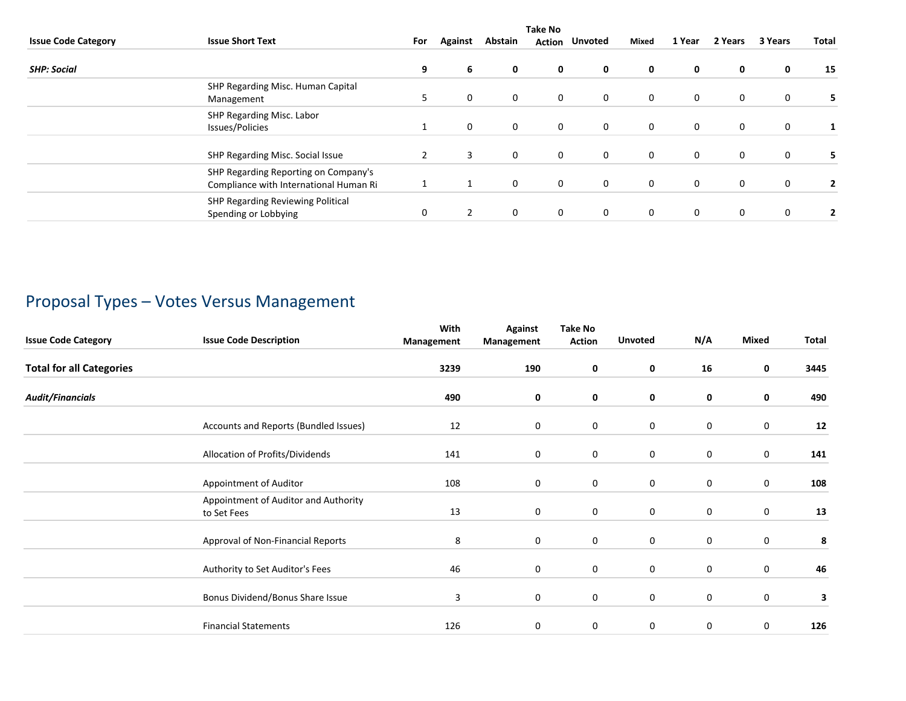|                            | <b>Take No</b>                                                                 |     |         |         |               |                |             |             |              |         |       |  |
|----------------------------|--------------------------------------------------------------------------------|-----|---------|---------|---------------|----------------|-------------|-------------|--------------|---------|-------|--|
| <b>Issue Code Category</b> | <b>Issue Short Text</b>                                                        | For | Against | Abstain | <b>Action</b> | <b>Unvoted</b> | Mixed       | 1 Year      | 2 Years      | 3 Years | Total |  |
| <b>SHP: Social</b>         |                                                                                | 9   | 6       | 0       | 0             | 0              | 0           | 0           | 0            | 0       | 15    |  |
|                            | SHP Regarding Misc. Human Capital<br>Management                                |     | 0       | 0       | 0             | $\mathbf 0$    | 0           | 0           | $\mathbf 0$  | 0       |       |  |
|                            | SHP Regarding Misc. Labor<br>Issues/Policies                                   |     | 0       | 0       | $\mathbf 0$   | $\mathbf 0$    | 0           | $\mathbf 0$ | $\mathbf 0$  | 0       |       |  |
|                            | SHP Regarding Misc. Social Issue                                               |     | 3       | 0       | $\mathbf 0$   | $\mathbf 0$    | $\mathbf 0$ | $\mathbf 0$ | $\mathbf{0}$ | 0       |       |  |
|                            | SHP Regarding Reporting on Company's<br>Compliance with International Human Ri |     |         | 0       | $\mathbf 0$   | $\mathbf 0$    | 0           | $\mathbf 0$ | $\mathbf 0$  | 0       |       |  |
|                            | SHP Regarding Reviewing Political<br>Spending or Lobbying                      | 0   |         | 0       | 0             | 0              | 0           | 0           | $\mathbf{0}$ | 0       |       |  |

# Proposal Types – Votes Versus Management

| <b>Issue Code Category</b>      | <b>Issue Code Description</b>                       | With<br>Management | <b>Against</b><br>Management | <b>Take No</b><br><b>Action</b> | <b>Unvoted</b> | N/A         | <b>Mixed</b> | Total      |
|---------------------------------|-----------------------------------------------------|--------------------|------------------------------|---------------------------------|----------------|-------------|--------------|------------|
| <b>Total for all Categories</b> |                                                     | 3239               | 190                          | 0                               | 0              | 16          | 0            | 3445       |
| <b>Audit/Financials</b>         |                                                     | 490                | 0                            | 0                               | 0              | 0           | 0            | 490        |
|                                 | Accounts and Reports (Bundled Issues)               | 12                 | $\mathbf 0$                  | 0                               | 0              | $\mathbf 0$ | 0            | ${\bf 12}$ |
|                                 | Allocation of Profits/Dividends                     | 141                | 0                            | 0                               | 0              | $\pmb{0}$   | 0            | 141        |
|                                 | Appointment of Auditor                              | 108                | 0                            | $\mathbf 0$                     | 0              | 0           | 0            | 108        |
|                                 | Appointment of Auditor and Authority<br>to Set Fees | 13                 | 0                            | $\mathbf 0$                     | 0              | 0           | 0            | 13         |
|                                 | Approval of Non-Financial Reports                   | 8                  | 0                            | 0                               | 0              | $\mathbf 0$ | $\mathbf 0$  | 8          |
|                                 | Authority to Set Auditor's Fees                     | 46                 | 0                            | 0                               | 0              | $\mathbf 0$ | 0            | 46         |
|                                 | Bonus Dividend/Bonus Share Issue                    | 3                  | 0                            | 0                               | 0              | $\mathbf 0$ | 0            | 3          |
|                                 | <b>Financial Statements</b>                         | 126                | 0                            | 0                               | 0              | $\mathbf 0$ | 0            | 126        |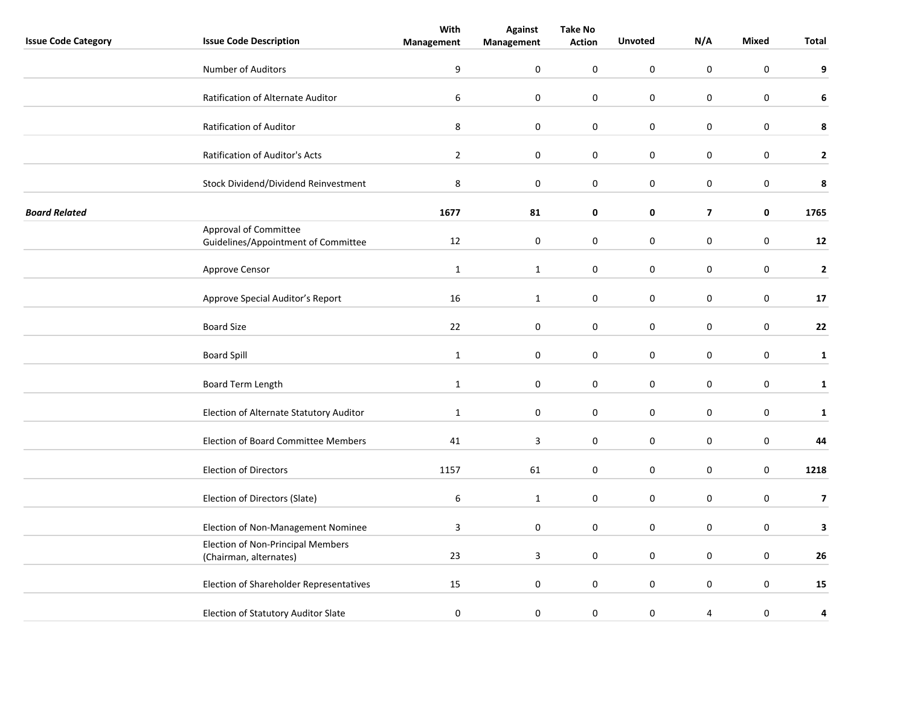|                            |                                                                    | With             | <b>Against</b> | <b>Take No</b>   |                  |                         |                  |                         |
|----------------------------|--------------------------------------------------------------------|------------------|----------------|------------------|------------------|-------------------------|------------------|-------------------------|
| <b>Issue Code Category</b> | <b>Issue Code Description</b>                                      | Management       | Management     | <b>Action</b>    | <b>Unvoted</b>   | N/A                     | Mixed            | Total                   |
|                            | Number of Auditors                                                 | $\boldsymbol{9}$ | 0              | $\pmb{0}$        | $\pmb{0}$        | $\mathbf 0$             | $\boldsymbol{0}$ | 9                       |
|                            | Ratification of Alternate Auditor                                  | 6                | 0              | $\mathbf 0$      | $\mathbf 0$      | $\mathbf 0$             | $\mathbf 0$      | 6                       |
|                            | Ratification of Auditor                                            | $\bf 8$          | $\pmb{0}$      | 0                | $\pmb{0}$        | $\pmb{0}$               | $\pmb{0}$        | 8                       |
|                            | Ratification of Auditor's Acts                                     | $\overline{2}$   | $\pmb{0}$      | 0                | $\mathbf 0$      | $\mathbf 0$             | $\mathbf 0$      | $\mathbf{2}$            |
|                            | Stock Dividend/Dividend Reinvestment                               | $\,8\,$          | $\pmb{0}$      | $\boldsymbol{0}$ | $\pmb{0}$        | $\pmb{0}$               | $\pmb{0}$        | 8                       |
| <b>Board Related</b>       |                                                                    | 1677             | 81             | 0                | 0                | $\overline{\mathbf{z}}$ | 0                | 1765                    |
|                            | Approval of Committee<br>Guidelines/Appointment of Committee       | 12               | $\pmb{0}$      | $\mathbf 0$      | $\boldsymbol{0}$ | $\boldsymbol{0}$        | $\boldsymbol{0}$ | 12                      |
|                            | Approve Censor                                                     | $\mathbf{1}$     | $\mathbf{1}$   | 0                | $\mathbf 0$      | $\mathbf 0$             | $\mathbf 0$      | $\mathbf 2$             |
|                            | Approve Special Auditor's Report                                   | 16               | $\mathbf{1}$   | 0                | $\mathbf 0$      | $\pmb{0}$               | $\mathbf 0$      | 17                      |
|                            | <b>Board Size</b>                                                  | 22               | $\pmb{0}$      | $\boldsymbol{0}$ | $\pmb{0}$        | $\pmb{0}$               | $\mathbf 0$      | 22                      |
|                            | <b>Board Spill</b>                                                 | $\mathbf{1}$     | $\pmb{0}$      | $\pmb{0}$        | $\pmb{0}$        | $\pmb{0}$               | $\pmb{0}$        | $\mathbf{1}$            |
|                            | Board Term Length                                                  | $\mathbf{1}$     | 0              | $\mathbf 0$      | $\mathbf 0$      | $\pmb{0}$               | $\mathbf 0$      | $\mathbf{1}$            |
|                            | Election of Alternate Statutory Auditor                            | $\mathbf{1}$     | 0              | 0                | $\mathbf 0$      | $\mathsf{O}\xspace$     | $\mathbf 0$      | $\mathbf{1}$            |
|                            | Election of Board Committee Members                                | 41               | 3              | 0                | $\mathbf 0$      | $\pmb{0}$               | $\pmb{0}$        | 44                      |
|                            | <b>Election of Directors</b>                                       | 1157             | 61             | 0                | $\mathbf 0$      | $\mathbf 0$             | $\mathbf 0$      | 1218                    |
|                            | Election of Directors (Slate)                                      | $\boldsymbol{6}$ | $\mathbf{1}$   | $\pmb{0}$        | $\mathbf 0$      | $\pmb{0}$               | $\pmb{0}$        | $\overline{\mathbf{z}}$ |
|                            | Election of Non-Management Nominee                                 | 3                | $\pmb{0}$      | $\mathbf 0$      | $\mathbf 0$      | $\pmb{0}$               | $\mathbf 0$      | 3                       |
|                            | <b>Election of Non-Principal Members</b><br>(Chairman, alternates) | 23               | 3              | 0                | $\mathbf 0$      | 0                       | $\mathbf 0$      | 26                      |
|                            | Election of Shareholder Representatives                            | 15               | $\pmb{0}$      | 0                | $\mathbf 0$      | $\pmb{0}$               | $\mathbf 0$      | 15                      |
|                            | Election of Statutory Auditor Slate                                | $\pmb{0}$        | 0              | 0                | $\pmb{0}$        | 4                       | $\pmb{0}$        | 4                       |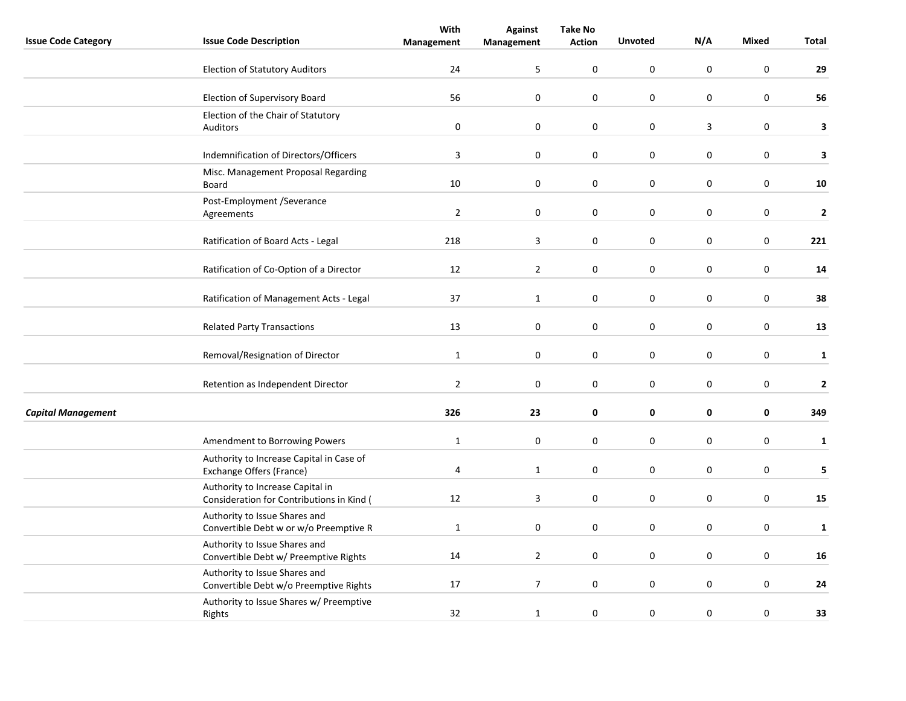| <b>Issue Code Category</b> | <b>Issue Code Description</b>                                                 | With                    | <b>Against</b>   | <b>Take No</b> | <b>Unvoted</b>   | N/A              | <b>Mixed</b>     | <b>Total</b> |
|----------------------------|-------------------------------------------------------------------------------|-------------------------|------------------|----------------|------------------|------------------|------------------|--------------|
|                            |                                                                               | Management              | Management       | <b>Action</b>  |                  |                  |                  |              |
|                            | <b>Election of Statutory Auditors</b>                                         | 24                      | 5                | $\mathbf 0$    | $\mathsf 0$      | $\boldsymbol{0}$ | $\pmb{0}$        | 29           |
|                            | Election of Supervisory Board                                                 | 56                      | $\mathbf 0$      | 0              | 0                | $\mathbf 0$      | $\mathbf 0$      | 56           |
|                            | Election of the Chair of Statutory<br>Auditors                                | $\pmb{0}$               | $\boldsymbol{0}$ | 0              | $\boldsymbol{0}$ | $\overline{3}$   | $\boldsymbol{0}$ | 3            |
|                            |                                                                               |                         |                  |                |                  |                  |                  |              |
|                            | Indemnification of Directors/Officers                                         | 3                       | $\mathbf 0$      | 0              | 0                | $\mathbf 0$      | $\mathbf 0$      | 3            |
|                            | Misc. Management Proposal Regarding<br>Board                                  | 10                      | $\pmb{0}$        | 0              | $\boldsymbol{0}$ | $\pmb{0}$        | $\pmb{0}$        | 10           |
|                            | Post-Employment /Severance<br>Agreements                                      | $\mathbf 2$             | $\pmb{0}$        | $\mathbf 0$    | $\mathsf 0$      | $\pmb{0}$        | 0                | $\mathbf 2$  |
|                            | Ratification of Board Acts - Legal                                            | 218                     | 3                | $\mathbf 0$    | $\mathsf 0$      | $\pmb{0}$        | $\mathbf 0$      | 221          |
|                            | Ratification of Co-Option of a Director                                       | 12                      | $\overline{2}$   | 0              | $\boldsymbol{0}$ | $\mathbf 0$      | $\boldsymbol{0}$ | 14           |
|                            | Ratification of Management Acts - Legal                                       | 37                      | $\mathbf{1}$     | 0              | $\boldsymbol{0}$ | $\pmb{0}$        | $\boldsymbol{0}$ | 38           |
|                            | <b>Related Party Transactions</b>                                             | 13                      | $\pmb{0}$        | $\pmb{0}$      | $\boldsymbol{0}$ | $\pmb{0}$        | $\pmb{0}$        | 13           |
|                            | Removal/Resignation of Director                                               | $\mathbf 1$             | $\pmb{0}$        | $\pmb{0}$      | $\boldsymbol{0}$ | $\pmb{0}$        | $\pmb{0}$        | $\mathbf{1}$ |
|                            | Retention as Independent Director                                             | $\overline{2}$          | $\mathbf 0$      | $\mathbf 0$    | 0                | $\mathbf 0$      | $\mathbf 0$      | $\mathbf{2}$ |
| <b>Capital Management</b>  |                                                                               | 326                     | 23               | $\pmb{0}$      | 0                | $\mathbf 0$      | $\mathbf 0$      | 349          |
|                            | Amendment to Borrowing Powers                                                 | $1\,$                   | $\boldsymbol{0}$ | 0              | $\pmb{0}$        | $\mathbf 0$      | $\pmb{0}$        | $\mathbf 1$  |
|                            | Authority to Increase Capital in Case of<br>Exchange Offers (France)          | $\overline{\mathbf{4}}$ | $\mathbf{1}$     | 0              | $\pmb{0}$        | $\mathbf 0$      | $\mathbf 0$      | 5            |
|                            | Authority to Increase Capital in<br>Consideration for Contributions in Kind ( | 12                      | 3                | $\mathbf 0$    | $\pmb{0}$        | $\pmb{0}$        | $\mathbf 0$      | 15           |
|                            | Authority to Issue Shares and<br>Convertible Debt w or w/o Preemptive R       | $\mathbf{1}$            | $\mathbf 0$      | 0              | $\pmb{0}$        | $\pmb{0}$        | $\mathbf 0$      | $\mathbf{1}$ |
|                            | Authority to Issue Shares and<br>Convertible Debt w/ Preemptive Rights        | 14                      | $\overline{2}$   | 0              | 0                | $\mathbf 0$      | $\mathbf 0$      | 16           |
|                            | Authority to Issue Shares and<br>Convertible Debt w/o Preemptive Rights       | 17                      | $\overline{7}$   | 0              | $\pmb{0}$        | $\pmb{0}$        | $\boldsymbol{0}$ | 24           |
|                            | Authority to Issue Shares w/ Preemptive<br>Rights                             | 32                      | $\mathbf{1}$     | $\mathbf 0$    | $\pmb{0}$        | $\pmb{0}$        | $\mathbf 0$      | 33           |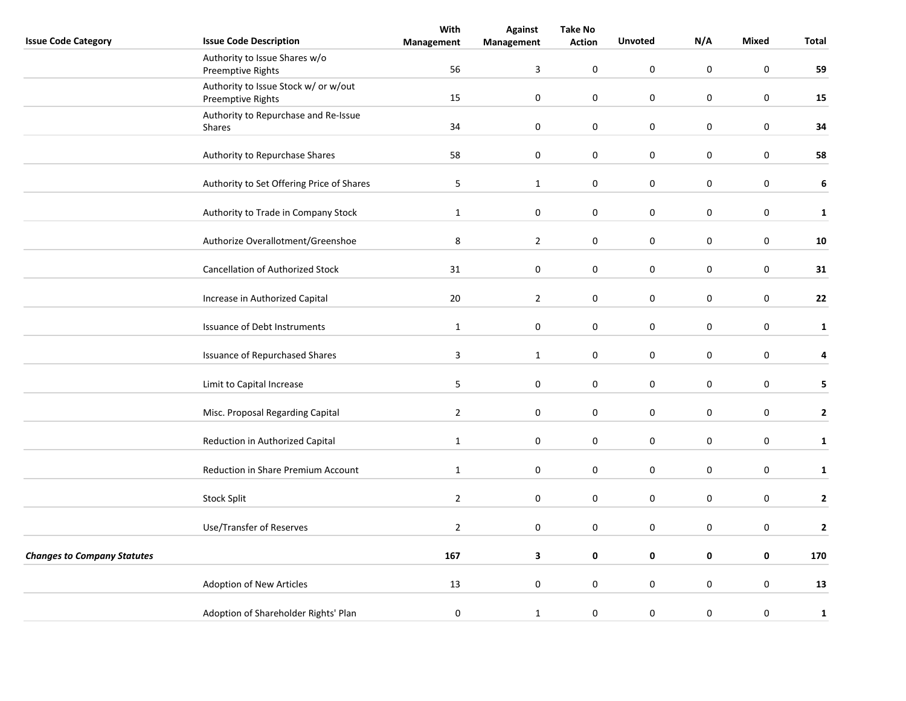|                                    |                                                           | With           | <b>Against</b>          | <b>Take No</b>   |                     |                  |                  |              |
|------------------------------------|-----------------------------------------------------------|----------------|-------------------------|------------------|---------------------|------------------|------------------|--------------|
| <b>Issue Code Category</b>         | <b>Issue Code Description</b>                             | Management     | Management              | <b>Action</b>    | <b>Unvoted</b>      | N/A              | Mixed            | Total        |
|                                    | Authority to Issue Shares w/o<br>Preemptive Rights        | 56             | $\overline{\mathbf{3}}$ | $\mathbf 0$      | $\pmb{0}$           | $\pmb{0}$        | $\boldsymbol{0}$ | 59           |
|                                    | Authority to Issue Stock w/ or w/out<br>Preemptive Rights | 15             | $\pmb{0}$               | $\boldsymbol{0}$ | $\pmb{0}$           | $\mathsf 0$      | $\mathbf 0$      | 15           |
|                                    | Authority to Repurchase and Re-Issue<br>Shares            | 34             | 0                       | $\mathbf 0$      | $\pmb{0}$           | $\pmb{0}$        | $\mathbf 0$      | 34           |
|                                    | Authority to Repurchase Shares                            | 58             | 0                       | 0                | $\pmb{0}$           | 0                | $\boldsymbol{0}$ | 58           |
|                                    |                                                           |                |                         |                  |                     |                  |                  |              |
|                                    | Authority to Set Offering Price of Shares                 | 5              | $\mathbf{1}$            | 0                | $\mathbf 0$         | $\mathsf 0$      | $\mathbf 0$      | $\bf 6$      |
|                                    | Authority to Trade in Company Stock                       | $\mathbf{1}$   | 0                       | 0                | 0                   | 0                | $\mathbf 0$      | $\mathbf{1}$ |
|                                    | Authorize Overallotment/Greenshoe                         | 8              | $\overline{2}$          | 0                | $\mathbf 0$         | 0                | $\mathbf 0$      | ${\bf 10}$   |
|                                    | <b>Cancellation of Authorized Stock</b>                   | 31             | $\pmb{0}$               | $\boldsymbol{0}$ | $\mathsf{O}\xspace$ | $\pmb{0}$        | $\mathbf 0$      | 31           |
|                                    | Increase in Authorized Capital                            | $20\,$         | $\overline{2}$          | 0                | $\pmb{0}$           | $\pmb{0}$        | $\mathbf 0$      | 22           |
|                                    | <b>Issuance of Debt Instruments</b>                       | $\mathbf 1$    | $\pmb{0}$               | $\boldsymbol{0}$ | $\pmb{0}$           | $\pmb{0}$        | $\mathbf 0$      | $\mathbf{1}$ |
|                                    | <b>Issuance of Repurchased Shares</b>                     | $\overline{3}$ | $\mathbf{1}$            | 0                | $\pmb{0}$           | $\pmb{0}$        | $\mathbf 0$      | 4            |
|                                    | Limit to Capital Increase                                 | 5              | 0                       | 0                | 0                   | 0                | $\mathbf 0$      | 5            |
|                                    | Misc. Proposal Regarding Capital                          | $\overline{2}$ | 0                       | 0                | $\mathbf 0$         | $\boldsymbol{0}$ | $\mathbf 0$      | $\mathbf{2}$ |
|                                    | Reduction in Authorized Capital                           | $\mathbf{1}$   | 0                       | 0                | $\pmb{0}$           | $\mathbf 0$      | $\mathbf 0$      | $\mathbf{1}$ |
|                                    | Reduction in Share Premium Account                        | $\mathbf{1}$   | $\pmb{0}$               | 0                | $\pmb{0}$           | $\pmb{0}$        | $\mathbf 0$      | ${\bf 1}$    |
|                                    | Stock Split                                               | $\overline{2}$ | 0                       | 0                | $\boldsymbol{0}$    | $\boldsymbol{0}$ | $\mathbf 0$      | $\mathbf{2}$ |
|                                    | Use/Transfer of Reserves                                  | $\overline{2}$ | 0                       | 0                | 0                   | 0                | $\mathbf 0$      | $\mathbf 2$  |
| <b>Changes to Company Statutes</b> |                                                           | 167            | 3                       | 0                | $\pmb{0}$           | $\mathbf 0$      | $\pmb{0}$        | 170          |
|                                    |                                                           |                |                         |                  |                     |                  |                  |              |
|                                    | Adoption of New Articles                                  | 13             | 0                       | 0                | $\pmb{0}$           | $\boldsymbol{0}$ | 0                | 13           |
|                                    | Adoption of Shareholder Rights' Plan                      | $\pmb{0}$      | $\mathbf{1}$            | $\pmb{0}$        | $\boldsymbol{0}$    | $\boldsymbol{0}$ | $\pmb{0}$        | $\mathbf{1}$ |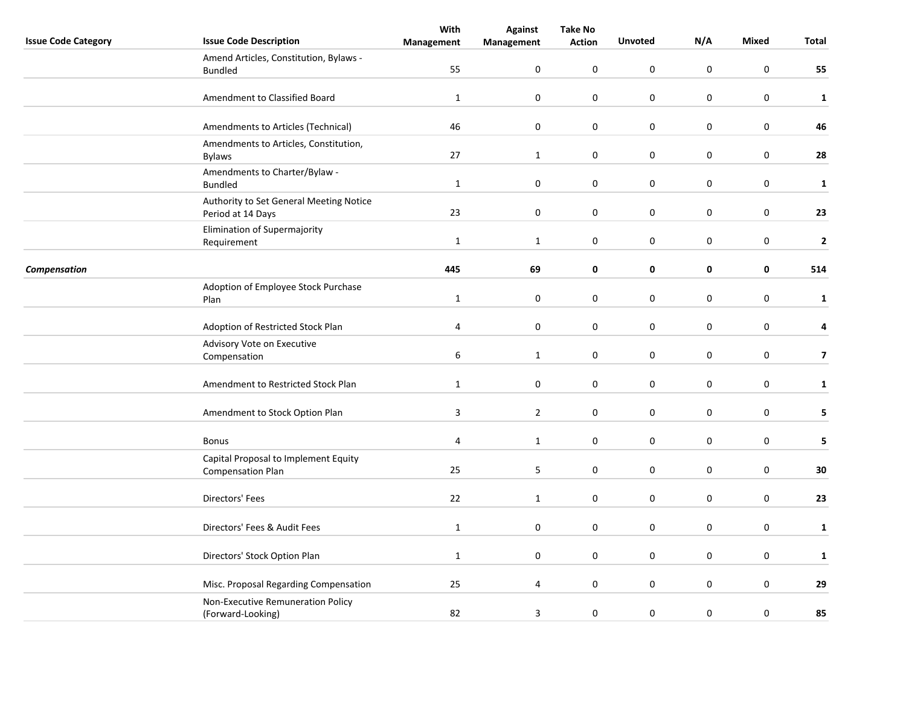|                            |                                                                  | With           | <b>Against</b>   | <b>Take No</b>   |                |                  |                  |                         |
|----------------------------|------------------------------------------------------------------|----------------|------------------|------------------|----------------|------------------|------------------|-------------------------|
| <b>Issue Code Category</b> | <b>Issue Code Description</b>                                    | Management     | Management       | <b>Action</b>    | <b>Unvoted</b> | N/A              | <b>Mixed</b>     | Total                   |
|                            | Amend Articles, Constitution, Bylaws -<br><b>Bundled</b>         | 55             | 0                | 0                | $\mathbf 0$    | $\pmb{0}$        | $\mathbf 0$      | 55                      |
|                            | Amendment to Classified Board                                    | $\mathbf{1}$   | $\boldsymbol{0}$ | 0                | $\mathbf 0$    | 0                | $\mathbf 0$      | $\mathbf{1}$            |
|                            |                                                                  |                |                  |                  |                |                  |                  |                         |
|                            | Amendments to Articles (Technical)                               | 46             | $\boldsymbol{0}$ | $\boldsymbol{0}$ | $\pmb{0}$      | $\pmb{0}$        | $\mathbf 0$      | 46                      |
|                            | Amendments to Articles, Constitution,<br><b>Bylaws</b>           | 27             | $\mathbf{1}$     | 0                | $\pmb{0}$      | $\boldsymbol{0}$ | $\boldsymbol{0}$ | 28                      |
|                            | Amendments to Charter/Bylaw -<br><b>Bundled</b>                  | $\mathbf{1}$   | $\mathbf 0$      | 0                | $\mathbf 0$    | 0                | $\mathbf 0$      | $\mathbf{1}$            |
|                            | Authority to Set General Meeting Notice<br>Period at 14 Days     | 23             | $\boldsymbol{0}$ | 0                | $\mathbf 0$    | $\boldsymbol{0}$ | $\mathbf 0$      | 23                      |
|                            | Elimination of Supermajority<br>Requirement                      | $\mathbf{1}$   | $\mathbf{1}$     | 0                | $\mathbf 0$    | $\boldsymbol{0}$ | $\boldsymbol{0}$ | $\mathbf 2$             |
|                            |                                                                  |                |                  |                  |                |                  |                  |                         |
| Compensation               |                                                                  | 445            | 69               | 0                | $\mathbf 0$    | $\mathbf 0$      | $\mathbf 0$      | 514                     |
|                            | Adoption of Employee Stock Purchase<br>Plan                      | $\mathbf{1}$   | $\pmb{0}$        | 0                | $\pmb{0}$      | $\pmb{0}$        | $\pmb{0}$        | $\mathbf{1}$            |
|                            | Adoption of Restricted Stock Plan                                | $\overline{4}$ | $\mathbf 0$      | 0                | $\mathbf 0$    | $\boldsymbol{0}$ | $\mathbf 0$      | 4                       |
|                            | Advisory Vote on Executive                                       |                |                  |                  |                |                  |                  |                         |
|                            | Compensation                                                     | 6              | $\mathbf{1}$     | 0                | $\mathbf 0$    | $\boldsymbol{0}$ | $\pmb{0}$        | $\overline{\mathbf{z}}$ |
|                            | Amendment to Restricted Stock Plan                               | $\mathbf{1}$   | $\mathbf 0$      | 0                | $\mathbf 0$    | $\pmb{0}$        | $\mathbf 0$      | $\mathbf{1}$            |
|                            | Amendment to Stock Option Plan                                   | 3              | $\overline{2}$   | 0                | $\mathbf 0$    | 0                | $\mathbf 0$      | 5                       |
|                            | <b>Bonus</b>                                                     | $\overline{4}$ | $\mathbf{1}$     | 0                | $\mathbf 0$    | $\pmb{0}$        | $\mathbf 0$      | 5                       |
|                            | Capital Proposal to Implement Equity<br><b>Compensation Plan</b> | 25             | 5                | 0                | $\mathbf 0$    | $\boldsymbol{0}$ | $\pmb{0}$        | $\bf{30}$               |
|                            | Directors' Fees                                                  | 22             | $\mathbf{1}$     | 0                | $\mathbf 0$    | $\pmb{0}$        | $\mathbf 0$      | 23                      |
|                            | Directors' Fees & Audit Fees                                     | $\mathbf{1}$   | $\pmb{0}$        | 0                | $\mathbf 0$    | $\mathsf 0$      | $\mathbf 0$      | $\mathbf{1}$            |
|                            | Directors' Stock Option Plan                                     | $\mathbf{1}$   | $\mathbf 0$      | 0                | $\mathbf 0$    | $\boldsymbol{0}$ | $\boldsymbol{0}$ | $\mathbf 1$             |
|                            | Misc. Proposal Regarding Compensation                            | 25             | 4                | $\pmb{0}$        | $\pmb{0}$      | $\mathbf 0$      | $\pmb{0}$        | 29                      |
|                            | Non-Executive Remuneration Policy<br>(Forward-Looking)           | 82             | 3                | 0                | $\mathbf 0$    | $\boldsymbol{0}$ | $\mathbf 0$      | 85                      |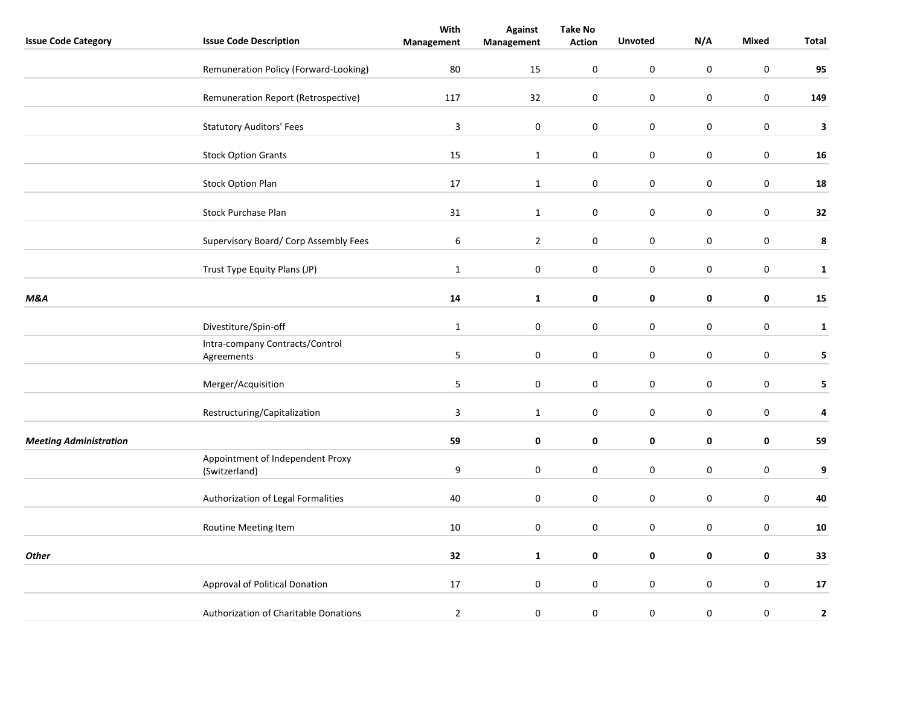|                               |                                                   | With             | <b>Against</b> | <b>Take No</b>   |                |                  |                  |              |
|-------------------------------|---------------------------------------------------|------------------|----------------|------------------|----------------|------------------|------------------|--------------|
| <b>Issue Code Category</b>    | <b>Issue Code Description</b>                     | Management       | Management     | <b>Action</b>    | <b>Unvoted</b> | N/A              | Mixed            | Total        |
|                               | Remuneration Policy (Forward-Looking)             | 80               | 15             | 0                | $\mathbf 0$    | $\mathbf 0$      | $\mathbf 0$      | 95           |
|                               | Remuneration Report (Retrospective)               | 117              | 32             | $\pmb{0}$        | $\pmb{0}$      | $\pmb{0}$        | $\pmb{0}$        | 149          |
|                               | <b>Statutory Auditors' Fees</b>                   | $\mathsf 3$      | $\pmb{0}$      | 0                | $\mathbf 0$    | $\pmb{0}$        | $\mathbf 0$      | $\mathbf 3$  |
|                               | <b>Stock Option Grants</b>                        | 15               | $\mathbf{1}$   | $\boldsymbol{0}$ | $\pmb{0}$      | $\pmb{0}$        | $\mathbf 0$      | 16           |
|                               | <b>Stock Option Plan</b>                          | 17               | $\mathbf 1$    | $\boldsymbol{0}$ | $\mathbf 0$    | $\pmb{0}$        | $\mathbf 0$      | 18           |
|                               | Stock Purchase Plan                               | 31               | $\mathbf{1}$   | 0                | $\mathbf 0$    | 0                | $\mathbf 0$      | 32           |
|                               | Supervisory Board/ Corp Assembly Fees             | $\boldsymbol{6}$ | $\overline{2}$ | $\pmb{0}$        | $\pmb{0}$      | $\pmb{0}$        | $\mathbf 0$      | $\pmb{8}$    |
|                               | Trust Type Equity Plans (JP)                      | $\mathbf{1}$     | $\pmb{0}$      | $\boldsymbol{0}$ | $\pmb{0}$      | $\pmb{0}$        | $\mathbf 0$      | $\mathbf{1}$ |
| M&A                           |                                                   | ${\bf 14}$       | $\mathbf{1}$   | 0                | $\pmb{0}$      | $\mathbf 0$      | $\mathbf 0$      | 15           |
|                               | Divestiture/Spin-off                              | $\mathbf 1$      | $\pmb{0}$      | $\boldsymbol{0}$ | $\pmb{0}$      | $\pmb{0}$        | $\mathbf 0$      | $\mathbf{1}$ |
|                               | Intra-company Contracts/Control<br>Agreements     | 5                | 0              | 0                | $\pmb{0}$      | $\boldsymbol{0}$ | $\boldsymbol{0}$ | 5            |
|                               | Merger/Acquisition                                | $\overline{5}$   | $\mathbf 0$    | 0                | $\pmb{0}$      | $\pmb{0}$        | $\mathbf 0$      | 5            |
|                               | Restructuring/Capitalization                      | $\mathbf{3}$     | $\mathbf 1$    | $\boldsymbol{0}$ | $\pmb{0}$      | $\pmb{0}$        | $\mathbf 0$      | 4            |
| <b>Meeting Administration</b> |                                                   | 59               | 0              | 0                | 0              | $\mathbf 0$      | $\mathbf 0$      | 59           |
|                               | Appointment of Independent Proxy<br>(Switzerland) | 9                | $\pmb{0}$      | $\boldsymbol{0}$ | $\pmb{0}$      | $\pmb{0}$        | $\mathbf 0$      | 9            |
|                               | Authorization of Legal Formalities                | 40               | 0              | $\pmb{0}$        | $\mathbf 0$    | $\boldsymbol{0}$ | $\pmb{0}$        | 40           |
|                               | Routine Meeting Item                              | 10               | 0              | 0                | $\mathbf 0$    | 0                | $\mathbf 0$      | ${\bf 10}$   |
| <b>Other</b>                  |                                                   | 32               | $\mathbf{1}$   | 0                | 0              | $\mathbf 0$      | $\mathbf 0$      | 33           |
|                               | Approval of Political Donation                    | 17               | $\pmb{0}$      | 0                | $\mathbf 0$    | $\pmb{0}$        | $\mathbf 0$      | 17           |
|                               | Authorization of Charitable Donations             | $\overline{2}$   | 0              | 0                | $\mathbf 0$    | $\boldsymbol{0}$ | $\pmb{0}$        | $\mathbf 2$  |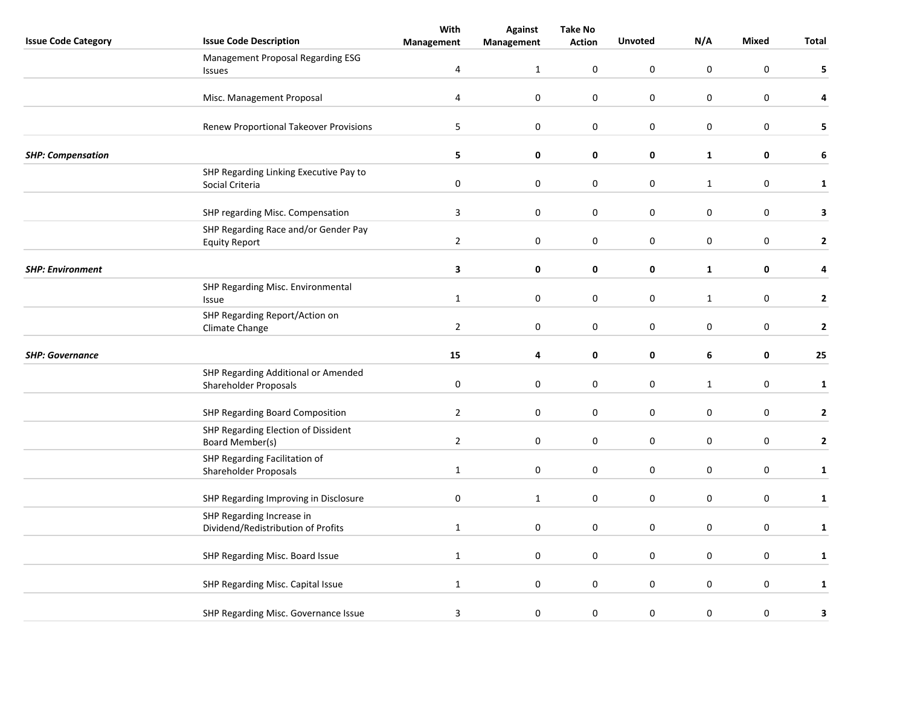| <b>Issue Code Category</b> | <b>Issue Code Description</b>                                   | With             | <b>Against</b>   | <b>Take No</b><br><b>Action</b> | <b>Unvoted</b>   | N/A              | Mixed            | Total        |
|----------------------------|-----------------------------------------------------------------|------------------|------------------|---------------------------------|------------------|------------------|------------------|--------------|
|                            |                                                                 | Management       | Management       |                                 |                  |                  |                  |              |
|                            | Management Proposal Regarding ESG<br>Issues                     | $\overline{4}$   | $\mathbf{1}$     | $\mathbf 0$                     | $\boldsymbol{0}$ | $\mathsf 0$      | $\boldsymbol{0}$ | 5            |
|                            |                                                                 |                  |                  |                                 |                  |                  |                  |              |
|                            | Misc. Management Proposal                                       | $\sqrt{4}$       | $\pmb{0}$        | $\pmb{0}$                       | $\pmb{0}$        | $\mathsf 0$      | $\boldsymbol{0}$ | 4            |
|                            | Renew Proportional Takeover Provisions                          | $\overline{5}$   | $\mathbf 0$      | $\mathbf 0$                     | $\pmb{0}$        | $\mathsf 0$      | $\mathbf 0$      | 5            |
| <b>SHP: Compensation</b>   |                                                                 | 5                | 0                | $\pmb{0}$                       | $\mathbf 0$      | $\mathbf{1}$     | $\mathbf 0$      | 6            |
|                            | SHP Regarding Linking Executive Pay to<br>Social Criteria       | $\pmb{0}$        | $\boldsymbol{0}$ | 0                               | $\mathbf 0$      | $\mathbf{1}$     | $\pmb{0}$        | $\mathbf{1}$ |
|                            | SHP regarding Misc. Compensation                                | $\overline{3}$   | 0                | 0                               | $\boldsymbol{0}$ | $\boldsymbol{0}$ | $\mathbf 0$      | 3            |
|                            | SHP Regarding Race and/or Gender Pay<br><b>Equity Report</b>    | $\overline{2}$   | $\boldsymbol{0}$ | 0                               | $\boldsymbol{0}$ | $\boldsymbol{0}$ | $\mathbf 0$      | 2            |
| <b>SHP: Environment</b>    |                                                                 | $\mathbf{3}$     | $\pmb{0}$        | $\pmb{0}$                       | $\pmb{0}$        | $\mathbf 1$      | $\mathbf 0$      | 4            |
|                            | SHP Regarding Misc. Environmental<br>Issue                      | $\mathbf{1}$     | 0                | 0                               | $\mathbf 0$      | $\mathbf{1}$     | $\mathbf 0$      | 2            |
|                            | SHP Regarding Report/Action on<br>Climate Change                | $\overline{2}$   | $\boldsymbol{0}$ | $\pmb{0}$                       | $\mathbf 0$      | $\boldsymbol{0}$ | $\pmb{0}$        | 2            |
| <b>SHP: Governance</b>     |                                                                 | 15               | 4                | $\pmb{0}$                       | 0                | 6                | $\mathbf 0$      | 25           |
|                            | SHP Regarding Additional or Amended<br>Shareholder Proposals    | $\pmb{0}$        | 0                | 0                               | 0                | $\mathbf{1}$     | $\mathbf 0$      | $\mathbf{1}$ |
|                            | SHP Regarding Board Composition                                 | $\overline{2}$   | $\pmb{0}$        | $\pmb{0}$                       | $\pmb{0}$        | $\boldsymbol{0}$ | $\boldsymbol{0}$ | $\mathbf{2}$ |
|                            | SHP Regarding Election of Dissident<br>Board Member(s)          | $\overline{2}$   | $\mathbf 0$      | 0                               | $\pmb{0}$        | $\boldsymbol{0}$ | $\mathbf 0$      | $\mathbf{2}$ |
|                            | SHP Regarding Facilitation of<br>Shareholder Proposals          | $\mathbf{1}$     | $\mathbf 0$      | 0                               | $\mathbf 0$      | 0                | $\pmb{0}$        | $\mathbf{1}$ |
|                            | SHP Regarding Improving in Disclosure                           | $\boldsymbol{0}$ | 1                | 0                               | 0                | 0                | $\mathbf 0$      | $\mathbf{1}$ |
|                            | SHP Regarding Increase in<br>Dividend/Redistribution of Profits | $\mathbf{1}$     | 0                | 0                               | $\boldsymbol{0}$ | 0                | 0                | $\mathbf 1$  |
|                            | SHP Regarding Misc. Board Issue                                 | $\mathbf{1}$     | $\boldsymbol{0}$ | 0                               | $\pmb{0}$        | $\boldsymbol{0}$ | $\mathbf 0$      | $\mathbf 1$  |
|                            | SHP Regarding Misc. Capital Issue                               | $\mathbf{1}$     | $\boldsymbol{0}$ | 0                               | $\pmb{0}$        | 0                | $\mathbf 0$      | $\mathbf{1}$ |
|                            | SHP Regarding Misc. Governance Issue                            | 3                | $\mathbf 0$      | $\mathbf 0$                     | 0                | $\boldsymbol{0}$ | $\pmb{0}$        | 3            |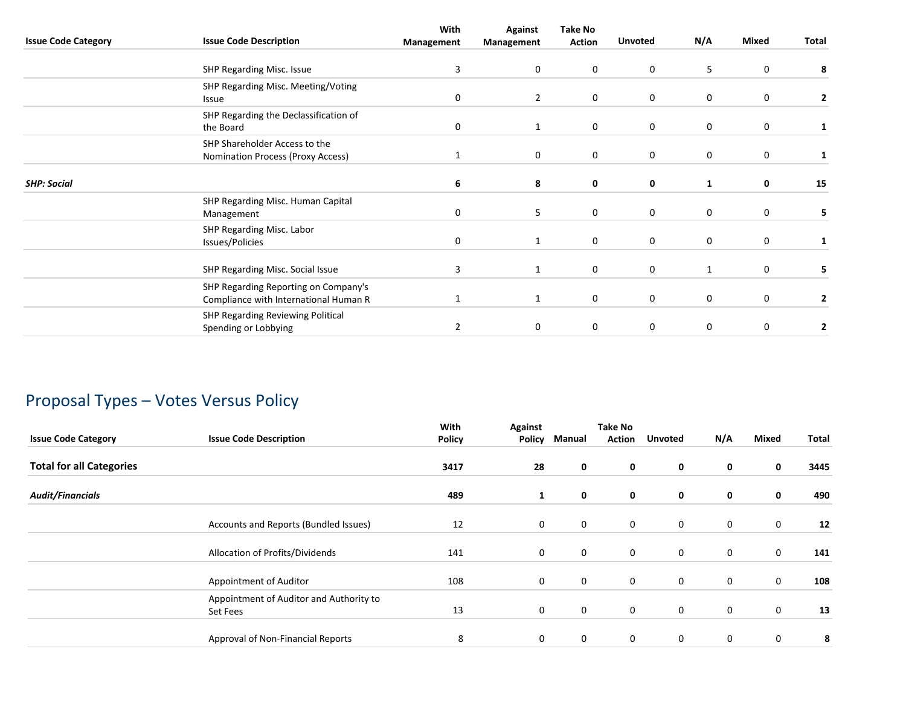|                            |                                                                               | With       | <b>Against</b> | <b>Take No</b> |                |              |             |                |
|----------------------------|-------------------------------------------------------------------------------|------------|----------------|----------------|----------------|--------------|-------------|----------------|
| <b>Issue Code Category</b> | <b>Issue Code Description</b>                                                 | Management | Management     | <b>Action</b>  | <b>Unvoted</b> | N/A          | Mixed       | Total          |
|                            | SHP Regarding Misc. Issue                                                     | 3          | 0              | $\mathbf 0$    | 0              | 5            | 0           | 8              |
|                            | SHP Regarding Misc. Meeting/Voting                                            | 0          | $\overline{2}$ | $\mathbf 0$    | 0              | 0            | 0           |                |
|                            | Issue<br>SHP Regarding the Declassification of                                | 0          | 1              | $\mathbf{0}$   | 0              | 0            | 0           | 2<br>1         |
|                            | the Board<br>SHP Shareholder Access to the                                    |            |                |                |                |              |             |                |
|                            | Nomination Process (Proxy Access)                                             |            | $\mathbf 0$    | $\mathbf 0$    | 0              | 0            | $\mathbf 0$ | 1              |
| <b>SHP: Social</b>         |                                                                               | 6          | 8              | $\mathbf 0$    | 0              | $\mathbf{1}$ | 0           | 15             |
|                            | SHP Regarding Misc. Human Capital<br>Management                               | 0          | 5              | $\mathbf 0$    | 0              | 0            | $\mathbf 0$ | 5              |
|                            | SHP Regarding Misc. Labor<br>Issues/Policies                                  | 0          | 1              | $\mathbf 0$    | 0              | 0            | 0           | 1              |
|                            | SHP Regarding Misc. Social Issue                                              | 3          | 1              | $\mathbf 0$    | 0              | $\mathbf{1}$ | $\mathbf 0$ | 5              |
|                            | SHP Regarding Reporting on Company's<br>Compliance with International Human R | 1          | 1              | $\mathbf 0$    | 0              | 0            | $\mathbf 0$ | $\overline{2}$ |
|                            | SHP Regarding Reviewing Political<br>Spending or Lobbying                     | 2          | 0              | 0              | 0              | 0            | 0           | 2              |
|                            |                                                                               |            |                |                |                |              |             |                |

# Proposal Types – Votes Versus Policy

| <b>Issue Code Category</b>      | <b>Issue Code Description</b>                       | With<br><b>Policy</b> | Against<br>Policy | Manual      | <b>Take No</b><br><b>Action</b> | <b>Unvoted</b> | N/A         | Mixed       | Total |
|---------------------------------|-----------------------------------------------------|-----------------------|-------------------|-------------|---------------------------------|----------------|-------------|-------------|-------|
| <b>Total for all Categories</b> |                                                     | 3417                  | 28                | 0           | 0                               | 0              | 0           | 0           | 3445  |
| <b>Audit/Financials</b>         |                                                     | 489                   | 1                 | 0           | 0                               | 0              | 0           | 0           | 490   |
|                                 | Accounts and Reports (Bundled Issues)               | 12                    | $\mathbf 0$       | $\mathbf 0$ | $\mathbf 0$                     | $\mathbf 0$    | $\mathbf 0$ | $\mathbf 0$ | 12    |
|                                 | Allocation of Profits/Dividends                     | 141                   | $\mathbf 0$       | $\mathbf 0$ | $\mathbf 0$                     | $\mathbf 0$    | $\mathbf 0$ | $\mathbf 0$ | 141   |
|                                 | Appointment of Auditor                              | 108                   | $\mathbf 0$       | $\mathbf 0$ | $\mathbf 0$                     | $\mathbf 0$    | $\mathbf 0$ | $\mathbf 0$ | 108   |
|                                 | Appointment of Auditor and Authority to<br>Set Fees | 13                    | $\mathbf 0$       | $\mathbf 0$ | $\mathbf 0$                     | $\mathbf 0$    | 0           | $\mathbf 0$ | 13    |
|                                 | Approval of Non-Financial Reports                   | 8                     | 0                 | $\mathbf 0$ | $\mathbf 0$                     | $\mathbf 0$    | 0           | 0           | 8     |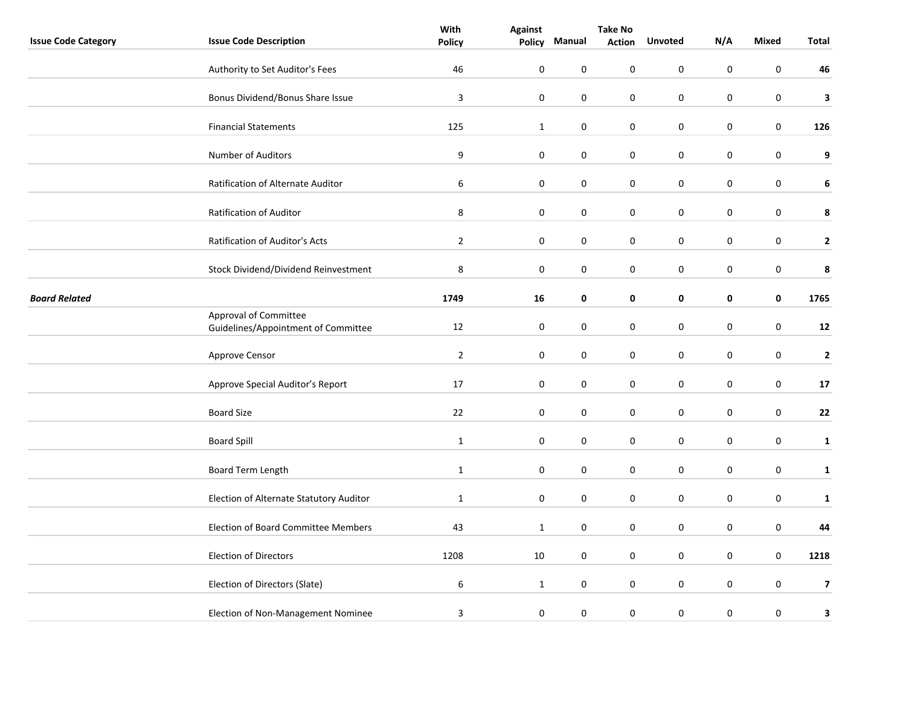|                            |                                                              | With             | <b>Against</b> | <b>Take No</b> |               |                  |           |                  |                         |
|----------------------------|--------------------------------------------------------------|------------------|----------------|----------------|---------------|------------------|-----------|------------------|-------------------------|
| <b>Issue Code Category</b> | <b>Issue Code Description</b>                                | <b>Policy</b>    |                | Policy Manual  | <b>Action</b> | <b>Unvoted</b>   | N/A       | Mixed            | <b>Total</b>            |
|                            | Authority to Set Auditor's Fees                              | 46               | $\pmb{0}$      | 0              | 0             | $\mathbf 0$      | 0         | $\mathbf 0$      | 46                      |
|                            | Bonus Dividend/Bonus Share Issue                             | 3                | $\pmb{0}$      | $\pmb{0}$      | 0             | $\pmb{0}$        | 0         | $\boldsymbol{0}$ | 3                       |
|                            | <b>Financial Statements</b>                                  | 125              | $\mathbf{1}$   | $\pmb{0}$      | 0             | $\boldsymbol{0}$ | 0         | $\pmb{0}$        | 126                     |
|                            | Number of Auditors                                           | $\boldsymbol{9}$ | $\mathbf 0$    | $\pmb{0}$      | 0             | $\boldsymbol{0}$ | $\pmb{0}$ | $\boldsymbol{0}$ | 9                       |
|                            | Ratification of Alternate Auditor                            | $\boldsymbol{6}$ | $\pmb{0}$      | 0              | 0             | $\pmb{0}$        | 0         | $\pmb{0}$        | 6                       |
|                            | Ratification of Auditor                                      | 8                | $\mathbf 0$    | 0              | 0             | 0                | 0         | $\pmb{0}$        | 8                       |
|                            | Ratification of Auditor's Acts                               | $\overline{2}$   | $\mathbf 0$    | $\pmb{0}$      | 0             | $\pmb{0}$        | 0         | $\boldsymbol{0}$ | $\mathbf{2}$            |
|                            | Stock Dividend/Dividend Reinvestment                         | 8                | $\pmb{0}$      | $\pmb{0}$      | 0             | $\pmb{0}$        | 0         | $\boldsymbol{0}$ | 8                       |
| <b>Board Related</b>       |                                                              | 1749             | 16             | 0              | 0             | 0                | 0         | $\mathbf 0$      | 1765                    |
|                            | Approval of Committee<br>Guidelines/Appointment of Committee | 12               | $\pmb{0}$      | 0              | 0             | $\pmb{0}$        | 0         | $\boldsymbol{0}$ | ${\bf 12}$              |
|                            | Approve Censor                                               | $\overline{2}$   | $\mathbf 0$    | $\pmb{0}$      | 0             | $\boldsymbol{0}$ | $\pmb{0}$ | $\pmb{0}$        | $\mathbf{2}$            |
|                            | Approve Special Auditor's Report                             | 17               | $\mathbf 0$    | $\pmb{0}$      | 0             | $\pmb{0}$        | 0         | $\pmb{0}$        | 17                      |
|                            | <b>Board Size</b>                                            | 22               | $\mathbf 0$    | 0              | 0             | $\boldsymbol{0}$ | 0         | $\pmb{0}$        | 22                      |
|                            | <b>Board Spill</b>                                           | $\mathbf 1$      | $\pmb{0}$      | $\mathbf 0$    | 0             | $\mathbf 0$      | 0         | $\pmb{0}$        | $\mathbf{1}$            |
|                            | Board Term Length                                            | $\mathbf{1}$     | $\mathbf 0$    | 0              | 0             | $\pmb{0}$        | 0         | $\pmb{0}$        | $\mathbf{1}$            |
|                            | Election of Alternate Statutory Auditor                      | $\mathbf{1}$     | $\mathbf 0$    | $\pmb{0}$      | 0             | $\boldsymbol{0}$ | $\pmb{0}$ | $\pmb{0}$        | $\mathbf{1}$            |
|                            | Election of Board Committee Members                          | 43               | $\mathbf{1}$   | $\pmb{0}$      | 0             | $\pmb{0}$        | 0         | $\pmb{0}$        | 44                      |
|                            | <b>Election of Directors</b>                                 | 1208             | 10             | $\pmb{0}$      | 0             | $\pmb{0}$        | 0         | $\pmb{0}$        | 1218                    |
|                            | Election of Directors (Slate)                                | $\boldsymbol{6}$ | $\mathbf{1}$   | $\pmb{0}$      | $\pmb{0}$     | $\boldsymbol{0}$ | $\pmb{0}$ | $\boldsymbol{0}$ | $\overline{\mathbf{z}}$ |
|                            | Election of Non-Management Nominee                           | 3                | $\pmb{0}$      | 0              | 0             | $\boldsymbol{0}$ | $\pmb{0}$ | $\boldsymbol{0}$ | 3                       |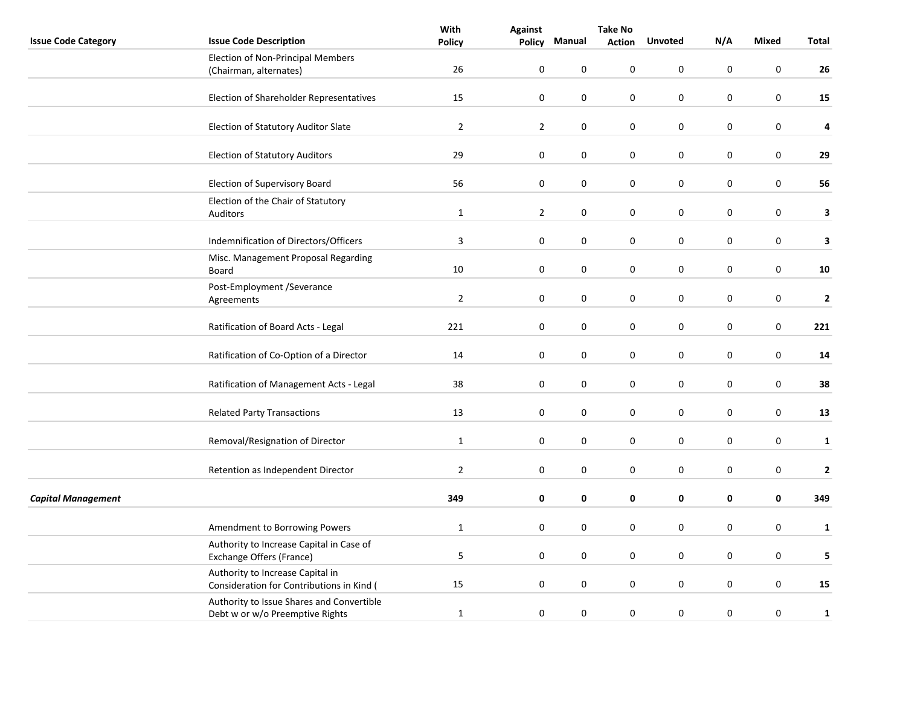|                            |                                                                               | With           | <b>Against</b>   |                  | <b>Take No</b> |                  |             |                  |              |
|----------------------------|-------------------------------------------------------------------------------|----------------|------------------|------------------|----------------|------------------|-------------|------------------|--------------|
| <b>Issue Code Category</b> | <b>Issue Code Description</b>                                                 | <b>Policy</b>  | <b>Policy</b>    | Manual           | <b>Action</b>  | <b>Unvoted</b>   | N/A         | <b>Mixed</b>     | <b>Total</b> |
|                            | <b>Election of Non-Principal Members</b><br>(Chairman, alternates)            | 26             | $\pmb{0}$        | 0                | 0              | 0                | $\pmb{0}$   | $\pmb{0}$        | 26           |
|                            | Election of Shareholder Representatives                                       | 15             | $\pmb{0}$        | $\mathbf 0$      | 0              | $\mathbf 0$      | 0           | $\mathbf 0$      | 15           |
|                            |                                                                               |                |                  |                  |                |                  |             |                  |              |
|                            | Election of Statutory Auditor Slate                                           | $\overline{2}$ | $\overline{2}$   | $\pmb{0}$        | 0              | $\boldsymbol{0}$ | 0           | $\boldsymbol{0}$ | 4            |
|                            | <b>Election of Statutory Auditors</b>                                         | 29             | $\pmb{0}$        | $\pmb{0}$        | 0              | $\pmb{0}$        | 0           | $\pmb{0}$        | 29           |
|                            | Election of Supervisory Board                                                 | 56             | $\pmb{0}$        | $\boldsymbol{0}$ | $\pmb{0}$      | $\boldsymbol{0}$ | $\pmb{0}$   | $\boldsymbol{0}$ | 56           |
|                            | Election of the Chair of Statutory<br>Auditors                                | $\mathbf{1}$   | $\mathbf 2$      | 0                | $\pmb{0}$      | 0                | $\mathbf 0$ | $\pmb{0}$        | 3            |
|                            | Indemnification of Directors/Officers                                         | $\overline{3}$ | $\pmb{0}$        | $\boldsymbol{0}$ | 0              | $\boldsymbol{0}$ | $\pmb{0}$   | $\boldsymbol{0}$ | 3            |
|                            | Misc. Management Proposal Regarding<br>Board                                  | $10\,$         | $\pmb{0}$        | $\pmb{0}$        | 0              | $\pmb{0}$        | 0           | $\pmb{0}$        | ${\bf 10}$   |
|                            | Post-Employment /Severance<br>Agreements                                      | $\mathbf 2$    | $\boldsymbol{0}$ | $\pmb{0}$        | 0              | $\pmb{0}$        | 0           | $\pmb{0}$        | $\mathbf{2}$ |
|                            | Ratification of Board Acts - Legal                                            | 221            | $\pmb{0}$        | $\pmb{0}$        | $\pmb{0}$      | $\boldsymbol{0}$ | $\pmb{0}$   | $\boldsymbol{0}$ | 221          |
|                            | Ratification of Co-Option of a Director                                       | 14             | $\pmb{0}$        | $\boldsymbol{0}$ | $\pmb{0}$      | $\boldsymbol{0}$ | $\pmb{0}$   | $\pmb{0}$        | 14           |
|                            | Ratification of Management Acts - Legal                                       | 38             | 0                | $\mathbf 0$      | 0              | 0                | $\mathbf 0$ | 0                | 38           |
|                            | <b>Related Party Transactions</b>                                             | 13             | $\pmb{0}$        | $\boldsymbol{0}$ | 0              | $\pmb{0}$        | 0           | $\pmb{0}$        | 13           |
|                            | Removal/Resignation of Director                                               | $\mathbf{1}$   | $\pmb{0}$        | $\pmb{0}$        | $\pmb{0}$      | $\boldsymbol{0}$ | 0           | $\boldsymbol{0}$ | $\mathbf{1}$ |
|                            | Retention as Independent Director                                             | $\mathbf 2$    | $\pmb{0}$        | $\pmb{0}$        | 0              | $\pmb{0}$        | 0           | 0                | $\mathbf{2}$ |
| <b>Capital Management</b>  |                                                                               | 349            | $\pmb{0}$        | 0                | 0              | 0                | 0           | 0                | 349          |
|                            | Amendment to Borrowing Powers                                                 | $\mathbf{1}$   | $\mathbf 0$      | $\mathbf 0$      | $\pmb{0}$      | $\mathbf 0$      | 0           | $\pmb{0}$        | $\mathbf{1}$ |
|                            | Authority to Increase Capital in Case of<br>Exchange Offers (France)          | $\mathsf S$    | $\pmb{0}$        | $\pmb{0}$        | 0              | 0                | 0           | $\pmb{0}$        | 5            |
|                            | Authority to Increase Capital in<br>Consideration for Contributions in Kind ( | 15             | 0                | $\pmb{0}$        | $\pmb{0}$      | $\boldsymbol{0}$ | 0           | $\boldsymbol{0}$ | 15           |
|                            | Authority to Issue Shares and Convertible<br>Debt w or w/o Preemptive Rights  | $\mathbf{1}$   | $\pmb{0}$        | $\boldsymbol{0}$ | $\pmb{0}$      | $\boldsymbol{0}$ | $\pmb{0}$   | $\pmb{0}$        | $\mathbf{1}$ |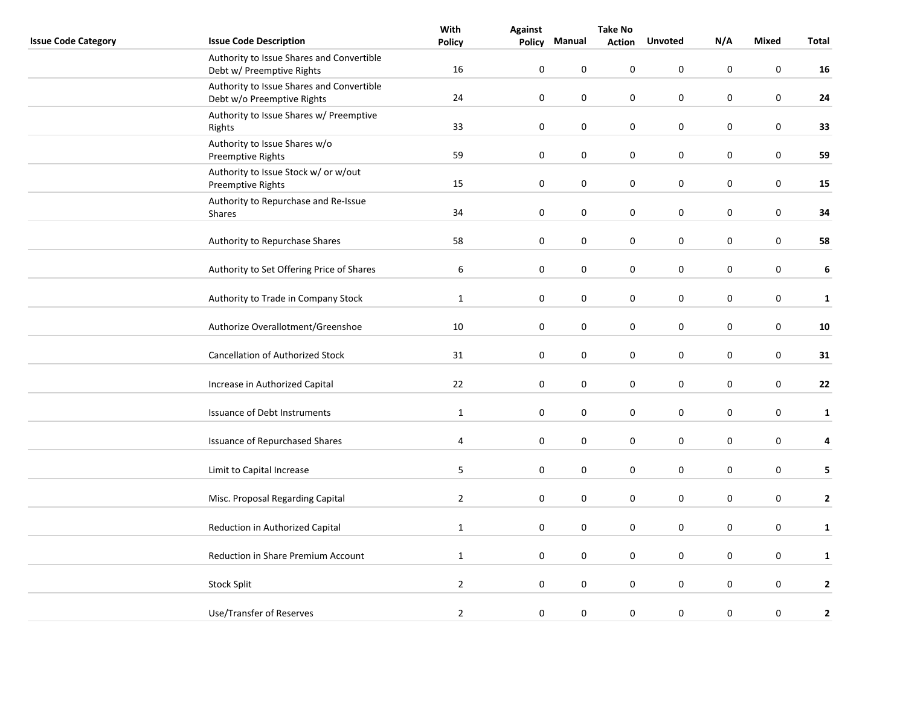|                            |                                                                         | With                    | <b>Against</b> |           | <b>Take No</b> |                |           |              |              |
|----------------------------|-------------------------------------------------------------------------|-------------------------|----------------|-----------|----------------|----------------|-----------|--------------|--------------|
| <b>Issue Code Category</b> | <b>Issue Code Description</b>                                           | <b>Policy</b>           | Policy         | Manual    | <b>Action</b>  | <b>Unvoted</b> | N/A       | <b>Mixed</b> | <b>Total</b> |
|                            | Authority to Issue Shares and Convertible<br>Debt w/ Preemptive Rights  | 16                      | $\mathbf 0$    | $\pmb{0}$ | 0              | 0              | 0         | $\mathsf 0$  | 16           |
|                            | Authority to Issue Shares and Convertible<br>Debt w/o Preemptive Rights | 24                      | $\pmb{0}$      | 0         | 0              | $\mathbf 0$    | 0         | 0            | 24           |
|                            | Authority to Issue Shares w/ Preemptive<br>Rights                       | 33                      | $\mathbf 0$    | $\pmb{0}$ | 0              | $\pmb{0}$      | 0         | $\pmb{0}$    | 33           |
|                            | Authority to Issue Shares w/o<br>Preemptive Rights                      | 59                      | $\pmb{0}$      | $\pmb{0}$ | 0              | $\pmb{0}$      | 0         | $\pmb{0}$    | 59           |
|                            | Authority to Issue Stock w/ or w/out<br>Preemptive Rights               | 15                      | $\mathbf 0$    | $\pmb{0}$ | 0              | $\pmb{0}$      | 0         | $\pmb{0}$    | 15           |
|                            | Authority to Repurchase and Re-Issue<br>Shares                          | 34                      | $\mathbf 0$    | $\pmb{0}$ | 0              | $\pmb{0}$      | 0         | $\pmb{0}$    | 34           |
|                            | Authority to Repurchase Shares                                          | 58                      | $\mathbf 0$    | 0         | 0              | $\pmb{0}$      | 0         | $\pmb{0}$    | 58           |
|                            | Authority to Set Offering Price of Shares                               | 6                       | $\pmb{0}$      | 0         | 0              | $\pmb{0}$      | 0         | $\pmb{0}$    | 6            |
|                            | Authority to Trade in Company Stock                                     | $\mathbf{1}$            | $\mathbf 0$    | 0         | 0              | $\pmb{0}$      | 0         | $\pmb{0}$    | $\mathbf{1}$ |
|                            | Authorize Overallotment/Greenshoe                                       | 10                      | $\mathbf 0$    | $\pmb{0}$ | 0              | $\pmb{0}$      | 0         | $\pmb{0}$    | ${\bf 10}$   |
|                            | Cancellation of Authorized Stock                                        | 31                      | $\pmb{0}$      | 0         | 0              | $\pmb{0}$      | 0         | $\pmb{0}$    | 31           |
|                            | Increase in Authorized Capital                                          | 22                      | $\mathbf 0$    | 0         | 0              | 0              | 0         | $\pmb{0}$    | 22           |
|                            | Issuance of Debt Instruments                                            | $\mathbf{1}$            | $\mathbf 0$    | 0         | 0              | $\pmb{0}$      | 0         | $\pmb{0}$    | $\mathbf{1}$ |
|                            | <b>Issuance of Repurchased Shares</b>                                   | $\overline{\mathbf{4}}$ | $\pmb{0}$      | 0         | 0              | $\pmb{0}$      | 0         | $\pmb{0}$    | 4            |
|                            | Limit to Capital Increase                                               | 5                       | $\mathbf 0$    | 0         | 0              | $\pmb{0}$      | 0         | $\pmb{0}$    | 5            |
|                            | Misc. Proposal Regarding Capital                                        | $\overline{2}$          | $\pmb{0}$      | $\pmb{0}$ | 0              | $\pmb{0}$      | $\pmb{0}$ | $\pmb{0}$    | $\mathbf{2}$ |
|                            | Reduction in Authorized Capital                                         | $\mathbf{1}$            | $\pmb{0}$      | 0         | 0              | 0              | 0         | $\pmb{0}$    | $\mathbf{1}$ |
|                            | Reduction in Share Premium Account                                      | $\mathbf{1}$            | $\mathbf 0$    | 0         | 0              | 0              | 0         | $\pmb{0}$    | $\mathbf{1}$ |
|                            | <b>Stock Split</b>                                                      | $\overline{2}$          | $\pmb{0}$      | $\pmb{0}$ | 0              | $\pmb{0}$      | 0         | $\pmb{0}$    | $\mathbf{2}$ |
|                            | Use/Transfer of Reserves                                                | $\overline{2}$          | $\pmb{0}$      | 0         | 0              | 0              | 0         | 0            | $\mathbf{2}$ |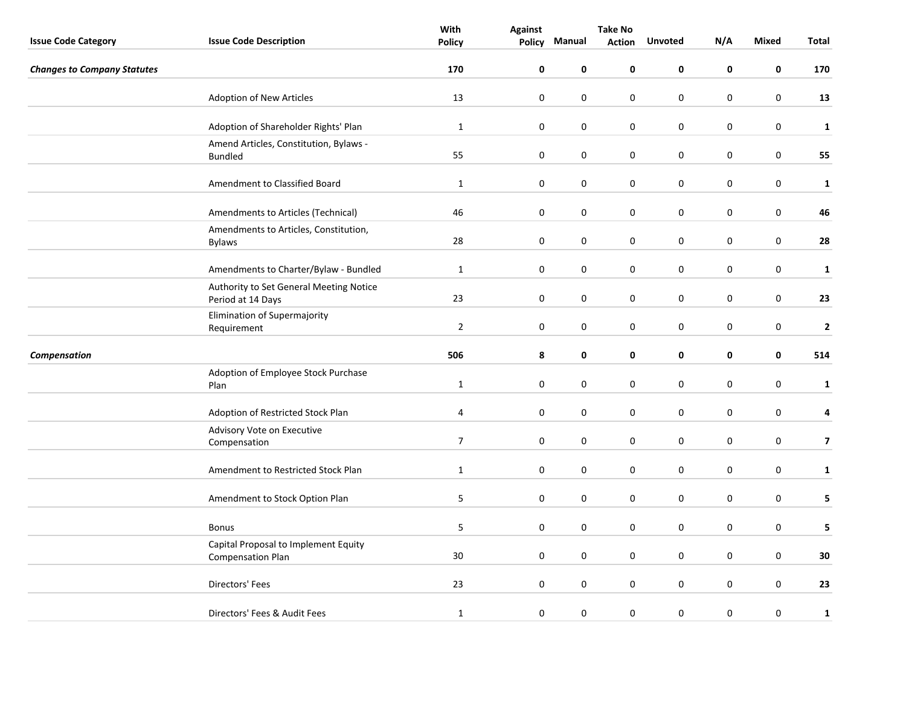|                                    |                                                                  | With           | <b>Against</b>   | <b>Take No</b> |               |                  |           |                  |                |
|------------------------------------|------------------------------------------------------------------|----------------|------------------|----------------|---------------|------------------|-----------|------------------|----------------|
| <b>Issue Code Category</b>         | <b>Issue Code Description</b>                                    | <b>Policy</b>  | Policy           | Manual         | <b>Action</b> | <b>Unvoted</b>   | N/A       | <b>Mixed</b>     | <b>Total</b>   |
| <b>Changes to Company Statutes</b> |                                                                  | 170            | $\mathbf 0$      | 0              | 0             | 0                | 0         | 0                | 170            |
|                                    | <b>Adoption of New Articles</b>                                  | 13             | $\mathbf 0$      | 0              | 0             | $\mathbf 0$      | 0         | $\mathbf 0$      | 13             |
|                                    | Adoption of Shareholder Rights' Plan                             | $\mathbf{1}$   | $\mathbf 0$      | $\pmb{0}$      | 0             | $\boldsymbol{0}$ | 0         | $\boldsymbol{0}$ | $\mathbf{1}$   |
|                                    | Amend Articles, Constitution, Bylaws -<br><b>Bundled</b>         | 55             | $\pmb{0}$        | $\pmb{0}$      | 0             | $\pmb{0}$        | 0         | $\pmb{0}$        | 55             |
|                                    | Amendment to Classified Board                                    | $\mathbf{1}$   | $\mathbf 0$      | 0              | 0             | $\boldsymbol{0}$ | 0         | $\boldsymbol{0}$ | $\mathbf 1$    |
|                                    | Amendments to Articles (Technical)                               | 46             | $\boldsymbol{0}$ | 0              | 0             | $\pmb{0}$        | 0         | $\pmb{0}$        | 46             |
|                                    | Amendments to Articles, Constitution,<br><b>Bylaws</b>           | 28             | $\boldsymbol{0}$ | 0              | 0             | $\pmb{0}$        | 0         | $\pmb{0}$        | 28             |
|                                    | Amendments to Charter/Bylaw - Bundled                            | $\mathbf{1}$   | $\pmb{0}$        | $\pmb{0}$      | 0             | $\pmb{0}$        | 0         | $\pmb{0}$        | $\mathbf{1}$   |
|                                    | Authority to Set General Meeting Notice<br>Period at 14 Days     | 23             | $\mathbf 0$      | $\pmb{0}$      | 0             | $\boldsymbol{0}$ | 0         | $\boldsymbol{0}$ | 23             |
|                                    | Elimination of Supermajority<br>Requirement                      | $\overline{2}$ | $\mathbf 0$      | 0              | 0             | $\boldsymbol{0}$ | 0         | $\boldsymbol{0}$ | $\mathbf 2$    |
| Compensation                       |                                                                  | 506            | ${\bf 8}$        | 0              | 0             | 0                | 0         | 0                | 514            |
|                                    | Adoption of Employee Stock Purchase<br>Plan                      | $\mathbf{1}$   | $\boldsymbol{0}$ | 0              | 0             | $\pmb{0}$        | 0         | $\pmb{0}$        | $\mathbf{1}$   |
|                                    | Adoption of Restricted Stock Plan                                | 4              | $\mathbf 0$      | 0              | 0             | $\pmb{0}$        | 0         | $\pmb{0}$        | 4              |
|                                    | Advisory Vote on Executive<br>Compensation                       | $\overline{7}$ | $\mathbf 0$      | $\pmb{0}$      | 0             | $\boldsymbol{0}$ | $\pmb{0}$ | $\boldsymbol{0}$ | $\overline{7}$ |
|                                    | Amendment to Restricted Stock Plan                               | $\mathbf{1}$   | $\mathbf 0$      | $\pmb{0}$      | 0             | $\boldsymbol{0}$ | $\pmb{0}$ | $\pmb{0}$        | $\mathbf{1}$   |
|                                    | Amendment to Stock Option Plan                                   | 5              | $\mathbf 0$      | 0              | 0             | $\boldsymbol{0}$ | $\pmb{0}$ | $\pmb{0}$        | 5              |
|                                    | <b>Bonus</b>                                                     | 5              | $\mathbf 0$      | 0              | 0             | $\pmb{0}$        | 0         | 0                | 5              |
|                                    | Capital Proposal to Implement Equity<br><b>Compensation Plan</b> | 30             | $\mathbf 0$      | $\pmb{0}$      | 0             | 0                | 0         | $\pmb{0}$        | 30             |
|                                    | Directors' Fees                                                  | 23             | $\mathbf 0$      | $\pmb{0}$      | 0             | $\boldsymbol{0}$ | $\pmb{0}$ | $\boldsymbol{0}$ | 23             |
|                                    | Directors' Fees & Audit Fees                                     | $\mathbf{1}$   | $\pmb{0}$        | 0              | 0             | $\boldsymbol{0}$ | $\pmb{0}$ | $\pmb{0}$        | $\mathbf{1}$   |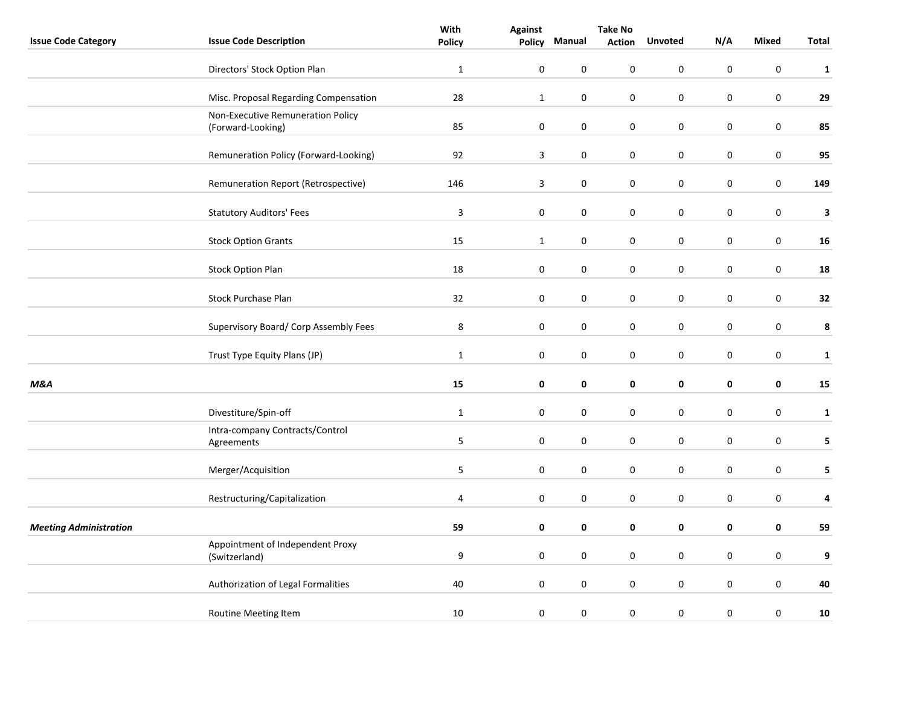|                               |                                                        | With           | <b>Against</b>   | <b>Take No</b>   |               |           |             |                  |                  |
|-------------------------------|--------------------------------------------------------|----------------|------------------|------------------|---------------|-----------|-------------|------------------|------------------|
| <b>Issue Code Category</b>    | <b>Issue Code Description</b>                          | <b>Policy</b>  | <b>Policy</b>    | Manual           | <b>Action</b> | Unvoted   | N/A         | <b>Mixed</b>     | <b>Total</b>     |
|                               | Directors' Stock Option Plan                           | $\mathbf{1}$   | $\mathbf 0$      | 0                | $\pmb{0}$     | 0         | $\pmb{0}$   | $\pmb{0}$        | $\mathbf{1}$     |
|                               | Misc. Proposal Regarding Compensation                  | 28             | $\mathbf 1$      | $\boldsymbol{0}$ | $\pmb{0}$     | $\pmb{0}$ | $\pmb{0}$   | $\pmb{0}$        | 29               |
|                               | Non-Executive Remuneration Policy<br>(Forward-Looking) | 85             | $\pmb{0}$        | 0                | $\pmb{0}$     | $\pmb{0}$ | $\pmb{0}$   | $\pmb{0}$        | 85               |
|                               | Remuneration Policy (Forward-Looking)                  | 92             | 3                | 0                | 0             | 0         | 0           | $\mathbf 0$      | 95               |
|                               | Remuneration Report (Retrospective)                    | 146            | $\mathbf{3}$     | 0                | $\pmb{0}$     | $\pmb{0}$ | $\pmb{0}$   | $\boldsymbol{0}$ | 149              |
|                               | <b>Statutory Auditors' Fees</b>                        | $\mathbf{3}$   | $\pmb{0}$        | 0                | $\pmb{0}$     | 0         | 0           | $\pmb{0}$        | $\mathbf{3}$     |
|                               | <b>Stock Option Grants</b>                             | 15             | $\mathbf{1}$     | $\pmb{0}$        | $\pmb{0}$     | $\pmb{0}$ | $\pmb{0}$   | $\pmb{0}$        | 16               |
|                               | <b>Stock Option Plan</b>                               | 18             | $\pmb{0}$        | $\pmb{0}$        | $\pmb{0}$     | $\pmb{0}$ | $\pmb{0}$   | $\pmb{0}$        | 18               |
|                               | <b>Stock Purchase Plan</b>                             | 32             | $\pmb{0}$        | 0                | $\pmb{0}$     | $\pmb{0}$ | $\pmb{0}$   | $\pmb{0}$        | 32               |
|                               | Supervisory Board/ Corp Assembly Fees                  | $\,8\,$        | $\boldsymbol{0}$ | $\pmb{0}$        | $\pmb{0}$     | $\pmb{0}$ | $\pmb{0}$   | $\mathbf 0$      | 8                |
|                               | Trust Type Equity Plans (JP)                           | $\mathbf{1}$   | $\pmb{0}$        | 0                | $\pmb{0}$     | $\pmb{0}$ | $\pmb{0}$   | $\pmb{0}$        | $\mathbf{1}$     |
| <b>M&amp;A</b>                |                                                        | 15             | $\pmb{0}$        | $\pmb{0}$        | $\pmb{0}$     | $\pmb{0}$ | $\pmb{0}$   | $\pmb{0}$        | 15               |
|                               | Divestiture/Spin-off                                   | $\mathbf{1}$   | $\pmb{0}$        | $\pmb{0}$        | $\pmb{0}$     | $\pmb{0}$ | $\mathbf 0$ | $\pmb{0}$        | $\mathbf{1}$     |
|                               | Intra-company Contracts/Control<br>Agreements          | $\mathsf S$    | $\pmb{0}$        | 0                | $\pmb{0}$     | $\pmb{0}$ | $\pmb{0}$   | $\pmb{0}$        | 5                |
|                               | Merger/Acquisition                                     | 5              | $\mathbf 0$      | $\pmb{0}$        | $\pmb{0}$     | $\pmb{0}$ | $\pmb{0}$   | $\pmb{0}$        | 5                |
|                               | Restructuring/Capitalization                           | $\overline{4}$ | $\pmb{0}$        | $\pmb{0}$        | $\pmb{0}$     | $\pmb{0}$ | $\pmb{0}$   | $\pmb{0}$        | $\pmb{4}$        |
| <b>Meeting Administration</b> |                                                        | 59             | 0                | 0                | $\pmb{0}$     | $\pmb{0}$ | $\mathbf 0$ | $\pmb{0}$        | 59               |
|                               | Appointment of Independent Proxy<br>(Switzerland)      | 9              | $\pmb{0}$        | $\pmb{0}$        | $\pmb{0}$     | 0         | 0           | $\pmb{0}$        | $\boldsymbol{9}$ |
|                               | Authorization of Legal Formalities                     | 40             | $\boldsymbol{0}$ | 0                | $\pmb{0}$     | $\pmb{0}$ | $\pmb{0}$   | $\mathbf 0$      | 40               |
|                               | Routine Meeting Item                                   | 10             | $\pmb{0}$        | $\boldsymbol{0}$ | $\pmb{0}$     | 0         | $\pmb{0}$   | $\pmb{0}$        | ${\bf 10}$       |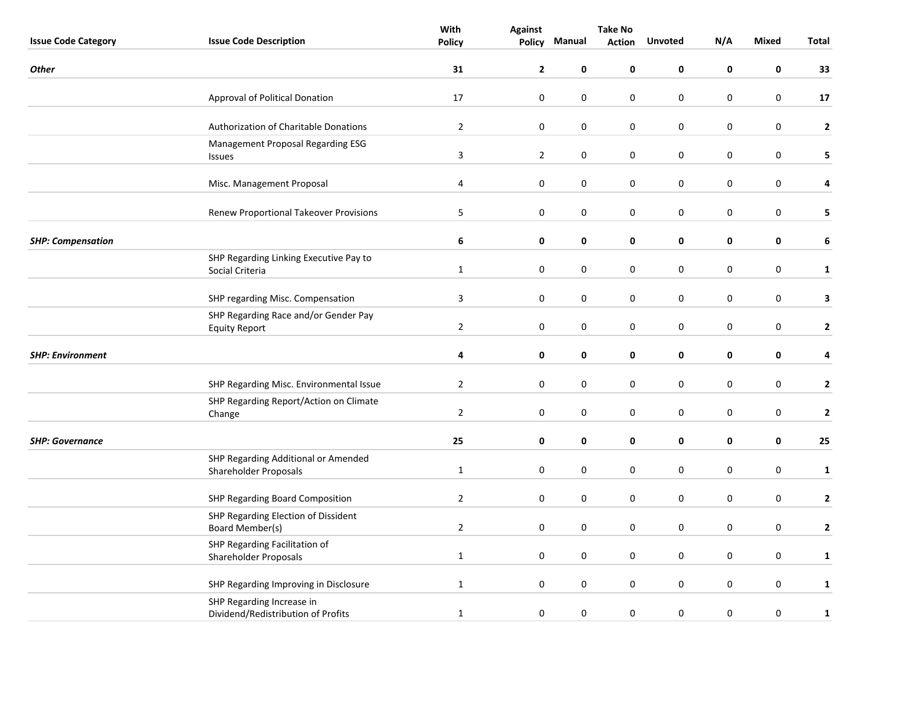|                            |                                                                 | With           | <b>Against</b> | <b>Take No</b>   |               |                |           |                  |              |
|----------------------------|-----------------------------------------------------------------|----------------|----------------|------------------|---------------|----------------|-----------|------------------|--------------|
| <b>Issue Code Category</b> | <b>Issue Code Description</b>                                   | <b>Policy</b>  | Policy         | Manual           | <b>Action</b> | <b>Unvoted</b> | N/A       | Mixed            | <b>Total</b> |
| <b>Other</b>               |                                                                 | 31             | $\mathbf{2}$   | $\mathbf 0$      | 0             | $\mathbf 0$    | 0         | 0                | 33           |
|                            | Approval of Political Donation                                  | 17             | $\pmb{0}$      | 0                | 0             | $\pmb{0}$      | $\pmb{0}$ | $\boldsymbol{0}$ | 17           |
|                            | Authorization of Charitable Donations                           | $\overline{2}$ | 0              | 0                | 0             | $\pmb{0}$      | $\pmb{0}$ | $\boldsymbol{0}$ | $\mathbf{2}$ |
|                            | Management Proposal Regarding ESG<br>Issues                     | $\mathbf{3}$   | $\overline{2}$ | $\pmb{0}$        | 0             | $\pmb{0}$      | $\pmb{0}$ | $\boldsymbol{0}$ | 5            |
|                            | Misc. Management Proposal                                       | 4              | 0              | 0                | 0             | 0              | 0         | 0                | 4            |
|                            | <b>Renew Proportional Takeover Provisions</b>                   | 5              | 0              | 0                | 0             | 0              | 0         | 0                | 5            |
| <b>SHP: Compensation</b>   |                                                                 | 6              | 0              | 0                | 0             | 0              | 0         | 0                | 6            |
|                            | SHP Regarding Linking Executive Pay to<br>Social Criteria       | $\mathbf{1}$   | $\pmb{0}$      | $\pmb{0}$        | 0             | $\pmb{0}$      | 0         | $\boldsymbol{0}$ | $\mathbf{1}$ |
|                            | SHP regarding Misc. Compensation                                | 3              | 0              | 0                | 0             | $\pmb{0}$      | 0         | $\pmb{0}$        | 3            |
|                            | SHP Regarding Race and/or Gender Pay<br><b>Equity Report</b>    | $\overline{2}$ | $\pmb{0}$      | 0                | 0             | 0              | 0         | $\boldsymbol{0}$ | $\mathbf{2}$ |
| <b>SHP: Environment</b>    |                                                                 | 4              | 0              | $\pmb{0}$        | 0             | $\pmb{0}$      | 0         | 0                | 4            |
|                            | SHP Regarding Misc. Environmental Issue                         | $\overline{2}$ | 0              | 0                | 0             | 0              | 0         | $\boldsymbol{0}$ | $\mathbf 2$  |
|                            | SHP Regarding Report/Action on Climate<br>Change                | $\overline{2}$ | 0              | 0                | 0             | $\pmb{0}$      | 0         | $\pmb{0}$        | $\mathbf{2}$ |
| <b>SHP: Governance</b>     |                                                                 | 25             | 0              | 0                | $\pmb{0}$     | $\pmb{0}$      | 0         | 0                | 25           |
|                            | SHP Regarding Additional or Amended<br>Shareholder Proposals    | $\mathbf{1}$   | 0              | 0                | 0             | $\pmb{0}$      | 0         | $\pmb{0}$        | $\mathbf{1}$ |
|                            | SHP Regarding Board Composition                                 | $\overline{2}$ | $\pmb{0}$      | $\boldsymbol{0}$ | 0             | 0              | 0         | $\boldsymbol{0}$ | $\mathbf{2}$ |
|                            | SHP Regarding Election of Dissident<br><b>Board Member(s)</b>   | $\overline{2}$ | $\pmb{0}$      | 0                | 0             | 0              | 0         | $\pmb{0}$        | $\mathbf{2}$ |
|                            | SHP Regarding Facilitation of<br>Shareholder Proposals          | $\mathbf{1}$   | $\pmb{0}$      | $\mathbf 0$      | 0             | $\mathbf 0$    | 0         | $\pmb{0}$        | $\mathbf{1}$ |
|                            | SHP Regarding Improving in Disclosure                           | $\mathbf{1}$   | 0              | $\boldsymbol{0}$ | 0             | $\pmb{0}$      | 0         | $\boldsymbol{0}$ | $\mathbf{1}$ |
|                            | SHP Regarding Increase in<br>Dividend/Redistribution of Profits | $\mathbf{1}$   | $\pmb{0}$      | 0                | 0             | 0              | $\pmb{0}$ | $\boldsymbol{0}$ | $\mathbf{1}$ |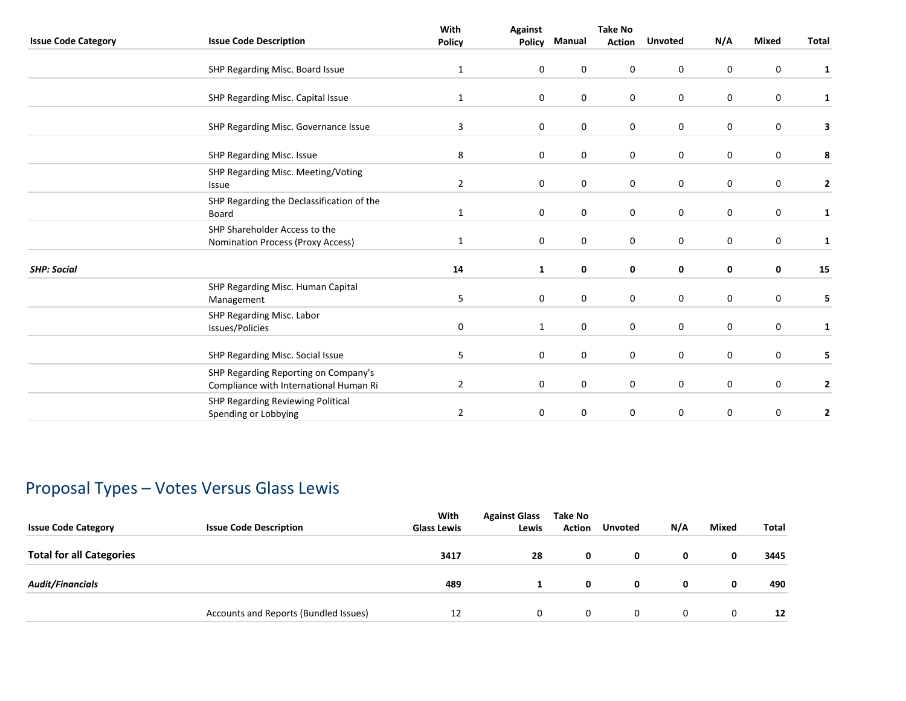|                            |                                                                                | With           | <b>Against</b> |             | Take No       |                  |              |              |              |
|----------------------------|--------------------------------------------------------------------------------|----------------|----------------|-------------|---------------|------------------|--------------|--------------|--------------|
| <b>Issue Code Category</b> | <b>Issue Code Description</b>                                                  | Policy         | <b>Policy</b>  | Manual      | <b>Action</b> | <b>Unvoted</b>   | N/A          | <b>Mixed</b> | <b>Total</b> |
|                            | SHP Regarding Misc. Board Issue                                                | $\mathbf{1}$   | 0              | $\mathbf 0$ | 0             | $\mathbf 0$      | 0            | $\mathbf 0$  | $\mathbf{1}$ |
|                            | SHP Regarding Misc. Capital Issue                                              | $\mathbf{1}$   | 0              | 0           | 0             | 0                | 0            | 0            | 1            |
|                            | SHP Regarding Misc. Governance Issue                                           | 3              | 0              | $\mathbf 0$ | $\mathbf 0$   | $\boldsymbol{0}$ | $\mathbf 0$  | $\mathbf 0$  | 3            |
|                            | SHP Regarding Misc. Issue                                                      | 8              | 0              | $\mathbf 0$ | 0             | 0                | $\mathbf 0$  | 0            | 8            |
|                            | SHP Regarding Misc. Meeting/Voting<br>Issue                                    | $\overline{2}$ | 0              | $\pmb{0}$   | 0             | $\pmb{0}$        | 0            | $\pmb{0}$    | $\mathbf{2}$ |
|                            | SHP Regarding the Declassification of the<br>Board                             | $\mathbf{1}$   | 0              | $\mathbf 0$ | 0             | $\mathbf 0$      | $\mathbf{0}$ | $\mathbf 0$  | 1            |
|                            | SHP Shareholder Access to the<br><b>Nomination Process (Proxy Access)</b>      | 1              | 0              | $\mathbf 0$ | $\mathbf 0$   | 0                | $\mathbf 0$  | $\mathbf 0$  | 1            |
| <b>SHP: Social</b>         |                                                                                | 14             | $\mathbf{1}$   | 0           | 0             | 0                | 0            | 0            | 15           |
|                            | SHP Regarding Misc. Human Capital<br>Management                                | 5              | $\mathbf 0$    | $\mathbf 0$ | 0             | $\mathbf 0$      | $\mathbf 0$  | $\mathbf 0$  | 5            |
|                            | SHP Regarding Misc. Labor<br>Issues/Policies                                   | 0              | $\mathbf{1}$   | $\mathbf 0$ | 0             | 0                | 0            | 0            | $\mathbf{1}$ |
|                            | SHP Regarding Misc. Social Issue                                               | 5              | 0              | $\mathbf 0$ | 0             | $\mathbf 0$      | 0            | $\mathbf 0$  | 5            |
|                            | SHP Regarding Reporting on Company's<br>Compliance with International Human Ri | $\overline{2}$ | 0              | $\mathbf 0$ | $\mathbf 0$   | $\mathbf 0$      | 0            | $\mathbf 0$  | 2            |
|                            | SHP Regarding Reviewing Political<br>Spending or Lobbying                      | $\overline{2}$ | $\mathbf 0$    | 0           | 0             | 0                | 0            | $\pmb{0}$    | $\mathbf 2$  |
|                            |                                                                                |                |                |             |               |                  |              |              |              |

# Proposal Types – Votes Versus Glass Lewis

| <b>Issue Code Category</b>      | <b>Issue Code Description</b>         | With<br><b>Glass Lewis</b> | <b>Against Glass</b><br>Lewis | Take No<br><b>Action</b> | <b>Unvoted</b> | N/A | <b>Mixed</b> | <b>Total</b> |
|---------------------------------|---------------------------------------|----------------------------|-------------------------------|--------------------------|----------------|-----|--------------|--------------|
| <b>Total for all Categories</b> |                                       | 3417                       | 28                            | 0                        | 0              | 0   | 0            | 3445         |
| <b>Audit/Financials</b>         |                                       | 489                        |                               | 0                        | 0              | 0   | 0            | 490          |
|                                 | Accounts and Reports (Bundled Issues) | 12                         | 0                             | 0                        | $\mathbf{0}$   | 0   | $\mathbf{0}$ | 12           |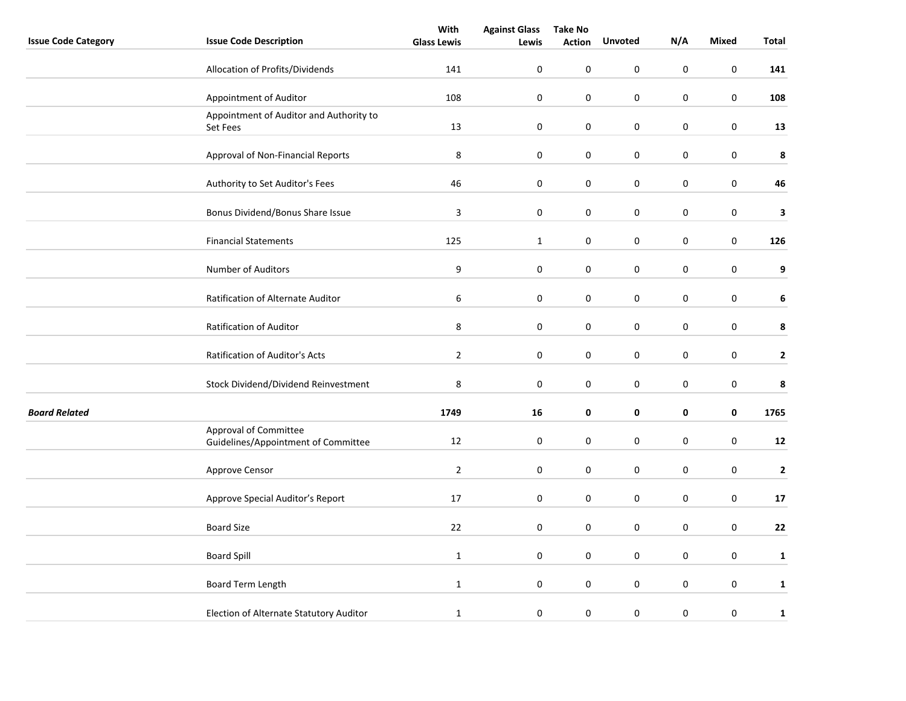|                            |                                                              | With               | <b>Against Glass</b> | <b>Take No</b>   |                  |             |              |              |
|----------------------------|--------------------------------------------------------------|--------------------|----------------------|------------------|------------------|-------------|--------------|--------------|
| <b>Issue Code Category</b> | <b>Issue Code Description</b>                                | <b>Glass Lewis</b> | Lewis                | <b>Action</b>    | <b>Unvoted</b>   | N/A         | <b>Mixed</b> | Total        |
|                            | Allocation of Profits/Dividends                              | 141                | $\boldsymbol{0}$     | $\pmb{0}$        | 0                | $\pmb{0}$   | $\pmb{0}$    | 141          |
|                            | Appointment of Auditor                                       | 108                | $\boldsymbol{0}$     | $\pmb{0}$        | $\boldsymbol{0}$ | $\pmb{0}$   | $\pmb{0}$    | 108          |
|                            | Appointment of Auditor and Authority to<br>Set Fees          | 13                 | 0                    | $\boldsymbol{0}$ | $\pmb{0}$        | $\pmb{0}$   | $\pmb{0}$    | 13           |
|                            | Approval of Non-Financial Reports                            | $\bf 8$            | $\pmb{0}$            | 0                | $\mathbf 0$      | $\pmb{0}$   | $\pmb{0}$    | $\pmb{8}$    |
|                            | Authority to Set Auditor's Fees                              | 46                 | $\boldsymbol{0}$     | $\pmb{0}$        | $\boldsymbol{0}$ | $\pmb{0}$   | $\pmb{0}$    | 46           |
|                            | Bonus Dividend/Bonus Share Issue                             | 3                  | 0                    | $\boldsymbol{0}$ | 0                | 0           | $\pmb{0}$    | 3            |
|                            | <b>Financial Statements</b>                                  | 125                | $\mathbf{1}$         | $\pmb{0}$        | $\pmb{0}$        | $\pmb{0}$   | $\pmb{0}$    | 126          |
|                            | Number of Auditors                                           | 9                  | $\pmb{0}$            | $\boldsymbol{0}$ | 0                | $\mathbf 0$ | $\pmb{0}$    | 9            |
|                            | Ratification of Alternate Auditor                            | 6                  | $\pmb{0}$            | 0                | 0                | 0           | $\pmb{0}$    | 6            |
|                            | Ratification of Auditor                                      | $\,8\,$            | $\boldsymbol{0}$     | $\pmb{0}$        | $\pmb{0}$        | $\pmb{0}$   | $\pmb{0}$    | 8            |
|                            | Ratification of Auditor's Acts                               | $\overline{2}$     | 0                    | 0                | 0                | $\mathbf 0$ | $\pmb{0}$    | $\mathbf{2}$ |
|                            | Stock Dividend/Dividend Reinvestment                         | 8                  | 0                    | 0                | 0                | 0           | $\pmb{0}$    | 8            |
| <b>Board Related</b>       |                                                              | 1749               | 16                   | 0                | $\pmb{0}$        | $\pmb{0}$   | $\pmb{0}$    | 1765         |
|                            | Approval of Committee<br>Guidelines/Appointment of Committee | $12\,$             | $\boldsymbol{0}$     | $\pmb{0}$        | $\boldsymbol{0}$ | $\pmb{0}$   | $\pmb{0}$    | ${\bf 12}$   |
|                            | Approve Censor                                               | $\overline{2}$     | $\pmb{0}$            | 0                | $\pmb{0}$        | $\mathbf 0$ | $\pmb{0}$    | $\mathbf{2}$ |
|                            | Approve Special Auditor's Report                             | 17                 | $\pmb{0}$            | 0                | 0                | $\pmb{0}$   | $\pmb{0}$    | 17           |
|                            | <b>Board Size</b>                                            | 22                 | $\boldsymbol{0}$     | $\boldsymbol{0}$ | $\mathsf 0$      | $\pmb{0}$   | $\pmb{0}$    | 22           |
|                            | <b>Board Spill</b>                                           | $\mathbf{1}$       | 0                    | 0                | $\mathbf 0$      | 0           | $\mathbf 0$  | $\mathbf{1}$ |
|                            | Board Term Length                                            | $\mathbf{1}$       | $\pmb{0}$            | $\pmb{0}$        | 0                | $\pmb{0}$   | $\pmb{0}$    | $\mathbf{1}$ |
|                            | Election of Alternate Statutory Auditor                      | $\mathbf{1}$       | 0                    | $\pmb{0}$        | 0                | $\pmb{0}$   | $\pmb{0}$    | $\mathbf 1$  |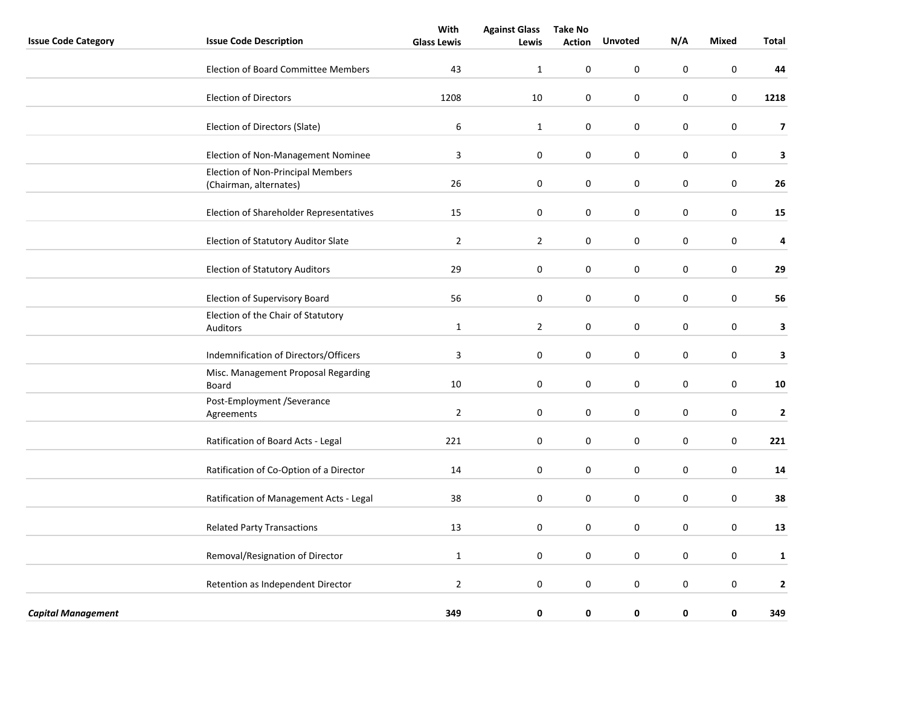|                            |                                                             | With               | <b>Against Glass</b> | <b>Take No</b>   |                |             |              |                         |
|----------------------------|-------------------------------------------------------------|--------------------|----------------------|------------------|----------------|-------------|--------------|-------------------------|
| <b>Issue Code Category</b> | <b>Issue Code Description</b>                               | <b>Glass Lewis</b> | Lewis                | <b>Action</b>    | <b>Unvoted</b> | N/A         | <b>Mixed</b> | <b>Total</b>            |
|                            | <b>Election of Board Committee Members</b>                  | 43                 | $\mathbf{1}$         | $\pmb{0}$        | 0              | $\mathbf 0$ | $\mathbf 0$  | 44                      |
|                            | <b>Election of Directors</b>                                | 1208               | 10                   | 0                | $\mathsf 0$    | $\pmb{0}$   | $\mathbf 0$  | 1218                    |
|                            | Election of Directors (Slate)                               | $\boldsymbol{6}$   | $\mathbf{1}$         | $\pmb{0}$        | $\mathsf 0$    | $\pmb{0}$   | $\pmb{0}$    | $\overline{\mathbf{z}}$ |
|                            | Election of Non-Management Nominee                          | 3                  | $\boldsymbol{0}$     | $\pmb{0}$        | 0              | $\pmb{0}$   | $\pmb{0}$    | $\overline{\mathbf{3}}$ |
|                            | Election of Non-Principal Members<br>(Chairman, alternates) | 26                 | $\boldsymbol{0}$     | $\pmb{0}$        | $\mathsf 0$    | $\pmb{0}$   | $\pmb{0}$    | 26                      |
|                            | Election of Shareholder Representatives                     | 15                 | 0                    | 0                | 0              | $\mathbf 0$ | $\pmb{0}$    | 15                      |
|                            | Election of Statutory Auditor Slate                         | $\overline{2}$     | $\overline{2}$       | $\boldsymbol{0}$ | $\mathsf 0$    | $\pmb{0}$   | $\pmb{0}$    | 4                       |
|                            | <b>Election of Statutory Auditors</b>                       | 29                 | 0                    | $\boldsymbol{0}$ | $\mathsf 0$    | $\pmb{0}$   | $\pmb{0}$    | 29                      |
|                            | Election of Supervisory Board                               | 56                 | $\boldsymbol{0}$     | $\boldsymbol{0}$ | 0              | $\pmb{0}$   | $\pmb{0}$    | 56                      |
|                            | Election of the Chair of Statutory<br>Auditors              | $\mathbf{1}$       | $\overline{2}$       | 0                | 0              | $\mathbf 0$ | $\pmb{0}$    | 3                       |
|                            | Indemnification of Directors/Officers                       | 3                  | 0                    | 0                | 0              | 0           | $\pmb{0}$    | 3                       |
|                            | Misc. Management Proposal Regarding<br>Board                | 10                 | 0                    | 0                | 0              | $\mathbf 0$ | 0            | 10                      |
|                            | Post-Employment /Severance<br>Agreements                    | $\overline{2}$     | 0                    | 0                | 0              | $\mathbf 0$ | $\pmb{0}$    | $\overline{2}$          |
|                            | Ratification of Board Acts - Legal                          | 221                | 0                    | 0                | 0              | $\mathbf 0$ | $\mathbf 0$  | 221                     |
|                            | Ratification of Co-Option of a Director                     | 14                 | 0                    | 0                | 0              | $\mathbf 0$ | $\pmb{0}$    | 14                      |
|                            | Ratification of Management Acts - Legal                     | 38                 | 0                    | 0                | 0              | 0           | 0            | 38                      |
|                            | <b>Related Party Transactions</b>                           | 13                 | 0                    | 0                | 0              | $\mathbf 0$ | 0            | 13                      |
|                            | Removal/Resignation of Director                             | $\mathbf{1}$       | 0                    | 0                | 0              | $\mathbf 0$ | $\pmb{0}$    | $\mathbf{1}$            |
|                            | Retention as Independent Director                           | $\overline{2}$     | 0                    | 0                | 0              | $\mathbf 0$ | $\mathbf 0$  | $\mathbf 2$             |
| <b>Capital Management</b>  |                                                             | 349                | 0                    | 0                | 0              | 0           | 0            | 349                     |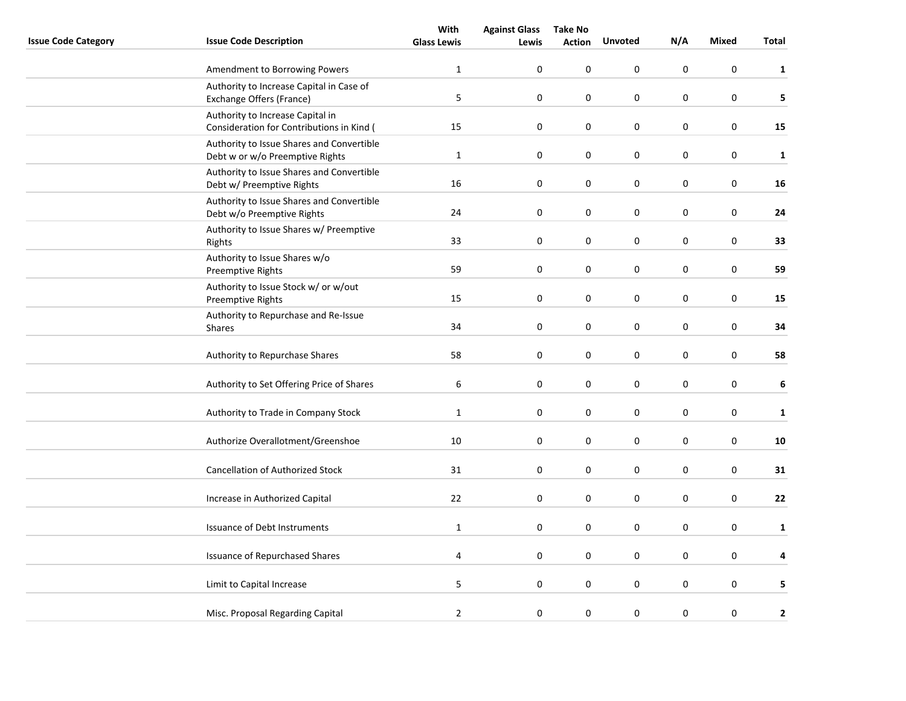|                            |                                                                               | With               | <b>Against Glass</b> | <b>Take No</b>   |                  |             |              |              |
|----------------------------|-------------------------------------------------------------------------------|--------------------|----------------------|------------------|------------------|-------------|--------------|--------------|
| <b>Issue Code Category</b> | <b>Issue Code Description</b>                                                 | <b>Glass Lewis</b> | Lewis                | <b>Action</b>    | <b>Unvoted</b>   | N/A         | <b>Mixed</b> | Total        |
|                            | Amendment to Borrowing Powers                                                 | $\mathbf{1}$       | 0                    | 0                | 0                | 0           | 0            | $\mathbf{1}$ |
|                            | Authority to Increase Capital in Case of<br>Exchange Offers (France)          | 5                  | $\boldsymbol{0}$     | $\pmb{0}$        | 0                | $\pmb{0}$   | $\pmb{0}$    | 5            |
|                            | Authority to Increase Capital in<br>Consideration for Contributions in Kind ( | 15                 | $\boldsymbol{0}$     | $\pmb{0}$        | $\mathbf 0$      | $\pmb{0}$   | $\pmb{0}$    | 15           |
|                            | Authority to Issue Shares and Convertible<br>Debt w or w/o Preemptive Rights  | $\mathbf{1}$       | 0                    | 0                | 0                | $\mathbf 0$ | $\pmb{0}$    | $\mathbf{1}$ |
|                            | Authority to Issue Shares and Convertible<br>Debt w/ Preemptive Rights        | 16                 | $\pmb{0}$            | 0                | 0                | 0           | $\pmb{0}$    | 16           |
|                            | Authority to Issue Shares and Convertible<br>Debt w/o Preemptive Rights       | 24                 | 0                    | 0                | 0                | 0           | $\pmb{0}$    | 24           |
|                            | Authority to Issue Shares w/ Preemptive<br>Rights                             | 33                 | 0                    | 0                | 0                | $\pmb{0}$   | $\pmb{0}$    | 33           |
|                            | Authority to Issue Shares w/o<br><b>Preemptive Rights</b>                     | 59                 | 0                    | 0                | 0                | $\mathbf 0$ | $\mathbf 0$  | 59           |
|                            | Authority to Issue Stock w/ or w/out<br><b>Preemptive Rights</b>              | 15                 | 0                    | 0                | 0                | $\pmb{0}$   | $\pmb{0}$    | 15           |
|                            | Authority to Repurchase and Re-Issue<br>Shares                                | 34                 | $\boldsymbol{0}$     | $\pmb{0}$        | $\boldsymbol{0}$ | $\pmb{0}$   | $\pmb{0}$    | 34           |
|                            | Authority to Repurchase Shares                                                | 58                 | $\pmb{0}$            | $\boldsymbol{0}$ | $\mathsf 0$      | $\pmb{0}$   | $\pmb{0}$    | 58           |
|                            | Authority to Set Offering Price of Shares                                     | 6                  | 0                    | 0                | 0                | 0           | $\pmb{0}$    | $\bf 6$      |
|                            | Authority to Trade in Company Stock                                           | $\mathbf{1}$       | $\boldsymbol{0}$     | 0                | 0                | 0           | $\mathbf 0$  | $\mathbf 1$  |
|                            | Authorize Overallotment/Greenshoe                                             | $10\,$             | $\boldsymbol{0}$     | $\pmb{0}$        | $\pmb{0}$        | $\pmb{0}$   | $\pmb{0}$    | 10           |
|                            | <b>Cancellation of Authorized Stock</b>                                       | 31                 | 0                    | 0                | 0                | $\mathbf 0$ | $\pmb{0}$    | 31           |
|                            | Increase in Authorized Capital                                                | 22                 | $\pmb{0}$            | 0                | 0                | 0           | $\pmb{0}$    | ${\bf 22}$   |
|                            | Issuance of Debt Instruments                                                  | $\mathbf 1$        | $\boldsymbol{0}$     | $\pmb{0}$        | $\mathsf 0$      | $\pmb{0}$   | $\pmb{0}$    | $\mathbf{1}$ |
|                            | <b>Issuance of Repurchased Shares</b>                                         | 4                  | 0                    | 0                | 0                | 0           | $\pmb{0}$    | 4            |
|                            | Limit to Capital Increase                                                     | $\mathsf S$        | 0                    | $\pmb{0}$        | 0                | $\pmb{0}$   | $\pmb{0}$    | 5            |
|                            | Misc. Proposal Regarding Capital                                              | $\overline{2}$     | 0                    | 0                | 0                | 0           | $\pmb{0}$    | $\mathbf 2$  |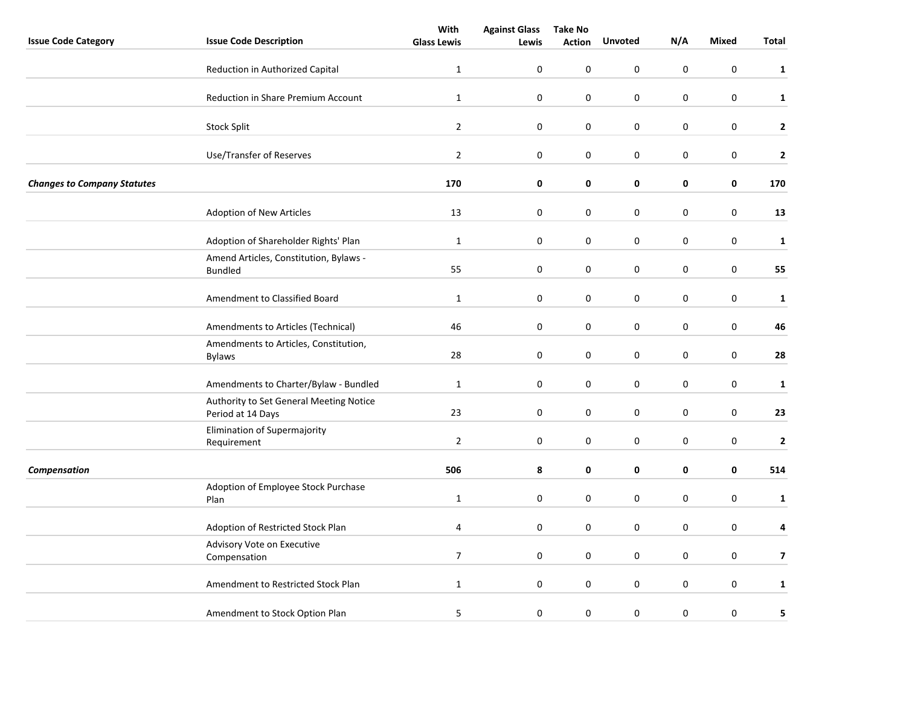|                                    |                                                              | With               | <b>Against Glass</b> | <b>Take No</b> |                  |                  |                  |                |
|------------------------------------|--------------------------------------------------------------|--------------------|----------------------|----------------|------------------|------------------|------------------|----------------|
| <b>Issue Code Category</b>         | <b>Issue Code Description</b>                                | <b>Glass Lewis</b> | Lewis                | <b>Action</b>  | <b>Unvoted</b>   | N/A              | <b>Mixed</b>     | Total          |
|                                    | Reduction in Authorized Capital                              | $\mathbf{1}$       | $\mathbf 0$          | 0              | 0                | 0                | $\pmb{0}$        | $\mathbf{1}$   |
|                                    | <b>Reduction in Share Premium Account</b>                    | $\mathbf{1}$       | $\boldsymbol{0}$     | 0              | 0                | 0                | $\boldsymbol{0}$ | $\mathbf{1}$   |
|                                    | <b>Stock Split</b>                                           | $\overline{2}$     | $\boldsymbol{0}$     | 0              | 0                | 0                | $\boldsymbol{0}$ | $\mathbf{2}$   |
|                                    | Use/Transfer of Reserves                                     | $\overline{2}$     | $\boldsymbol{0}$     | 0              | 0                | 0                | $\boldsymbol{0}$ | $\mathbf 2$    |
| <b>Changes to Company Statutes</b> |                                                              | 170                | 0                    | 0              | 0                | 0                | 0                | 170            |
|                                    | Adoption of New Articles                                     | 13                 | 0                    | 0              | 0                | 0                | $\pmb{0}$        | 13             |
|                                    | Adoption of Shareholder Rights' Plan                         | $\mathbf{1}$       | $\pmb{0}$            | 0              | 0                | 0                | $\boldsymbol{0}$ | $\mathbf{1}$   |
|                                    | Amend Articles, Constitution, Bylaws -<br><b>Bundled</b>     | 55                 | $\boldsymbol{0}$     | 0              | $\boldsymbol{0}$ | $\boldsymbol{0}$ | $\pmb{0}$        | 55             |
|                                    | Amendment to Classified Board                                | $\mathbf{1}$       | $\pmb{0}$            | 0              | 0                | 0                | 0                | $\mathbf{1}$   |
|                                    | Amendments to Articles (Technical)                           | 46                 | 0                    | 0              | 0                | 0                | $\pmb{0}$        | 46             |
|                                    | Amendments to Articles, Constitution,<br><b>Bylaws</b>       | 28                 | 0                    | $\pmb{0}$      | 0                | 0                | $\pmb{0}$        | 28             |
|                                    | Amendments to Charter/Bylaw - Bundled                        | $\mathbf{1}$       | $\pmb{0}$            | 0              | 0                | 0                | $\mathsf 0$      | $\mathbf{1}$   |
|                                    | Authority to Set General Meeting Notice<br>Period at 14 Days | 23                 | 0                    | 0              | 0                | 0                | $\mathbf 0$      | 23             |
|                                    | Elimination of Supermajority<br>Requirement                  | $\overline{2}$     | $\mathbf 0$          | 0              | 0                | $\mathbf 0$      | $\pmb{0}$        | $\mathbf{2}$   |
| Compensation                       |                                                              | 506                | 8                    | 0              | 0                | 0                | 0                | 514            |
|                                    | Adoption of Employee Stock Purchase<br>Plan                  | $\mathbf{1}$       | 0                    | 0              | 0                | 0                | $\boldsymbol{0}$ | $\mathbf{1}$   |
|                                    | Adoption of Restricted Stock Plan                            | $\overline{4}$     | 0                    | 0              | 0                | 0                | $\pmb{0}$        | 4              |
|                                    | Advisory Vote on Executive<br>Compensation                   | $\overline{7}$     | $\mathbf 0$          | 0              | 0                | 0                | $\pmb{0}$        | $\overline{7}$ |
|                                    | Amendment to Restricted Stock Plan                           | $\mathbf{1}$       | $\boldsymbol{0}$     | 0              | 0                | 0                | 0                | $\mathbf{1}$   |
|                                    | Amendment to Stock Option Plan                               | 5                  | 0                    | $\pmb{0}$      | 0                | $\boldsymbol{0}$ | $\pmb{0}$        | 5              |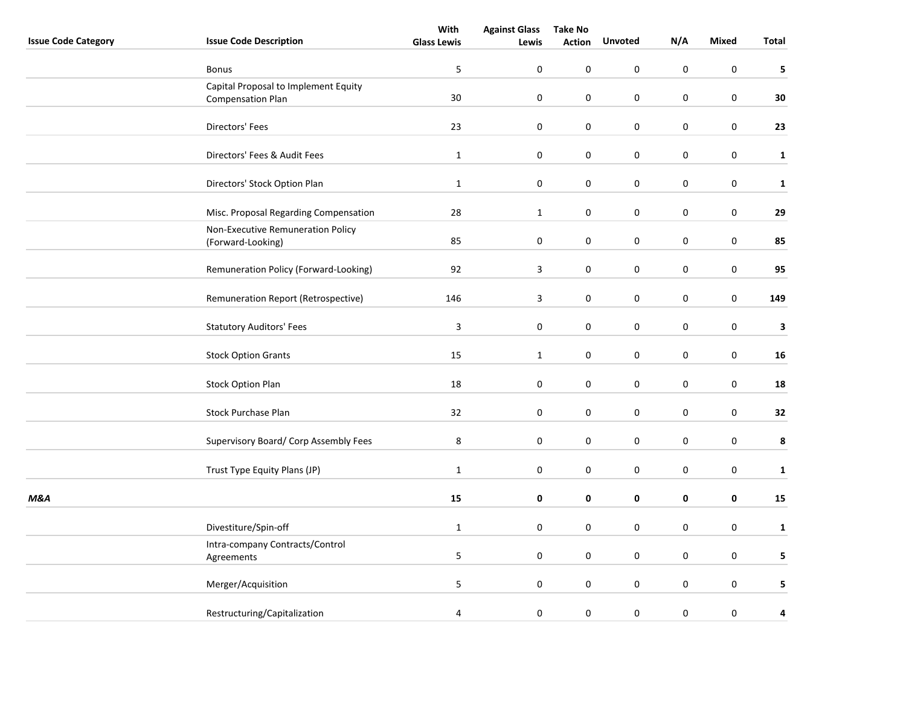|                            |                                                                  | With               | <b>Against Glass</b> | <b>Take No</b> |                |             |              |              |
|----------------------------|------------------------------------------------------------------|--------------------|----------------------|----------------|----------------|-------------|--------------|--------------|
| <b>Issue Code Category</b> | <b>Issue Code Description</b>                                    | <b>Glass Lewis</b> | Lewis                | <b>Action</b>  | <b>Unvoted</b> | N/A         | <b>Mixed</b> | Total        |
|                            | Bonus                                                            | 5                  | 0                    | 0              | 0              | 0           | $\pmb{0}$    | 5            |
|                            | Capital Proposal to Implement Equity<br><b>Compensation Plan</b> | $30\,$             | $\boldsymbol{0}$     | $\pmb{0}$      | $\pmb{0}$      | $\pmb{0}$   | $\mathbf 0$  | 30           |
|                            |                                                                  |                    |                      |                |                |             |              |              |
|                            | Directors' Fees                                                  | 23                 | $\boldsymbol{0}$     | $\pmb{0}$      | $\pmb{0}$      | $\pmb{0}$   | $\pmb{0}$    | 23           |
|                            | Directors' Fees & Audit Fees                                     | $\mathbf 1$        | $\pmb{0}$            | $\pmb{0}$      | $\pmb{0}$      | $\pmb{0}$   | $\pmb{0}$    | $\mathbf{1}$ |
|                            | Directors' Stock Option Plan                                     | $\mathbf 1$        | $\pmb{0}$            | $\pmb{0}$      | 0              | 0           | $\mathbf 0$  | $\mathbf 1$  |
|                            | Misc. Proposal Regarding Compensation                            | 28                 | $\mathbf{1}$         | $\pmb{0}$      | $\mathsf 0$    | $\pmb{0}$   | $\pmb{0}$    | 29           |
|                            | Non-Executive Remuneration Policy<br>(Forward-Looking)           | 85                 | 0                    | 0              | $\mathbf 0$    | 0           | $\pmb{0}$    | 85           |
|                            | Remuneration Policy (Forward-Looking)                            | 92                 | $\mathbf{3}$         | 0              | 0              | 0           | $\mathbf 0$  | 95           |
|                            | Remuneration Report (Retrospective)                              | 146                | $\mathbf{3}$         | 0              | 0              | $\pmb{0}$   | $\mathbf 0$  | 149          |
|                            | <b>Statutory Auditors' Fees</b>                                  | $\mathbf{3}$       | $\pmb{0}$            | $\pmb{0}$      | $\pmb{0}$      | $\pmb{0}$   | $\pmb{0}$    | 3            |
|                            | <b>Stock Option Grants</b>                                       | 15                 | $\mathbf 1$          | 0              | 0              | $\pmb{0}$   | $\pmb{0}$    | 16           |
|                            | <b>Stock Option Plan</b>                                         | 18                 | $\boldsymbol{0}$     | $\pmb{0}$      | $\mathsf 0$    | $\pmb{0}$   | $\pmb{0}$    | 18           |
|                            | <b>Stock Purchase Plan</b>                                       | 32                 | $\pmb{0}$            | $\mathbf 0$    | $\mathbf 0$    | $\mathbf 0$ | $\pmb{0}$    | 32           |
|                            | Supervisory Board/ Corp Assembly Fees                            | $\bf 8$            | $\pmb{0}$            | $\pmb{0}$      | 0              | $\pmb{0}$   | $\pmb{0}$    | $\pmb{8}$    |
|                            | Trust Type Equity Plans (JP)                                     | $\mathbf{1}$       | 0                    | 0              | 0              | 0           | $\pmb{0}$    | $\mathbf{1}$ |
| <b>M&amp;A</b>             |                                                                  | $15\,$             | 0                    | 0              | 0              | 0           | $\pmb{0}$    | 15           |
|                            | Divestiture/Spin-off                                             | $\mathbf 1$        | $\pmb{0}$            | $\pmb{0}$      | 0              | $\pmb{0}$   | $\pmb{0}$    | $\mathbf 1$  |
|                            | Intra-company Contracts/Control<br>Agreements                    | 5                  | $\boldsymbol{0}$     | $\pmb{0}$      | $\mathbf 0$    | $\pmb{0}$   | $\pmb{0}$    | 5            |
|                            | Merger/Acquisition                                               | 5                  | 0                    | 0              | 0              | 0           | $\mathbf 0$  | 5            |
|                            | Restructuring/Capitalization                                     | 4                  | $\pmb{0}$            | $\pmb{0}$      | 0              | $\pmb{0}$   | $\pmb{0}$    | 4            |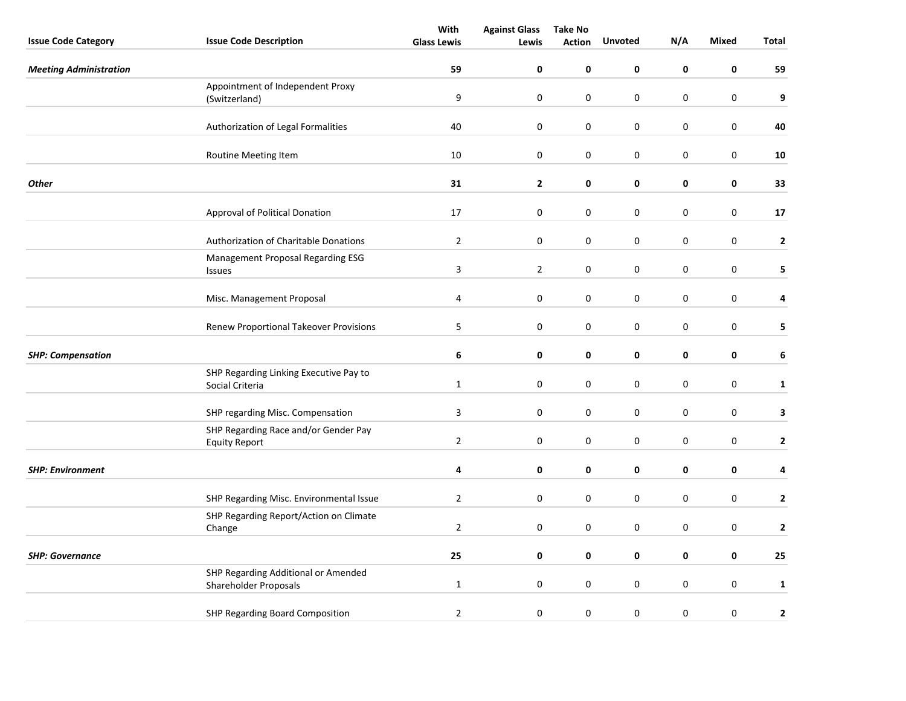|                               |                                                              | With                    | <b>Against Glass</b> | <b>Take No</b>   |                  |             |              |                         |
|-------------------------------|--------------------------------------------------------------|-------------------------|----------------------|------------------|------------------|-------------|--------------|-------------------------|
| <b>Issue Code Category</b>    | <b>Issue Code Description</b>                                | <b>Glass Lewis</b>      | Lewis                | <b>Action</b>    | Unvoted          | N/A         | <b>Mixed</b> | <b>Total</b>            |
| <b>Meeting Administration</b> |                                                              | 59                      | 0                    | 0                | 0                | 0           | $\pmb{0}$    | 59                      |
|                               | Appointment of Independent Proxy                             |                         |                      |                  |                  |             |              |                         |
|                               | (Switzerland)                                                | 9                       | $\boldsymbol{0}$     | $\pmb{0}$        | $\boldsymbol{0}$ | $\pmb{0}$   | $\pmb{0}$    | 9                       |
|                               | Authorization of Legal Formalities                           | 40                      | $\boldsymbol{0}$     | $\boldsymbol{0}$ | $\mathsf 0$      | $\pmb{0}$   | $\mathbf 0$  | 40                      |
|                               | Routine Meeting Item                                         | 10                      | 0                    | 0                | 0                | $\mathbf 0$ | $\pmb{0}$    | 10                      |
| <b>Other</b>                  |                                                              | 31                      | $\mathbf{2}$         | $\pmb{0}$        | 0                | $\pmb{0}$   | 0            | 33                      |
|                               | Approval of Political Donation                               | 17                      | 0                    | 0                | 0                | 0           | 0            | 17                      |
|                               | Authorization of Charitable Donations                        | $\overline{2}$          | 0                    | 0                | 0                | $\mathbf 0$ | $\mathbf 0$  | $\overline{2}$          |
|                               | Management Proposal Regarding ESG<br>Issues                  | $\mathsf 3$             | $\overline{2}$       | $\pmb{0}$        | 0                | $\mathbf 0$ | $\pmb{0}$    | 5                       |
|                               | Misc. Management Proposal                                    | $\overline{\mathbf{4}}$ | $\pmb{0}$            | 0                | 0                | 0           | $\pmb{0}$    | 4                       |
|                               | <b>Renew Proportional Takeover Provisions</b>                | 5                       | $\boldsymbol{0}$     | $\pmb{0}$        | $\pmb{0}$        | 0           | $\pmb{0}$    | 5                       |
| <b>SHP: Compensation</b>      |                                                              | 6                       | 0                    | 0                | 0                | 0           | 0            | 6                       |
|                               | SHP Regarding Linking Executive Pay to<br>Social Criteria    | $\mathbf{1}$            | 0                    | 0                | 0                | $\pmb{0}$   | $\pmb{0}$    | $\mathbf 1$             |
|                               | SHP regarding Misc. Compensation                             | $\overline{\mathbf{3}}$ | 0                    | $\pmb{0}$        | 0                | $\pmb{0}$   | $\pmb{0}$    | 3                       |
|                               | SHP Regarding Race and/or Gender Pay<br><b>Equity Report</b> | $\overline{2}$          | 0                    | 0                | 0                | 0           | $\pmb{0}$    | $\mathbf{2}$            |
| <b>SHP: Environment</b>       |                                                              | 4                       | 0                    | $\pmb{0}$        | 0                | $\mathbf 0$ | 0            | 4                       |
|                               | SHP Regarding Misc. Environmental Issue                      | $\overline{2}$          | 0                    | 0                | 0                | 0           | $\pmb{0}$    | $\mathbf{2}$            |
|                               | SHP Regarding Report/Action on Climate<br>Change             | $\overline{2}$          | 0                    | 0                | 0                | $\pmb{0}$   | $\pmb{0}$    | $\overline{\mathbf{c}}$ |
| <b>SHP: Governance</b>        |                                                              | 25                      | 0                    | 0                | 0                | 0           | $\pmb{0}$    | 25                      |
|                               | SHP Regarding Additional or Amended<br>Shareholder Proposals | $\mathbf{1}$            | 0                    | 0                | 0                | 0           | $\pmb{0}$    | $\mathbf{1}$            |
|                               | SHP Regarding Board Composition                              | $\overline{2}$          | 0                    | 0                | 0                | $\mathbf 0$ | 0            | $\mathbf{2}$            |